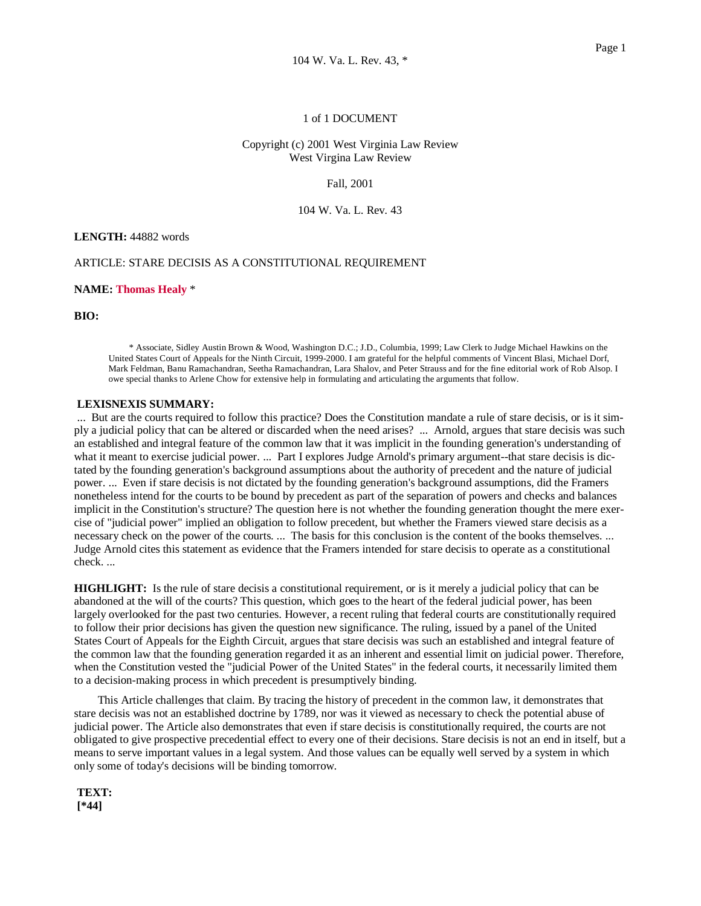# 1 of 1 DOCUMENT

# Copyright (c) 2001 West Virginia Law Review West Virgina Law Review

### Fall, 2001

## 104 W. Va. L. Rev. 43

## **LENGTH:** 44882 words

## ARTICLE: STARE DECISIS AS A CONSTITUTIONAL REQUIREMENT

## **NAME: Thomas Healy** \*

**BIO:** 

\* Associate, Sidley Austin Brown & Wood, Washington D.C.; J.D., Columbia, 1999; Law Clerk to Judge Michael Hawkins on the United States Court of Appeals for the Ninth Circuit, 1999-2000. I am grateful for the helpful comments of Vincent Blasi, Michael Dorf, Mark Feldman, Banu Ramachandran, Seetha Ramachandran, Lara Shalov, and Peter Strauss and for the fine editorial work of Rob Alsop. I owe special thanks to Arlene Chow for extensive help in formulating and articulating the arguments that follow.

### **LEXISNEXIS SUMMARY:**

 ... But are the courts required to follow this practice? Does the Constitution mandate a rule of stare decisis, or is it simply a judicial policy that can be altered or discarded when the need arises? ... Arnold, argues that stare decisis was such an established and integral feature of the common law that it was implicit in the founding generation's understanding of what it meant to exercise judicial power. ... Part I explores Judge Arnold's primary argument--that stare decisis is dictated by the founding generation's background assumptions about the authority of precedent and the nature of judicial power. ... Even if stare decisis is not dictated by the founding generation's background assumptions, did the Framers nonetheless intend for the courts to be bound by precedent as part of the separation of powers and checks and balances implicit in the Constitution's structure? The question here is not whether the founding generation thought the mere exercise of "judicial power" implied an obligation to follow precedent, but whether the Framers viewed stare decisis as a necessary check on the power of the courts. ... The basis for this conclusion is the content of the books themselves. ... Judge Arnold cites this statement as evidence that the Framers intended for stare decisis to operate as a constitutional check. ...

**HIGHLIGHT:** Is the rule of stare decisis a constitutional requirement, or is it merely a judicial policy that can be abandoned at the will of the courts? This question, which goes to the heart of the federal judicial power, has been largely overlooked for the past two centuries. However, a recent ruling that federal courts are constitutionally required to follow their prior decisions has given the question new significance. The ruling, issued by a panel of the United States Court of Appeals for the Eighth Circuit, argues that stare decisis was such an established and integral feature of the common law that the founding generation regarded it as an inherent and essential limit on judicial power. Therefore, when the Constitution vested the "judicial Power of the United States" in the federal courts, it necessarily limited them to a decision-making process in which precedent is presumptively binding.

 This Article challenges that claim. By tracing the history of precedent in the common law, it demonstrates that stare decisis was not an established doctrine by 1789, nor was it viewed as necessary to check the potential abuse of judicial power. The Article also demonstrates that even if stare decisis is constitutionally required, the courts are not obligated to give prospective precedential effect to every one of their decisions. Stare decisis is not an end in itself, but a means to serve important values in a legal system. And those values can be equally well served by a system in which only some of today's decisions will be binding tomorrow.

 **TEXT: [\*44]**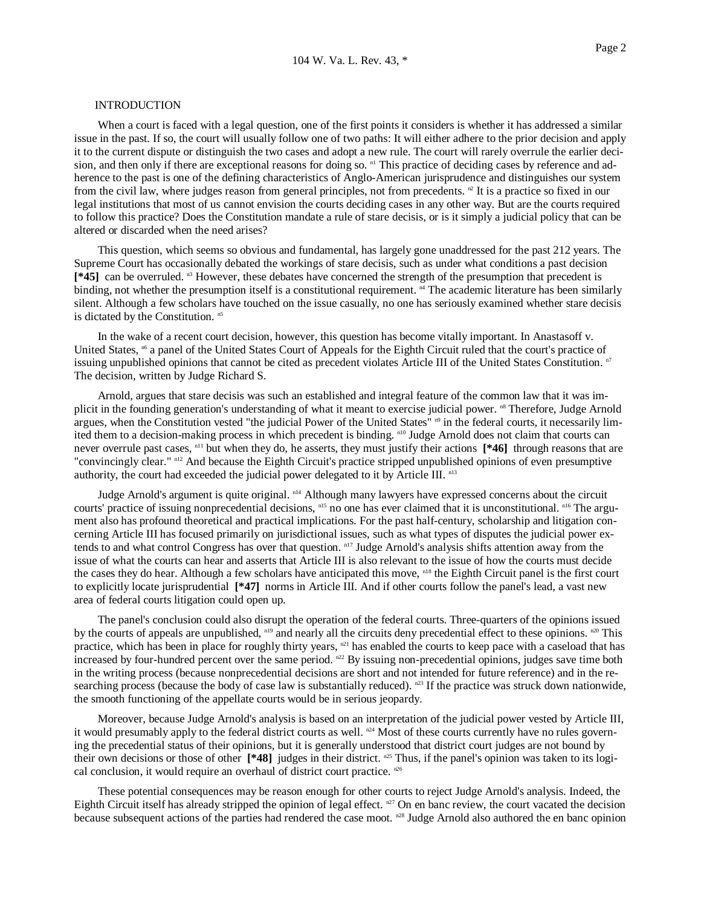### INTRODUCTION

 When a court is faced with a legal question, one of the first points it considers is whether it has addressed a similar issue in the past. If so, the court will usually follow one of two paths: It will either adhere to the prior decision and apply it to the current dispute or distinguish the two cases and adopt a new rule. The court will rarely overrule the earlier decision, and then only if there are exceptional reasons for doing so. <sup>n1</sup> This practice of deciding cases by reference and adherence to the past is one of the defining characteristics of Anglo-American jurisprudence and distinguishes our system from the civil law, where judges reason from general principles, not from precedents.  $\mathbb{P}$  It is a practice so fixed in our legal institutions that most of us cannot envision the courts deciding cases in any other way. But are the courts required to follow this practice? Does the Constitution mandate a rule of stare decisis, or is it simply a judicial policy that can be altered or discarded when the need arises?

 This question, which seems so obvious and fundamental, has largely gone unaddressed for the past 212 years. The Supreme Court has occasionally debated the workings of stare decisis, such as under what conditions a past decision **[\*45]** can be overruled. n3 However, these debates have concerned the strength of the presumption that precedent is binding, not whether the presumption itself is a constitutional requirement.  $n<sup>4</sup>$  The academic literature has been similarly silent. Although a few scholars have touched on the issue casually, no one has seriously examined whether stare decisis is dictated by the Constitution.  $n<sup>5</sup>$ 

 In the wake of a recent court decision, however, this question has become vitally important. In Anastasoff v. United States, <sup>n6</sup> a panel of the United States Court of Appeals for the Eighth Circuit ruled that the court's practice of issuing unpublished opinions that cannot be cited as precedent violates Article III of the United States Constitution. <sup>n7</sup> The decision, written by Judge Richard S.

 Arnold, argues that stare decisis was such an established and integral feature of the common law that it was implicit in the founding generation's understanding of what it meant to exercise judicial power. <sup>n8</sup> Therefore, Judge Arnold argues, when the Constitution vested "the judicial Power of the United States" <sup>n9</sup> in the federal courts, it necessarily limited them to a decision-making process in which precedent is binding. n<sup>10</sup> Judge Arnold does not claim that courts can never overrule past cases, <sup>n11</sup> but when they do, he asserts, they must justify their actions **[\*46]** through reasons that are "convincingly clear." n12 And because the Eighth Circuit's practice stripped unpublished opinions of even presumptive authority, the court had exceeded the judicial power delegated to it by Article III.  $n<sup>13</sup>$ 

Judge Arnold's argument is quite original. <sup>n14</sup> Although many lawyers have expressed concerns about the circuit courts' practice of issuing nonprecedential decisions,  $n15$  no one has ever claimed that it is unconstitutional.  $n16$  The argument also has profound theoretical and practical implications. For the past half-century, scholarship and litigation concerning Article III has focused primarily on jurisdictional issues, such as what types of disputes the judicial power extends to and what control Congress has over that question. n<sup>17</sup> Judge Arnold's analysis shifts attention away from the issue of what the courts can hear and asserts that Article III is also relevant to the issue of how the courts must decide the cases they do hear. Although a few scholars have anticipated this move, <sup>n18</sup> the Eighth Circuit panel is the first court to explicitly locate jurisprudential **[\*47]** norms in Article III. And if other courts follow the panel's lead, a vast new area of federal courts litigation could open up.

 The panel's conclusion could also disrupt the operation of the federal courts. Three-quarters of the opinions issued by the courts of appeals are unpublished,  $n^{19}$  and nearly all the circuits deny precedential effect to these opinions.  $n^{20}$  This practice, which has been in place for roughly thirty years,  $n^{21}$  has enabled the courts to keep pace with a caseload that has increased by four-hundred percent over the same period. <sup>n22</sup> By issuing non-precedential opinions, judges save time both in the writing process (because nonprecedential decisions are short and not intended for future reference) and in the researching process (because the body of case law is substantially reduced).  $n^{23}$  If the practice was struck down nationwide, the smooth functioning of the appellate courts would be in serious jeopardy.

 Moreover, because Judge Arnold's analysis is based on an interpretation of the judicial power vested by Article III, it would presumably apply to the federal district courts as well.  $n<sup>24</sup>$  Most of these courts currently have no rules governing the precedential status of their opinions, but it is generally understood that district court judges are not bound by their own decisions or those of other **[\*48]** judges in their district. n25 Thus, if the panel's opinion was taken to its logical conclusion, it would require an overhaul of district court practice.  $n^{26}$ 

 These potential consequences may be reason enough for other courts to reject Judge Arnold's analysis. Indeed, the Eighth Circuit itself has already stripped the opinion of legal effect.  $n^{27}$  On en banc review, the court vacated the decision because subsequent actions of the parties had rendered the case moot. <sup>n28</sup> Judge Arnold also authored the en banc opinion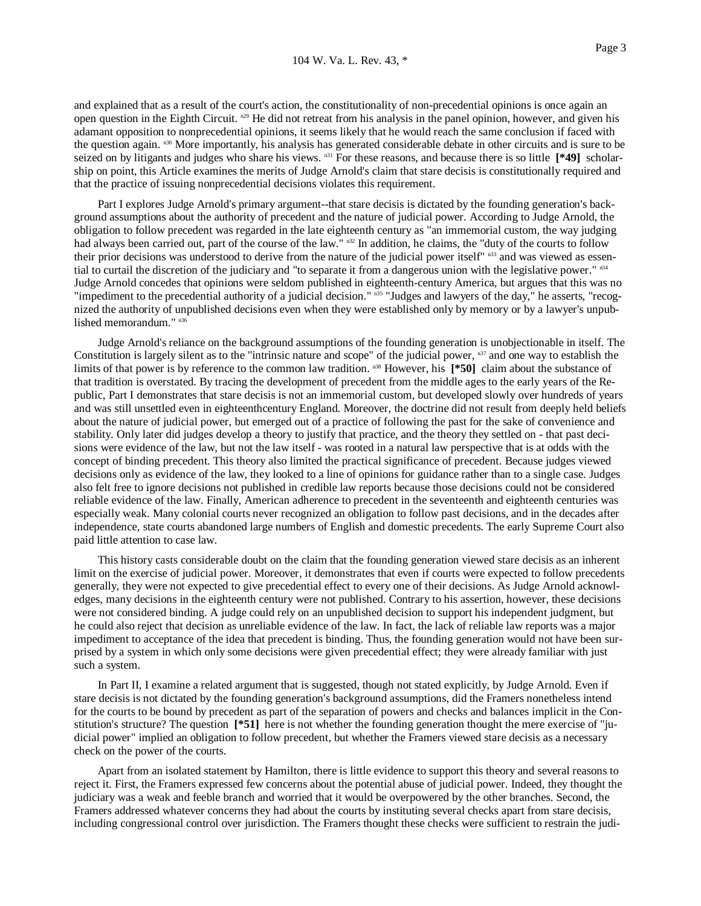and explained that as a result of the court's action, the constitutionality of non-precedential opinions is once again an open question in the Eighth Circuit. <sup>n29</sup> He did not retreat from his analysis in the panel opinion, however, and given his adamant opposition to nonprecedential opinions, it seems likely that he would reach the same conclusion if faced with the question again.  $n^{30}$  More importantly, his analysis has generated considerable debate in other circuits and is sure to be seized on by litigants and judges who share his views. n<sup>31</sup> For these reasons, and because there is so little [\*49] scholarship on point, this Article examines the merits of Judge Arnold's claim that stare decisis is constitutionally required and that the practice of issuing nonprecedential decisions violates this requirement.

 Part I explores Judge Arnold's primary argument--that stare decisis is dictated by the founding generation's background assumptions about the authority of precedent and the nature of judicial power. According to Judge Arnold, the obligation to follow precedent was regarded in the late eighteenth century as "an immemorial custom, the way judging had always been carried out, part of the course of the law."  $n32$  In addition, he claims, the "duty of the courts to follow their prior decisions was understood to derive from the nature of the judicial power itself" n33 and was viewed as essential to curtail the discretion of the judiciary and "to separate it from a dangerous union with the legislative power."  $n34$ Judge Arnold concedes that opinions were seldom published in eighteenth-century America, but argues that this was no "impediment to the precedential authority of a judicial decision." n35 "Judges and lawyers of the day," he asserts, "recognized the authority of unpublished decisions even when they were established only by memory or by a lawyer's unpublished memorandum." n36

 Judge Arnold's reliance on the background assumptions of the founding generation is unobjectionable in itself. The Constitution is largely silent as to the "intrinsic nature and scope" of the judicial power, n<sup>37</sup> and one way to establish the limits of that power is by reference to the common law tradition. n38 However, his **[\*50]** claim about the substance of that tradition is overstated. By tracing the development of precedent from the middle ages to the early years of the Republic, Part I demonstrates that stare decisis is not an immemorial custom, but developed slowly over hundreds of years and was still unsettled even in eighteenthcentury England. Moreover, the doctrine did not result from deeply held beliefs about the nature of judicial power, but emerged out of a practice of following the past for the sake of convenience and stability. Only later did judges develop a theory to justify that practice, and the theory they settled on - that past decisions were evidence of the law, but not the law itself - was rooted in a natural law perspective that is at odds with the concept of binding precedent. This theory also limited the practical significance of precedent. Because judges viewed decisions only as evidence of the law, they looked to a line of opinions for guidance rather than to a single case. Judges also felt free to ignore decisions not published in credible law reports because those decisions could not be considered reliable evidence of the law. Finally, American adherence to precedent in the seventeenth and eighteenth centuries was especially weak. Many colonial courts never recognized an obligation to follow past decisions, and in the decades after independence, state courts abandoned large numbers of English and domestic precedents. The early Supreme Court also paid little attention to case law.

 This history casts considerable doubt on the claim that the founding generation viewed stare decisis as an inherent limit on the exercise of judicial power. Moreover, it demonstrates that even if courts were expected to follow precedents generally, they were not expected to give precedential effect to every one of their decisions. As Judge Arnold acknowledges, many decisions in the eighteenth century were not published. Contrary to his assertion, however, these decisions were not considered binding. A judge could rely on an unpublished decision to support his independent judgment, but he could also reject that decision as unreliable evidence of the law. In fact, the lack of reliable law reports was a major impediment to acceptance of the idea that precedent is binding. Thus, the founding generation would not have been surprised by a system in which only some decisions were given precedential effect; they were already familiar with just such a system.

In Part II, I examine a related argument that is suggested, though not stated explicitly, by Judge Arnold. Even if stare decisis is not dictated by the founding generation's background assumptions, did the Framers nonetheless intend for the courts to be bound by precedent as part of the separation of powers and checks and balances implicit in the Constitution's structure? The question **[\*51]** here is not whether the founding generation thought the mere exercise of "judicial power" implied an obligation to follow precedent, but whether the Framers viewed stare decisis as a necessary check on the power of the courts.

 Apart from an isolated statement by Hamilton, there is little evidence to support this theory and several reasons to reject it. First, the Framers expressed few concerns about the potential abuse of judicial power. Indeed, they thought the judiciary was a weak and feeble branch and worried that it would be overpowered by the other branches. Second, the Framers addressed whatever concerns they had about the courts by instituting several checks apart from stare decisis, including congressional control over jurisdiction. The Framers thought these checks were sufficient to restrain the judi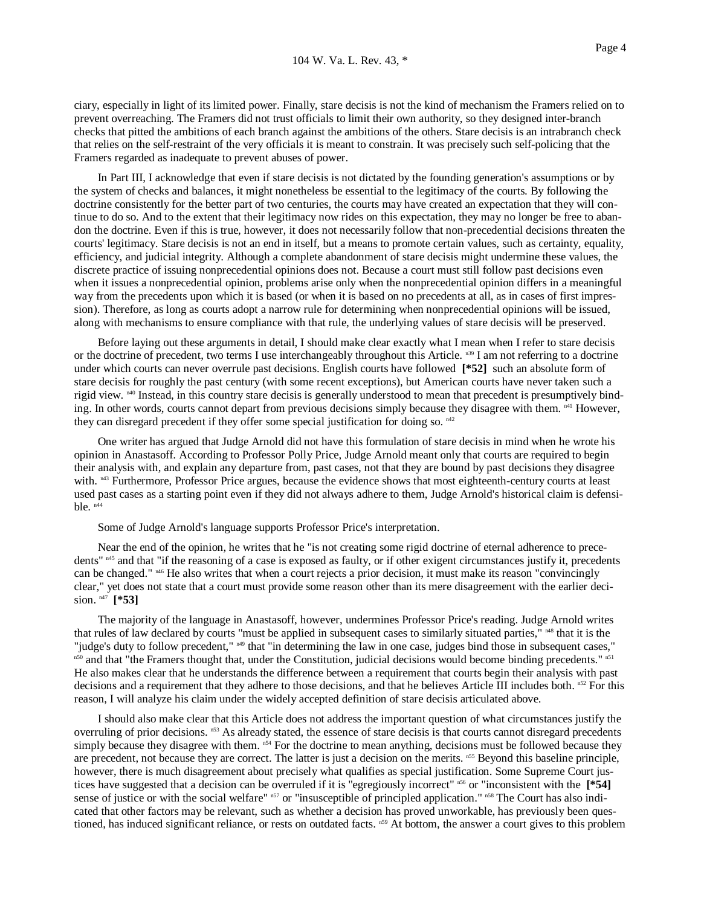ciary, especially in light of its limited power. Finally, stare decisis is not the kind of mechanism the Framers relied on to prevent overreaching. The Framers did not trust officials to limit their own authority, so they designed inter-branch checks that pitted the ambitions of each branch against the ambitions of the others. Stare decisis is an intrabranch check that relies on the self-restraint of the very officials it is meant to constrain. It was precisely such self-policing that the Framers regarded as inadequate to prevent abuses of power.

 In Part III, I acknowledge that even if stare decisis is not dictated by the founding generation's assumptions or by the system of checks and balances, it might nonetheless be essential to the legitimacy of the courts. By following the doctrine consistently for the better part of two centuries, the courts may have created an expectation that they will continue to do so. And to the extent that their legitimacy now rides on this expectation, they may no longer be free to abandon the doctrine. Even if this is true, however, it does not necessarily follow that non-precedential decisions threaten the courts' legitimacy. Stare decisis is not an end in itself, but a means to promote certain values, such as certainty, equality, efficiency, and judicial integrity. Although a complete abandonment of stare decisis might undermine these values, the discrete practice of issuing nonprecedential opinions does not. Because a court must still follow past decisions even when it issues a nonprecedential opinion, problems arise only when the nonprecedential opinion differs in a meaningful way from the precedents upon which it is based (or when it is based on no precedents at all, as in cases of first impression). Therefore, as long as courts adopt a narrow rule for determining when nonprecedential opinions will be issued, along with mechanisms to ensure compliance with that rule, the underlying values of stare decisis will be preserved.

 Before laying out these arguments in detail, I should make clear exactly what I mean when I refer to stare decisis or the doctrine of precedent, two terms I use interchangeably throughout this Article. n<sup>39</sup> I am not referring to a doctrine under which courts can never overrule past decisions. English courts have followed **[\*52]** such an absolute form of stare decisis for roughly the past century (with some recent exceptions), but American courts have never taken such a rigid view. <sup>n40</sup> Instead, in this country stare decisis is generally understood to mean that precedent is presumptively binding. In other words, courts cannot depart from previous decisions simply because they disagree with them.  $n^{41}$  However, they can disregard precedent if they offer some special justification for doing so. n42

 One writer has argued that Judge Arnold did not have this formulation of stare decisis in mind when he wrote his opinion in Anastasoff. According to Professor Polly Price, Judge Arnold meant only that courts are required to begin their analysis with, and explain any departure from, past cases, not that they are bound by past decisions they disagree with.  $n43$  Furthermore, Professor Price argues, because the evidence shows that most eighteenth-century courts at least used past cases as a starting point even if they did not always adhere to them, Judge Arnold's historical claim is defensible.  $n44$ 

Some of Judge Arnold's language supports Professor Price's interpretation.

 Near the end of the opinion, he writes that he "is not creating some rigid doctrine of eternal adherence to precedents" n45 and that "if the reasoning of a case is exposed as faulty, or if other exigent circumstances justify it, precedents can be changed." n46 He also writes that when a court rejects a prior decision, it must make its reason "convincingly clear," yet does not state that a court must provide some reason other than its mere disagreement with the earlier decision. n47 **[\*53]**

 The majority of the language in Anastasoff, however, undermines Professor Price's reading. Judge Arnold writes that rules of law declared by courts "must be applied in subsequent cases to similarly situated parties,"  $n48$  that it is the "judge's duty to follow precedent," n49 that "in determining the law in one case, judges bind those in subsequent cases," n50 and that "the Framers thought that, under the Constitution, judicial decisions would become binding precedents." n51 He also makes clear that he understands the difference between a requirement that courts begin their analysis with past decisions and a requirement that they adhere to those decisions, and that he believes Article III includes both. n52 For this reason, I will analyze his claim under the widely accepted definition of stare decisis articulated above.

 I should also make clear that this Article does not address the important question of what circumstances justify the overruling of prior decisions. n53 As already stated, the essence of stare decisis is that courts cannot disregard precedents simply because they disagree with them.  $n<sup>54</sup>$  For the doctrine to mean anything, decisions must be followed because they are precedent, not because they are correct. The latter is just a decision on the merits. n<sup>55</sup> Beyond this baseline principle, however, there is much disagreement about precisely what qualifies as special justification. Some Supreme Court justices have suggested that a decision can be overruled if it is "egregiously incorrect" <sup>n56</sup> or "inconsistent with the [\*54] sense of justice or with the social welfare" n57 or "insusceptible of principled application." n58 The Court has also indicated that other factors may be relevant, such as whether a decision has proved unworkable, has previously been questioned, has induced significant reliance, or rests on outdated facts. n59 At bottom, the answer a court gives to this problem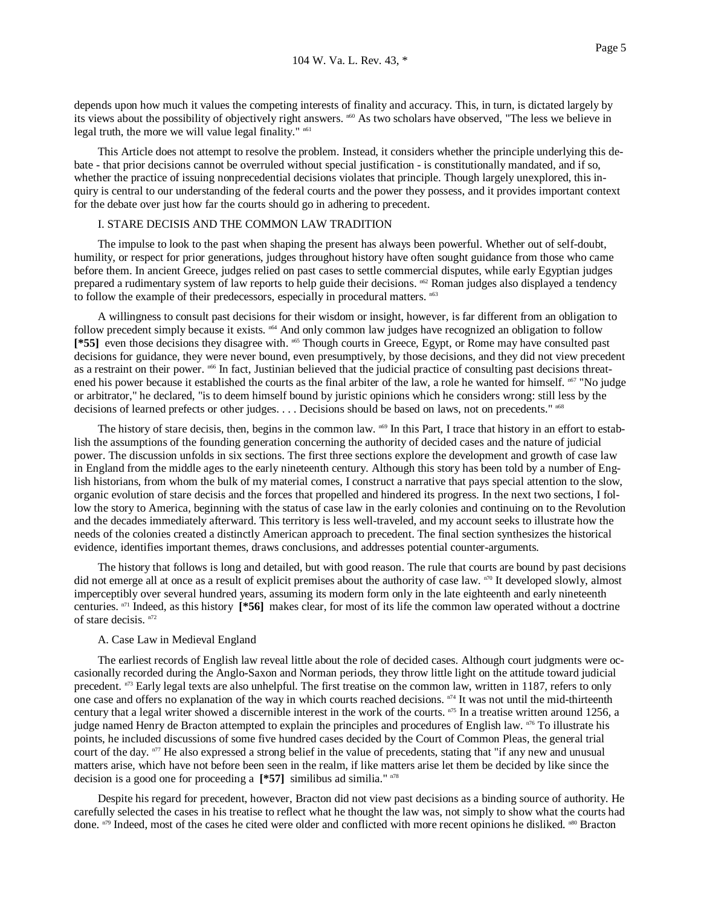depends upon how much it values the competing interests of finality and accuracy. This, in turn, is dictated largely by its views about the possibility of objectively right answers. <sup>n60</sup> As two scholars have observed, "The less we believe in legal truth, the more we will value legal finality."  $n61$ 

 This Article does not attempt to resolve the problem. Instead, it considers whether the principle underlying this debate - that prior decisions cannot be overruled without special justification - is constitutionally mandated, and if so, whether the practice of issuing nonprecedential decisions violates that principle. Though largely unexplored, this inquiry is central to our understanding of the federal courts and the power they possess, and it provides important context for the debate over just how far the courts should go in adhering to precedent.

### I. STARE DECISIS AND THE COMMON LAW TRADITION

 The impulse to look to the past when shaping the present has always been powerful. Whether out of self-doubt, humility, or respect for prior generations, judges throughout history have often sought guidance from those who came before them. In ancient Greece, judges relied on past cases to settle commercial disputes, while early Egyptian judges prepared a rudimentary system of law reports to help guide their decisions. n62 Roman judges also displayed a tendency to follow the example of their predecessors, especially in procedural matters. n63

 A willingness to consult past decisions for their wisdom or insight, however, is far different from an obligation to follow precedent simply because it exists. <sup>n64</sup> And only common law judges have recognized an obligation to follow [\*55] even those decisions they disagree with. <sup>n65</sup> Though courts in Greece, Egypt, or Rome may have consulted past decisions for guidance, they were never bound, even presumptively, by those decisions, and they did not view precedent as a restraint on their power. <sup>n66</sup> In fact, Justinian believed that the judicial practice of consulting past decisions threatened his power because it established the courts as the final arbiter of the law, a role he wanted for himself. <sup>n67</sup> "No judge or arbitrator," he declared, "is to deem himself bound by juristic opinions which he considers wrong: still less by the decisions of learned prefects or other judges. . . . Decisions should be based on laws, not on precedents."  $n^{68}$ 

The history of stare decisis, then, begins in the common law.  $^{169}$  In this Part, I trace that history in an effort to establish the assumptions of the founding generation concerning the authority of decided cases and the nature of judicial power. The discussion unfolds in six sections. The first three sections explore the development and growth of case law in England from the middle ages to the early nineteenth century. Although this story has been told by a number of English historians, from whom the bulk of my material comes, I construct a narrative that pays special attention to the slow, organic evolution of stare decisis and the forces that propelled and hindered its progress. In the next two sections, I follow the story to America, beginning with the status of case law in the early colonies and continuing on to the Revolution and the decades immediately afterward. This territory is less well-traveled, and my account seeks to illustrate how the needs of the colonies created a distinctly American approach to precedent. The final section synthesizes the historical evidence, identifies important themes, draws conclusions, and addresses potential counter-arguments.

 The history that follows is long and detailed, but with good reason. The rule that courts are bound by past decisions did not emerge all at once as a result of explicit premises about the authority of case law. n<sup>70</sup> It developed slowly, almost imperceptibly over several hundred years, assuming its modern form only in the late eighteenth and early nineteenth centuries. n71 Indeed, as this history **[\*56]** makes clear, for most of its life the common law operated without a doctrine of stare decisis. n72

# A. Case Law in Medieval England

 The earliest records of English law reveal little about the role of decided cases. Although court judgments were occasionally recorded during the Anglo-Saxon and Norman periods, they throw little light on the attitude toward judicial precedent.  $n^{73}$  Early legal texts are also unhelpful. The first treatise on the common law, written in 1187, refers to only one case and offers no explanation of the way in which courts reached decisions.  $n<sup>74</sup>$  It was not until the mid-thirteenth century that a legal writer showed a discernible interest in the work of the courts. n75 In a treatise written around 1256, a judge named Henry de Bracton attempted to explain the principles and procedures of English law. <sup>n76</sup> To illustrate his points, he included discussions of some five hundred cases decided by the Court of Common Pleas, the general trial court of the day.  $n^{7}$  He also expressed a strong belief in the value of precedents, stating that "if any new and unusual matters arise, which have not before been seen in the realm, if like matters arise let them be decided by like since the decision is a good one for proceeding a  $[*57]$  similibus ad similia." n78

 Despite his regard for precedent, however, Bracton did not view past decisions as a binding source of authority. He carefully selected the cases in his treatise to reflect what he thought the law was, not simply to show what the courts had done. n79 Indeed, most of the cases he cited were older and conflicted with more recent opinions he disliked. n80 Bracton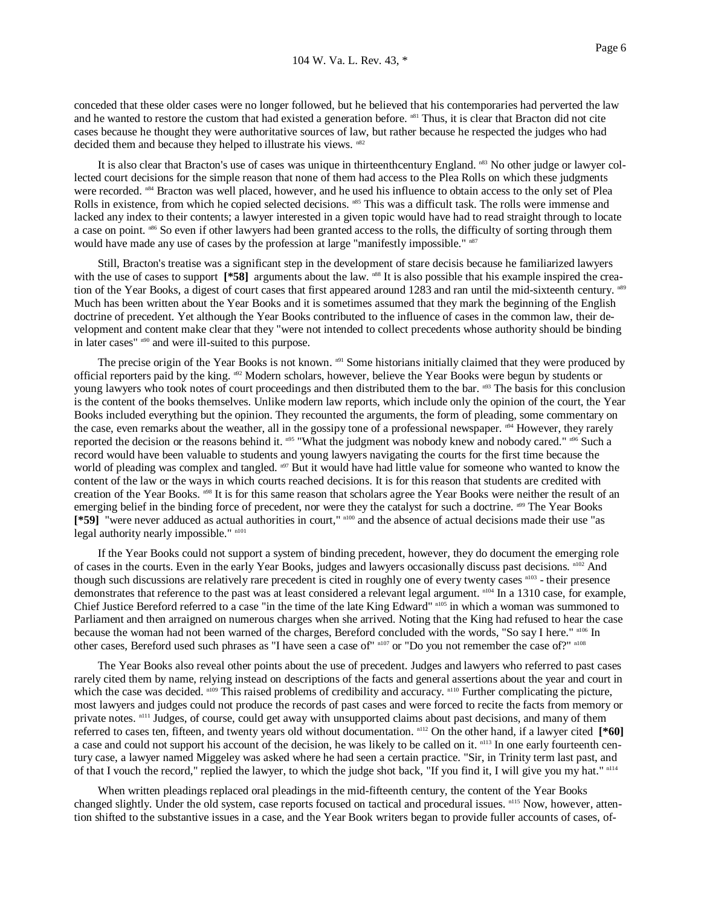conceded that these older cases were no longer followed, but he believed that his contemporaries had perverted the law and he wanted to restore the custom that had existed a generation before. n81 Thus, it is clear that Bracton did not cite cases because he thought they were authoritative sources of law, but rather because he respected the judges who had decided them and because they helped to illustrate his views.  $n82$ 

It is also clear that Bracton's use of cases was unique in thirteenthcentury England. n83 No other judge or lawyer collected court decisions for the simple reason that none of them had access to the Plea Rolls on which these judgments were recorded.  $n84$  Bracton was well placed, however, and he used his influence to obtain access to the only set of Plea Rolls in existence, from which he copied selected decisions. n85 This was a difficult task. The rolls were immense and lacked any index to their contents; a lawyer interested in a given topic would have had to read straight through to locate a case on point. <sup>n86</sup> So even if other lawyers had been granted access to the rolls, the difficulty of sorting through them would have made any use of cases by the profession at large "manifestly impossible."  $n^{87}$ 

 Still, Bracton's treatise was a significant step in the development of stare decisis because he familiarized lawyers with the use of cases to support [\*58] arguments about the law. <sup>n88</sup> It is also possible that his example inspired the creation of the Year Books, a digest of court cases that first appeared around 1283 and ran until the mid-sixteenth century. n89 Much has been written about the Year Books and it is sometimes assumed that they mark the beginning of the English doctrine of precedent. Yet although the Year Books contributed to the influence of cases in the common law, their development and content make clear that they "were not intended to collect precedents whose authority should be binding in later cases" n90 and were ill-suited to this purpose.

The precise origin of the Year Books is not known. n91 Some historians initially claimed that they were produced by official reporters paid by the king.  $n^{92}$  Modern scholars, however, believe the Year Books were begun by students or young lawyers who took notes of court proceedings and then distributed them to the bar.  $n93$  The basis for this conclusion is the content of the books themselves. Unlike modern law reports, which include only the opinion of the court, the Year Books included everything but the opinion. They recounted the arguments, the form of pleading, some commentary on the case, even remarks about the weather, all in the gossipy tone of a professional newspaper.  $n^{94}$  However, they rarely reported the decision or the reasons behind it. n95 "What the judgment was nobody knew and nobody cared." n96 Such a record would have been valuable to students and young lawyers navigating the courts for the first time because the world of pleading was complex and tangled. <sup>197</sup> But it would have had little value for someone who wanted to know the content of the law or the ways in which courts reached decisions. It is for this reason that students are credited with creation of the Year Books. <sup>n98</sup> It is for this same reason that scholars agree the Year Books were neither the result of an emerging belief in the binding force of precedent, nor were they the catalyst for such a doctrine.  $n^{99}$  The Year Books **[\*59]** "were never adduced as actual authorities in court," n100 and the absence of actual decisions made their use "as legal authority nearly impossible." n101

 If the Year Books could not support a system of binding precedent, however, they do document the emerging role of cases in the courts. Even in the early Year Books, judges and lawyers occasionally discuss past decisions. <sup>n102</sup> And though such discussions are relatively rare precedent is cited in roughly one of every twenty cases n103 - their presence demonstrates that reference to the past was at least considered a relevant legal argument. n104 In a 1310 case, for example, Chief Justice Bereford referred to a case "in the time of the late King Edward" n105 in which a woman was summoned to Parliament and then arraigned on numerous charges when she arrived. Noting that the King had refused to hear the case because the woman had not been warned of the charges, Bereford concluded with the words, "So say I here." <sup>n106</sup> In other cases, Bereford used such phrases as "I have seen a case of" n107 or "Do you not remember the case of?" n108

 The Year Books also reveal other points about the use of precedent. Judges and lawyers who referred to past cases rarely cited them by name, relying instead on descriptions of the facts and general assertions about the year and court in which the case was decided. n109 This raised problems of credibility and accuracy. n110 Further complicating the picture, most lawyers and judges could not produce the records of past cases and were forced to recite the facts from memory or private notes. n111 Judges, of course, could get away with unsupported claims about past decisions, and many of them referred to cases ten, fifteen, and twenty years old without documentation. n112 On the other hand, if a lawyer cited **[\*60]** a case and could not support his account of the decision, he was likely to be called on it. n<sup>113</sup> In one early fourteenth century case, a lawyer named Miggeley was asked where he had seen a certain practice. "Sir, in Trinity term last past, and of that I vouch the record," replied the lawyer, to which the judge shot back, "If you find it, I will give you my hat." n114

 When written pleadings replaced oral pleadings in the mid-fifteenth century, the content of the Year Books changed slightly. Under the old system, case reports focused on tactical and procedural issues. <sup>n115</sup> Now, however, attention shifted to the substantive issues in a case, and the Year Book writers began to provide fuller accounts of cases, of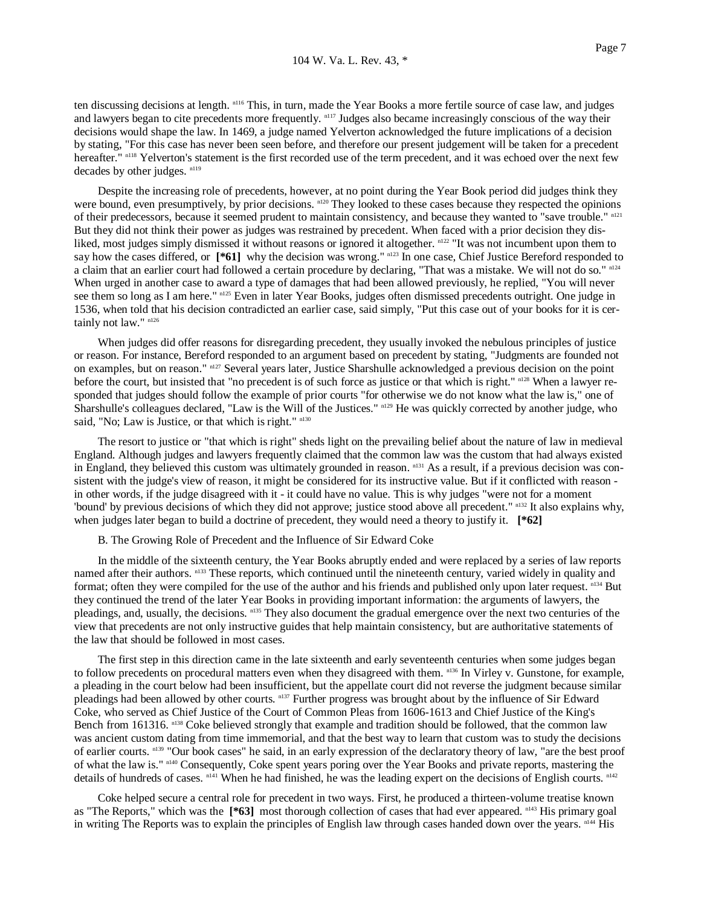ten discussing decisions at length. n116 This, in turn, made the Year Books a more fertile source of case law, and judges and lawyers began to cite precedents more frequently. notationally consequently conscious of the way their decisions would shape the law. In 1469, a judge named Yelverton acknowledged the future implications of a decision by stating, "For this case has never been seen before, and therefore our present judgement will be taken for a precedent hereafter." n118 Yelverton's statement is the first recorded use of the term precedent, and it was echoed over the next few decades by other judges. n119

 Despite the increasing role of precedents, however, at no point during the Year Book period did judges think they were bound, even presumptively, by prior decisions. <sup>n120</sup> They looked to these cases because they respected the opinions of their predecessors, because it seemed prudent to maintain consistency, and because they wanted to "save trouble." n121 But they did not think their power as judges was restrained by precedent. When faced with a prior decision they disliked, most judges simply dismissed it without reasons or ignored it altogether. n122 "It was not incumbent upon them to say how the cases differed, or  $[*/61]$  why the decision was wrong."  $\frac{n}{2}$  In one case, Chief Justice Bereford responded to a claim that an earlier court had followed a certain procedure by declaring, "That was a mistake. We will not do so." n<sup>124</sup> When urged in another case to award a type of damages that had been allowed previously, he replied, "You will never see them so long as I am here."  $n^{125}$  Even in later Year Books, judges often dismissed precedents outright. One judge in 1536, when told that his decision contradicted an earlier case, said simply, "Put this case out of your books for it is certainly not law." n126

 When judges did offer reasons for disregarding precedent, they usually invoked the nebulous principles of justice or reason. For instance, Bereford responded to an argument based on precedent by stating, "Judgments are founded not on examples, but on reason." n127 Several years later, Justice Sharshulle acknowledged a previous decision on the point before the court, but insisted that "no precedent is of such force as justice or that which is right." n128 When a lawyer responded that judges should follow the example of prior courts "for otherwise we do not know what the law is," one of Sharshulle's colleagues declared, "Law is the Will of the Justices."  $n^{129}$  He was quickly corrected by another judge, who said, "No; Law is Justice, or that which is right." n130

 The resort to justice or "that which is right" sheds light on the prevailing belief about the nature of law in medieval England. Although judges and lawyers frequently claimed that the common law was the custom that had always existed in England, they believed this custom was ultimately grounded in reason. n<sup>131</sup> As a result, if a previous decision was consistent with the judge's view of reason, it might be considered for its instructive value. But if it conflicted with reason in other words, if the judge disagreed with it - it could have no value. This is why judges "were not for a moment 'bound' by previous decisions of which they did not approve; justice stood above all precedent." n132 It also explains why, when judges later began to build a doctrine of precedent, they would need a theory to justify it. **[\*62]**

B. The Growing Role of Precedent and the Influence of Sir Edward Coke

 In the middle of the sixteenth century, the Year Books abruptly ended and were replaced by a series of law reports named after their authors. <sup>n133</sup> These reports, which continued until the nineteenth century, varied widely in quality and format; often they were compiled for the use of the author and his friends and published only upon later request.  $n_{134}$  But they continued the trend of the later Year Books in providing important information: the arguments of lawyers, the pleadings, and, usually, the decisions. n135 They also document the gradual emergence over the next two centuries of the view that precedents are not only instructive guides that help maintain consistency, but are authoritative statements of the law that should be followed in most cases.

 The first step in this direction came in the late sixteenth and early seventeenth centuries when some judges began to follow precedents on procedural matters even when they disagreed with them. n136 In Virley v. Gunstone, for example, a pleading in the court below had been insufficient, but the appellate court did not reverse the judgment because similar pleadings had been allowed by other courts. n137 Further progress was brought about by the influence of Sir Edward Coke, who served as Chief Justice of the Court of Common Pleas from 1606-1613 and Chief Justice of the King's Bench from 161316. n138 Coke believed strongly that example and tradition should be followed, that the common law was ancient custom dating from time immemorial, and that the best way to learn that custom was to study the decisions of earlier courts. n139 "Our book cases" he said, in an early expression of the declaratory theory of law, "are the best proof of what the law is." n140 Consequently, Coke spent years poring over the Year Books and private reports, mastering the details of hundreds of cases. n141 When he had finished, he was the leading expert on the decisions of English courts. n142

 Coke helped secure a central role for precedent in two ways. First, he produced a thirteen-volume treatise known as "The Reports," which was the [\*63] most thorough collection of cases that had ever appeared. n<sup>143</sup> His primary goal in writing The Reports was to explain the principles of English law through cases handed down over the years. n144 His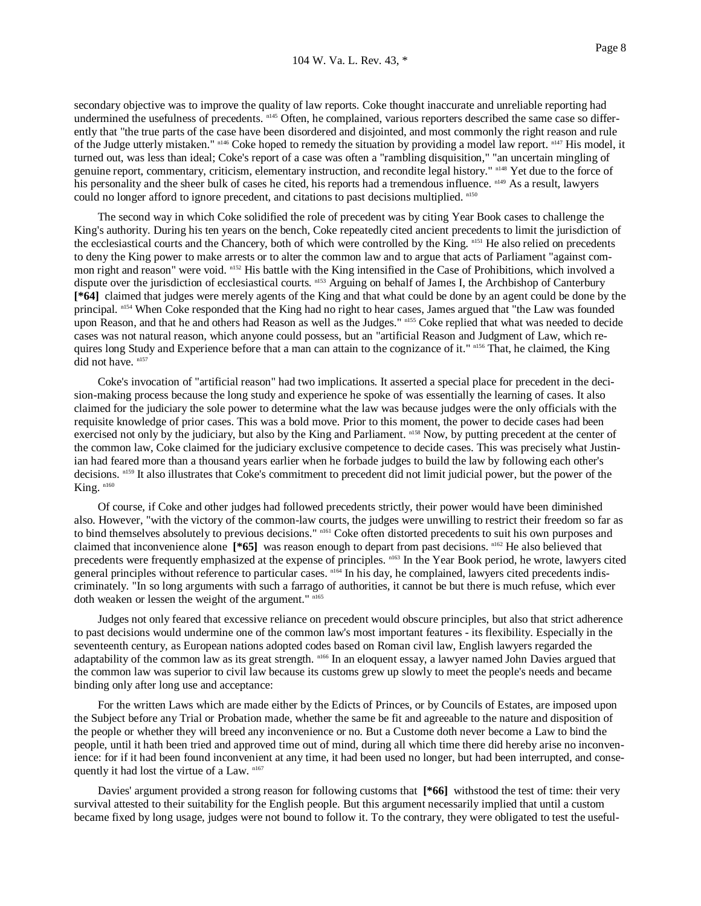secondary objective was to improve the quality of law reports. Coke thought inaccurate and unreliable reporting had undermined the usefulness of precedents. n145 Often, he complained, various reporters described the same case so differently that "the true parts of the case have been disordered and disjointed, and most commonly the right reason and rule of the Judge utterly mistaken." n146 Coke hoped to remedy the situation by providing a model law report. n147 His model, it turned out, was less than ideal; Coke's report of a case was often a "rambling disquisition," "an uncertain mingling of genuine report, commentary, criticism, elementary instruction, and recondite legal history." n148 Yet due to the force of his personality and the sheer bulk of cases he cited, his reports had a tremendous influence. n<sup>149</sup> As a result, lawyers could no longer afford to ignore precedent, and citations to past decisions multiplied. n<sup>150</sup>

 The second way in which Coke solidified the role of precedent was by citing Year Book cases to challenge the King's authority. During his ten years on the bench, Coke repeatedly cited ancient precedents to limit the jurisdiction of the ecclesiastical courts and the Chancery, both of which were controlled by the King. n151 He also relied on precedents to deny the King power to make arrests or to alter the common law and to argue that acts of Parliament "against common right and reason" were void. n152 His battle with the King intensified in the Case of Prohibitions, which involved a dispute over the jurisdiction of ecclesiastical courts. n153 Arguing on behalf of James I, the Archbishop of Canterbury **[\*64]** claimed that judges were merely agents of the King and that what could be done by an agent could be done by the principal. n154 When Coke responded that the King had no right to hear cases, James argued that "the Law was founded upon Reason, and that he and others had Reason as well as the Judges." nlss Coke replied that what was needed to decide cases was not natural reason, which anyone could possess, but an "artificial Reason and Judgment of Law, which requires long Study and Experience before that a man can attain to the cognizance of it." n156 That, he claimed, the King did not have.  $n157$ 

 Coke's invocation of "artificial reason" had two implications. It asserted a special place for precedent in the decision-making process because the long study and experience he spoke of was essentially the learning of cases. It also claimed for the judiciary the sole power to determine what the law was because judges were the only officials with the requisite knowledge of prior cases. This was a bold move. Prior to this moment, the power to decide cases had been exercised not only by the judiciary, but also by the King and Parliament. n158 Now, by putting precedent at the center of the common law, Coke claimed for the judiciary exclusive competence to decide cases. This was precisely what Justinian had feared more than a thousand years earlier when he forbade judges to build the law by following each other's decisions. n159 It also illustrates that Coke's commitment to precedent did not limit judicial power, but the power of the King. n160

 Of course, if Coke and other judges had followed precedents strictly, their power would have been diminished also. However, "with the victory of the common-law courts, the judges were unwilling to restrict their freedom so far as to bind themselves absolutely to previous decisions." n161 Coke often distorted precedents to suit his own purposes and claimed that inconvenience alone **[\*65]** was reason enough to depart from past decisions. n162 He also believed that precedents were frequently emphasized at the expense of principles. <sup>n163</sup> In the Year Book period, he wrote, lawyers cited general principles without reference to particular cases. <sup>n164</sup> In his day, he complained, lawyers cited precedents indiscriminately. "In so long arguments with such a farrago of authorities, it cannot be but there is much refuse, which ever doth weaken or lessen the weight of the argument." n165

 Judges not only feared that excessive reliance on precedent would obscure principles, but also that strict adherence to past decisions would undermine one of the common law's most important features - its flexibility. Especially in the seventeenth century, as European nations adopted codes based on Roman civil law, English lawyers regarded the adaptability of the common law as its great strength. <sup>n166</sup> In an eloquent essay, a lawyer named John Davies argued that the common law was superior to civil law because its customs grew up slowly to meet the people's needs and became binding only after long use and acceptance:

 For the written Laws which are made either by the Edicts of Princes, or by Councils of Estates, are imposed upon the Subject before any Trial or Probation made, whether the same be fit and agreeable to the nature and disposition of the people or whether they will breed any inconvenience or no. But a Custome doth never become a Law to bind the people, until it hath been tried and approved time out of mind, during all which time there did hereby arise no inconvenience: for if it had been found inconvenient at any time, it had been used no longer, but had been interrupted, and consequently it had lost the virtue of a Law. n167

 Davies' argument provided a strong reason for following customs that **[\*66]** withstood the test of time: their very survival attested to their suitability for the English people. But this argument necessarily implied that until a custom became fixed by long usage, judges were not bound to follow it. To the contrary, they were obligated to test the useful-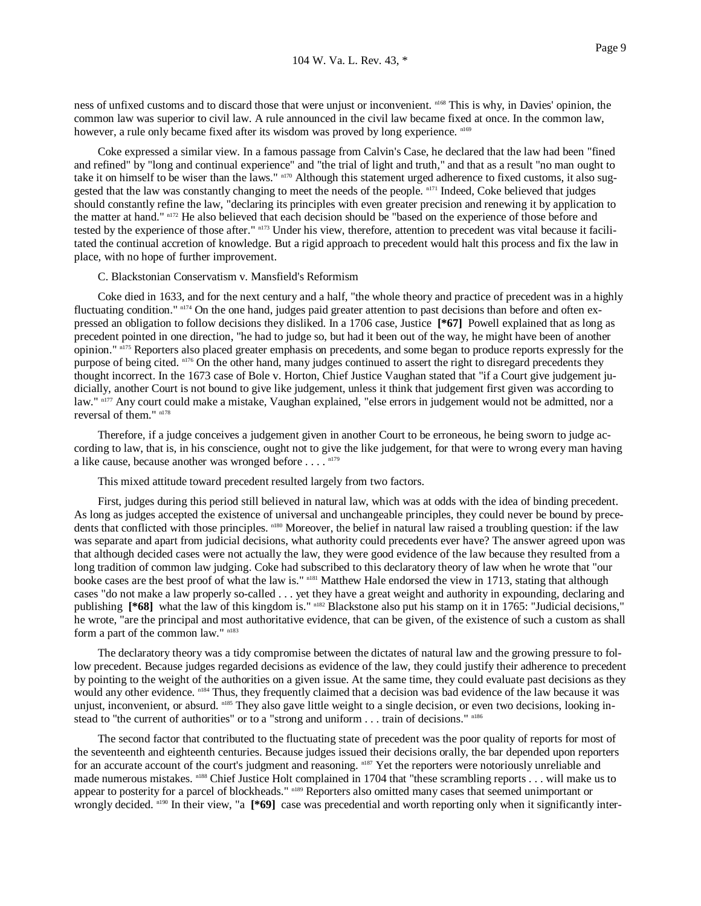ness of unfixed customs and to discard those that were unjust or inconvenient. n168 This is why, in Davies' opinion, the common law was superior to civil law. A rule announced in the civil law became fixed at once. In the common law, however, a rule only became fixed after its wisdom was proved by long experience.  $n169$ 

 Coke expressed a similar view. In a famous passage from Calvin's Case, he declared that the law had been "fined and refined" by "long and continual experience" and "the trial of light and truth," and that as a result "no man ought to take it on himself to be wiser than the laws." n170 Although this statement urged adherence to fixed customs, it also suggested that the law was constantly changing to meet the needs of the people. n171 Indeed, Coke believed that judges should constantly refine the law, "declaring its principles with even greater precision and renewing it by application to the matter at hand." n172 He also believed that each decision should be "based on the experience of those before and tested by the experience of those after." n173 Under his view, therefore, attention to precedent was vital because it facilitated the continual accretion of knowledge. But a rigid approach to precedent would halt this process and fix the law in place, with no hope of further improvement.

## C. Blackstonian Conservatism v. Mansfield's Reformism

 Coke died in 1633, and for the next century and a half, "the whole theory and practice of precedent was in a highly fluctuating condition."  $n^{174}$  On the one hand, judges paid greater attention to past decisions than before and often expressed an obligation to follow decisions they disliked. In a 1706 case, Justice **[\*67]** Powell explained that as long as precedent pointed in one direction, "he had to judge so, but had it been out of the way, he might have been of another opinion." n175 Reporters also placed greater emphasis on precedents, and some began to produce reports expressly for the purpose of being cited. n<sup>176</sup> On the other hand, many judges continued to assert the right to disregard precedents they thought incorrect. In the 1673 case of Bole v. Horton, Chief Justice Vaughan stated that "if a Court give judgement judicially, another Court is not bound to give like judgement, unless it think that judgement first given was according to law." n177 Any court could make a mistake, Vaughan explained, "else errors in judgement would not be admitted, nor a reversal of them." n178

 Therefore, if a judge conceives a judgement given in another Court to be erroneous, he being sworn to judge according to law, that is, in his conscience, ought not to give the like judgement, for that were to wrong every man having a like cause, because another was wronged before  $\dots$ .  $n^{179}$ 

This mixed attitude toward precedent resulted largely from two factors.

 First, judges during this period still believed in natural law, which was at odds with the idea of binding precedent. As long as judges accepted the existence of universal and unchangeable principles, they could never be bound by precedents that conflicted with those principles. n180 Moreover, the belief in natural law raised a troubling question: if the law was separate and apart from judicial decisions, what authority could precedents ever have? The answer agreed upon was that although decided cases were not actually the law, they were good evidence of the law because they resulted from a long tradition of common law judging. Coke had subscribed to this declaratory theory of law when he wrote that "our booke cases are the best proof of what the law is." n181 Matthew Hale endorsed the view in 1713, stating that although cases "do not make a law properly so-called . . . yet they have a great weight and authority in expounding, declaring and publishing **[\*68]** what the law of this kingdom is." nlast Blackstone also put his stamp on it in 1765: "Judicial decisions," he wrote, "are the principal and most authoritative evidence, that can be given, of the existence of such a custom as shall form a part of the common law." n183

 The declaratory theory was a tidy compromise between the dictates of natural law and the growing pressure to follow precedent. Because judges regarded decisions as evidence of the law, they could justify their adherence to precedent by pointing to the weight of the authorities on a given issue. At the same time, they could evaluate past decisions as they would any other evidence. <sup>n184</sup> Thus, they frequently claimed that a decision was bad evidence of the law because it was unjust, inconvenient, or absurd. <sup>n185</sup> They also gave little weight to a single decision, or even two decisions, looking instead to "the current of authorities" or to a "strong and uniform . . . train of decisions." n186

 The second factor that contributed to the fluctuating state of precedent was the poor quality of reports for most of the seventeenth and eighteenth centuries. Because judges issued their decisions orally, the bar depended upon reporters for an accurate account of the court's judgment and reasoning. <sup>n187</sup> Yet the reporters were notoriously unreliable and made numerous mistakes. n188 Chief Justice Holt complained in 1704 that "these scrambling reports . . . will make us to appear to posterity for a parcel of blockheads." n189 Reporters also omitted many cases that seemed unimportant or wrongly decided. <sup>n190</sup> In their view, "a [\*69] case was precedential and worth reporting only when it significantly inter-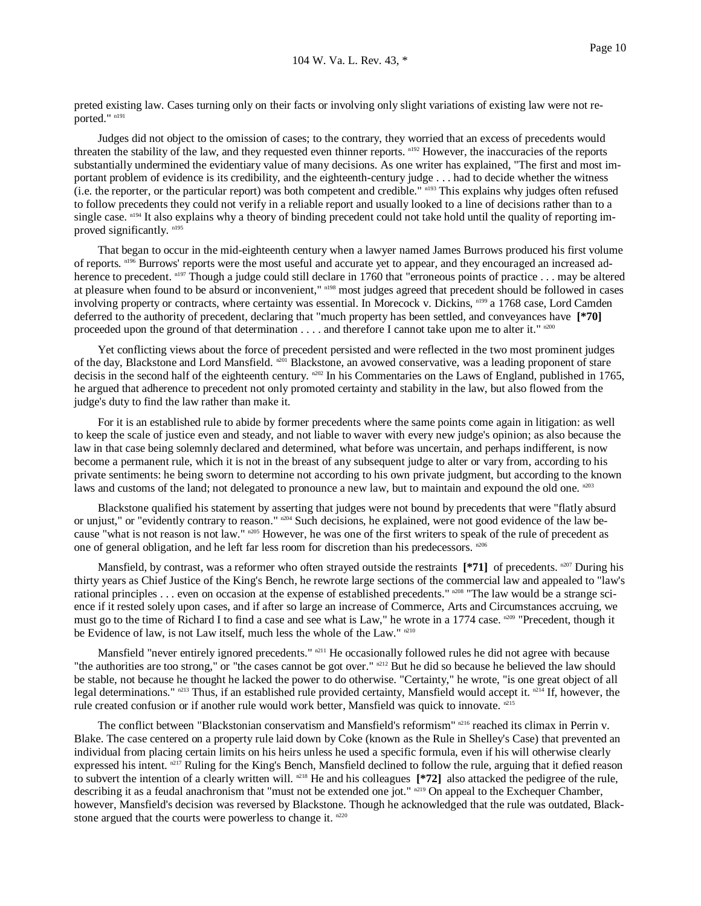preted existing law. Cases turning only on their facts or involving only slight variations of existing law were not reported." n191

 Judges did not object to the omission of cases; to the contrary, they worried that an excess of precedents would threaten the stability of the law, and they requested even thinner reports. n192 However, the inaccuracies of the reports substantially undermined the evidentiary value of many decisions. As one writer has explained, "The first and most important problem of evidence is its credibility, and the eighteenth-century judge . . . had to decide whether the witness (i.e. the reporter, or the particular report) was both competent and credible." n193 This explains why judges often refused to follow precedents they could not verify in a reliable report and usually looked to a line of decisions rather than to a single case.  $n<sup>194</sup>$  It also explains why a theory of binding precedent could not take hold until the quality of reporting improved significantly.<sup>n195</sup>

 That began to occur in the mid-eighteenth century when a lawyer named James Burrows produced his first volume of reports. <sup>n196</sup> Burrows' reports were the most useful and accurate yet to appear, and they encouraged an increased adherence to precedent. <sup>n197</sup> Though a judge could still declare in 1760 that "erroneous points of practice . . . may be altered at pleasure when found to be absurd or inconvenient," n198 most judges agreed that precedent should be followed in cases involving property or contracts, where certainty was essential. In Morecock v. Dickins, n199 a 1768 case, Lord Camden deferred to the authority of precedent, declaring that "much property has been settled, and conveyances have **[\*70]** proceeded upon the ground of that determination  $\dots$  and therefore I cannot take upon me to alter it."  $n^{200}$ 

 Yet conflicting views about the force of precedent persisted and were reflected in the two most prominent judges of the day, Blackstone and Lord Mansfield. <sup>n201</sup> Blackstone, an avowed conservative, was a leading proponent of stare decisis in the second half of the eighteenth century. <sup>n202</sup> In his Commentaries on the Laws of England, published in 1765, he argued that adherence to precedent not only promoted certainty and stability in the law, but also flowed from the judge's duty to find the law rather than make it.

 For it is an established rule to abide by former precedents where the same points come again in litigation: as well to keep the scale of justice even and steady, and not liable to waver with every new judge's opinion; as also because the law in that case being solemnly declared and determined, what before was uncertain, and perhaps indifferent, is now become a permanent rule, which it is not in the breast of any subsequent judge to alter or vary from, according to his private sentiments: he being sworn to determine not according to his own private judgment, but according to the known laws and customs of the land; not delegated to pronounce a new law, but to maintain and expound the old one. n203

 Blackstone qualified his statement by asserting that judges were not bound by precedents that were "flatly absurd or unjust," or "evidently contrary to reason." n<sup>204</sup> Such decisions, he explained, were not good evidence of the law because "what is not reason is not law." n205 However, he was one of the first writers to speak of the rule of precedent as one of general obligation, and he left far less room for discretion than his predecessors. n206

Mansfield, by contrast, was a reformer who often strayed outside the restraints  $[*/71]$  of precedents. <sup>n207</sup> During his thirty years as Chief Justice of the King's Bench, he rewrote large sections of the commercial law and appealed to "law's rational principles . . . even on occasion at the expense of established precedents."  $n^{208}$  "The law would be a strange science if it rested solely upon cases, and if after so large an increase of Commerce, Arts and Circumstances accruing, we must go to the time of Richard I to find a case and see what is Law," he wrote in a 1774 case. n<sup>209</sup> "Precedent, though it be Evidence of law, is not Law itself, much less the whole of the Law."  $n210$ 

Mansfield "never entirely ignored precedents." <sup>n211</sup> He occasionally followed rules he did not agree with because "the authorities are too strong," or "the cases cannot be got over."  $n^{212}$  But he did so because he believed the law should be stable, not because he thought he lacked the power to do otherwise. "Certainty," he wrote, "is one great object of all legal determinations." n213 Thus, if an established rule provided certainty, Mansfield would accept it. n214 If, however, the rule created confusion or if another rule would work better, Mansfield was quick to innovate.  $n^{215}$ 

The conflict between "Blackstonian conservatism and Mansfield's reformism"  $n^{216}$  reached its climax in Perrin v. Blake. The case centered on a property rule laid down by Coke (known as the Rule in Shelley's Case) that prevented an individual from placing certain limits on his heirs unless he used a specific formula, even if his will otherwise clearly expressed his intent.  $n^{217}$  Ruling for the King's Bench, Mansfield declined to follow the rule, arguing that it defied reason to subvert the intention of a clearly written will. n218 He and his colleagues **[\*72]** also attacked the pedigree of the rule, describing it as a feudal anachronism that "must not be extended one jot." <sup>n219</sup> On appeal to the Exchequer Chamber, however, Mansfield's decision was reversed by Blackstone. Though he acknowledged that the rule was outdated, Blackstone argued that the courts were powerless to change it.  $n220$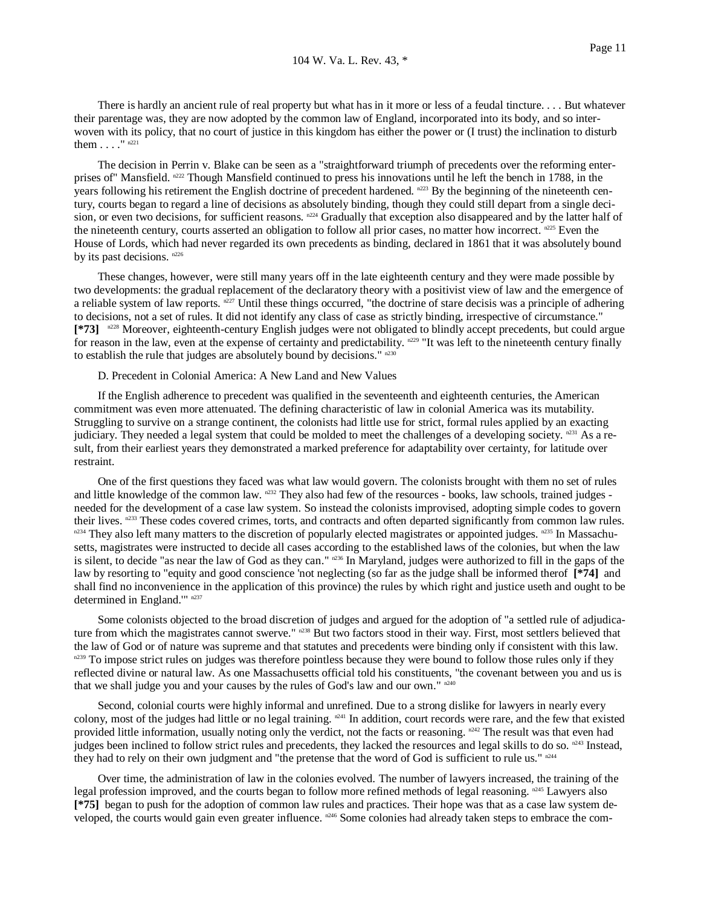There is hardly an ancient rule of real property but what has in it more or less of a feudal tincture. . . . But whatever their parentage was, they are now adopted by the common law of England, incorporated into its body, and so interwoven with its policy, that no court of justice in this kingdom has either the power or (I trust) the inclination to disturb them  $\ldots$ ."  $n^{221}$ 

 The decision in Perrin v. Blake can be seen as a "straightforward triumph of precedents over the reforming enterprises of "Mansfield,  $n^{222}$  Though Mansfield continued to press his innovations until he left the bench in 1788, in the years following his retirement the English doctrine of precedent hardened. n<sup>223</sup> By the beginning of the nineteenth century, courts began to regard a line of decisions as absolutely binding, though they could still depart from a single decision, or even two decisions, for sufficient reasons. n224 Gradually that exception also disappeared and by the latter half of the nineteenth century, courts asserted an obligation to follow all prior cases, no matter how incorrect.  $n^{225}$  Even the House of Lords, which had never regarded its own precedents as binding, declared in 1861 that it was absolutely bound by its past decisions. n226

 These changes, however, were still many years off in the late eighteenth century and they were made possible by two developments: the gradual replacement of the declaratory theory with a positivist view of law and the emergence of a reliable system of law reports.  $n^{227}$  Until these things occurred, "the doctrine of stare decisis was a principle of adhering to decisions, not a set of rules. It did not identify any class of case as strictly binding, irrespective of circumstance." [\*73] <sup>n228</sup> Moreover, eighteenth-century English judges were not obligated to blindly accept precedents, but could argue for reason in the law, even at the expense of certainty and predictability.  $n^{229}$  "It was left to the nineteenth century finally to establish the rule that judges are absolutely bound by decisions." n230

D. Precedent in Colonial America: A New Land and New Values

 If the English adherence to precedent was qualified in the seventeenth and eighteenth centuries, the American commitment was even more attenuated. The defining characteristic of law in colonial America was its mutability. Struggling to survive on a strange continent, the colonists had little use for strict, formal rules applied by an exacting judiciary. They needed a legal system that could be molded to meet the challenges of a developing society.  $n231$  As a result, from their earliest years they demonstrated a marked preference for adaptability over certainty, for latitude over restraint.

 One of the first questions they faced was what law would govern. The colonists brought with them no set of rules and little knowledge of the common law. n<sup>232</sup> They also had few of the resources - books, law schools, trained judges needed for the development of a case law system. So instead the colonists improvised, adopting simple codes to govern their lives. n233 These codes covered crimes, torts, and contracts and often departed significantly from common law rules.  $n^{234}$  They also left many matters to the discretion of popularly elected magistrates or appointed judges.  $n^{235}$  In Massachusetts, magistrates were instructed to decide all cases according to the established laws of the colonies, but when the law is silent, to decide "as near the law of God as they can." n236 In Maryland, judges were authorized to fill in the gaps of the law by resorting to "equity and good conscience 'not neglecting (so far as the judge shall be informed therof **[\*74]** and shall find no inconvenience in the application of this province) the rules by which right and justice useth and ought to be determined in England."" n237

 Some colonists objected to the broad discretion of judges and argued for the adoption of "a settled rule of adjudicature from which the magistrates cannot swerve." <sup>n238</sup> But two factors stood in their way. First, most settlers believed that the law of God or of nature was supreme and that statutes and precedents were binding only if consistent with this law. n239 To impose strict rules on judges was therefore pointless because they were bound to follow those rules only if they reflected divine or natural law. As one Massachusetts official told his constituents, "the covenant between you and us is that we shall judge you and your causes by the rules of God's law and our own." n240

 Second, colonial courts were highly informal and unrefined. Due to a strong dislike for lawyers in nearly every colony, most of the judges had little or no legal training.  $n^{24}$  In addition, court records were rare, and the few that existed provided little information, usually noting only the verdict, not the facts or reasoning.  $n^{2.42}$  The result was that even had judges been inclined to follow strict rules and precedents, they lacked the resources and legal skills to do so.  $n^{243}$  Instead, they had to rely on their own judgment and "the pretense that the word of God is sufficient to rule us."  $n^{244}$ 

 Over time, the administration of law in the colonies evolved. The number of lawyers increased, the training of the legal profession improved, and the courts began to follow more refined methods of legal reasoning. n<sup>245</sup> Lawyers also **[\*75]** began to push for the adoption of common law rules and practices. Their hope was that as a case law system developed, the courts would gain even greater influence. n246 Some colonies had already taken steps to embrace the com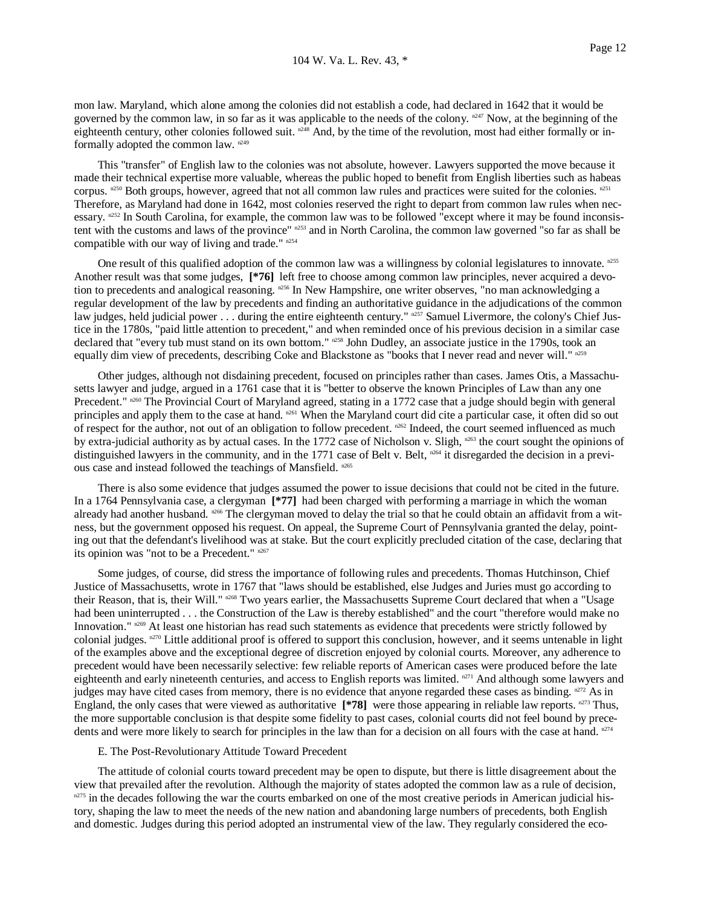mon law. Maryland, which alone among the colonies did not establish a code, had declared in 1642 that it would be governed by the common law, in so far as it was applicable to the needs of the colony.  $n^{2.47}$  Now, at the beginning of the eighteenth century, other colonies followed suit. <sup>n248</sup> And, by the time of the revolution, most had either formally or informally adopted the common law. n249

 This "transfer" of English law to the colonies was not absolute, however. Lawyers supported the move because it made their technical expertise more valuable, whereas the public hoped to benefit from English liberties such as habeas corpus.  $n^{250}$  Both groups, however, agreed that not all common law rules and practices were suited for the colonies.  $n^{251}$ Therefore, as Maryland had done in 1642, most colonies reserved the right to depart from common law rules when necessary. n252 In South Carolina, for example, the common law was to be followed "except where it may be found inconsistent with the customs and laws of the province" n253 and in North Carolina, the common law governed "so far as shall be compatible with our way of living and trade." n254

One result of this qualified adoption of the common law was a willingness by colonial legislatures to innovate. n<sup>255</sup> Another result was that some judges, **[\*76]** left free to choose among common law principles, never acquired a devotion to precedents and analogical reasoning.  $n^{256}$  In New Hampshire, one writer observes, "no man acknowledging a regular development of the law by precedents and finding an authoritative guidance in the adjudications of the common law judges, held judicial power ... during the entire eighteenth century." n257 Samuel Livermore, the colony's Chief Justice in the 1780s, "paid little attention to precedent," and when reminded once of his previous decision in a similar case declared that "every tub must stand on its own bottom." n258 John Dudley, an associate justice in the 1790s, took an equally dim view of precedents, describing Coke and Blackstone as "books that I never read and never will." n<sup>259</sup>

 Other judges, although not disdaining precedent, focused on principles rather than cases. James Otis, a Massachusetts lawyer and judge, argued in a 1761 case that it is "better to observe the known Principles of Law than any one Precedent." n260 The Provincial Court of Maryland agreed, stating in a 1772 case that a judge should begin with general principles and apply them to the case at hand. <sup>n261</sup> When the Maryland court did cite a particular case, it often did so out of respect for the author, not out of an obligation to follow precedent. n262 Indeed, the court seemed influenced as much by extra-judicial authority as by actual cases. In the 1772 case of Nicholson v. Sligh,  $n^{263}$  the court sought the opinions of distinguished lawyers in the community, and in the 1771 case of Belt v. Belt,  $n^{264}$  it disregarded the decision in a previous case and instead followed the teachings of Mansfield. n265

 There is also some evidence that judges assumed the power to issue decisions that could not be cited in the future. In a 1764 Pennsylvania case, a clergyman **[\*77]** had been charged with performing a marriage in which the woman already had another husband. <sup>n266</sup> The clergyman moved to delay the trial so that he could obtain an affidavit from a witness, but the government opposed his request. On appeal, the Supreme Court of Pennsylvania granted the delay, pointing out that the defendant's livelihood was at stake. But the court explicitly precluded citation of the case, declaring that its opinion was "not to be a Precedent." n267

 Some judges, of course, did stress the importance of following rules and precedents. Thomas Hutchinson, Chief Justice of Massachusetts, wrote in 1767 that "laws should be established, else Judges and Juries must go according to their Reason, that is, their Will." <sup>n268</sup> Two years earlier, the Massachusetts Supreme Court declared that when a "Usage had been uninterrupted . . . the Construction of the Law is thereby established" and the court "therefore would make no Innovation."  $n^{269}$  At least one historian has read such statements as evidence that precedents were strictly followed by colonial judges.  $n^{270}$  Little additional proof is offered to support this conclusion, however, and it seems untenable in light of the examples above and the exceptional degree of discretion enjoyed by colonial courts. Moreover, any adherence to precedent would have been necessarily selective: few reliable reports of American cases were produced before the late eighteenth and early nineteenth centuries, and access to English reports was limited. n271 And although some lawyers and judges may have cited cases from memory, there is no evidence that anyone regarded these cases as binding.  $n^{272}$  As in England, the only cases that were viewed as authoritative [\*78] were those appearing in reliable law reports. n<sup>273</sup> Thus, the more supportable conclusion is that despite some fidelity to past cases, colonial courts did not feel bound by precedents and were more likely to search for principles in the law than for a decision on all fours with the case at hand. n274

#### E. The Post-Revolutionary Attitude Toward Precedent

 The attitude of colonial courts toward precedent may be open to dispute, but there is little disagreement about the view that prevailed after the revolution. Although the majority of states adopted the common law as a rule of decision,  $n^{275}$  in the decades following the war the courts embarked on one of the most creative periods in American judicial history, shaping the law to meet the needs of the new nation and abandoning large numbers of precedents, both English and domestic. Judges during this period adopted an instrumental view of the law. They regularly considered the eco-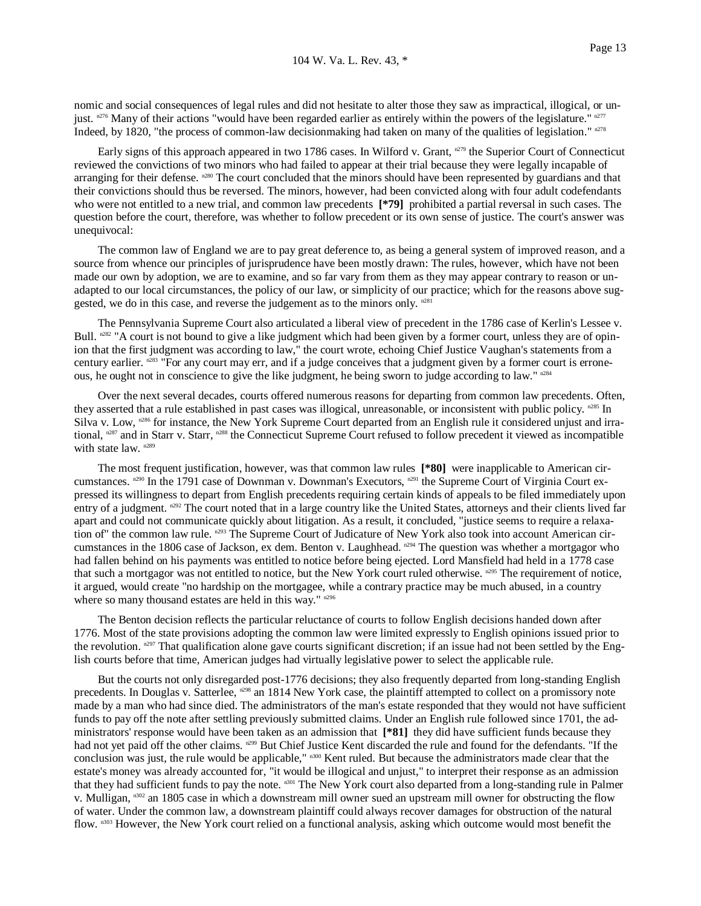nomic and social consequences of legal rules and did not hesitate to alter those they saw as impractical, illogical, or unjust.  $n^{276}$  Many of their actions "would have been regarded earlier as entirely within the powers of the legislature."  $n^{277}$ Indeed, by 1820, "the process of common-law decisionmaking had taken on many of the qualities of legislation." n278

Early signs of this approach appeared in two 1786 cases. In Wilford v. Grant, n279 the Superior Court of Connecticut reviewed the convictions of two minors who had failed to appear at their trial because they were legally incapable of arranging for their defense. <sup>n280</sup> The court concluded that the minors should have been represented by guardians and that their convictions should thus be reversed. The minors, however, had been convicted along with four adult codefendants who were not entitled to a new trial, and common law precedents  $[*79]$  prohibited a partial reversal in such cases. The question before the court, therefore, was whether to follow precedent or its own sense of justice. The court's answer was unequivocal:

 The common law of England we are to pay great deference to, as being a general system of improved reason, and a source from whence our principles of jurisprudence have been mostly drawn: The rules, however, which have not been made our own by adoption, we are to examine, and so far vary from them as they may appear contrary to reason or unadapted to our local circumstances, the policy of our law, or simplicity of our practice; which for the reasons above suggested, we do in this case, and reverse the judgement as to the minors only.  $n281$ 

 The Pennsylvania Supreme Court also articulated a liberal view of precedent in the 1786 case of Kerlin's Lessee v. Bull.  $n^{282}$  "A court is not bound to give a like judgment which had been given by a former court, unless they are of opinion that the first judgment was according to law," the court wrote, echoing Chief Justice Vaughan's statements from a century earlier.  $n^{283}$  "For any court may err, and if a judge conceives that a judgment given by a former court is erroneous, he ought not in conscience to give the like judgment, he being sworn to judge according to law."  $n^{2.84}$ 

 Over the next several decades, courts offered numerous reasons for departing from common law precedents. Often, they asserted that a rule established in past cases was illogical, unreasonable, or inconsistent with public policy. n<sup>285</sup> In Silva v. Low,  $n^{286}$  for instance, the New York Supreme Court departed from an English rule it considered unjust and irrational, n287 and in Starr v. Starr, n288 the Connecticut Supreme Court refused to follow precedent it viewed as incompatible with state law. n289

 The most frequent justification, however, was that common law rules **[\*80]** were inapplicable to American circumstances. n<sup>290</sup> In the 1791 case of Downman v. Downman's Executors, n<sup>291</sup> the Supreme Court of Virginia Court expressed its willingness to depart from English precedents requiring certain kinds of appeals to be filed immediately upon entry of a judgment. n292 The court noted that in a large country like the United States, attorneys and their clients lived far apart and could not communicate quickly about litigation. As a result, it concluded, "justice seems to require a relaxation of" the common law rule. n293 The Supreme Court of Judicature of New York also took into account American circumstances in the 1806 case of Jackson, ex dem. Benton v. Laughhead.  $n^{294}$  The question was whether a mortgagor who had fallen behind on his payments was entitled to notice before being ejected. Lord Mansfield had held in a 1778 case that such a mortgagor was not entitled to notice, but the New York court ruled otherwise.  $n^{295}$  The requirement of notice, it argued, would create "no hardship on the mortgagee, while a contrary practice may be much abused, in a country where so many thousand estates are held in this way." n296

 The Benton decision reflects the particular reluctance of courts to follow English decisions handed down after 1776. Most of the state provisions adopting the common law were limited expressly to English opinions issued prior to the revolution.  $n^{297}$  That qualification alone gave courts significant discretion; if an issue had not been settled by the English courts before that time, American judges had virtually legislative power to select the applicable rule.

 But the courts not only disregarded post-1776 decisions; they also frequently departed from long-standing English precedents. In Douglas v. Satterlee,  $n^{298}$  an 1814 New York case, the plaintiff attempted to collect on a promissory note made by a man who had since died. The administrators of the man's estate responded that they would not have sufficient funds to pay off the note after settling previously submitted claims. Under an English rule followed since 1701, the administrators' response would have been taken as an admission that **[\*81]** they did have sufficient funds because they had not yet paid off the other claims. <sup>n299</sup> But Chief Justice Kent discarded the rule and found for the defendants. "If the conclusion was just, the rule would be applicable," n300 Kent ruled. But because the administrators made clear that the estate's money was already accounted for, "it would be illogical and unjust," to interpret their response as an admission that they had sufficient funds to pay the note. n301 The New York court also departed from a long-standing rule in Palmer v. Mulligan, n302 an 1805 case in which a downstream mill owner sued an upstream mill owner for obstructing the flow of water. Under the common law, a downstream plaintiff could always recover damages for obstruction of the natural flow. n303 However, the New York court relied on a functional analysis, asking which outcome would most benefit the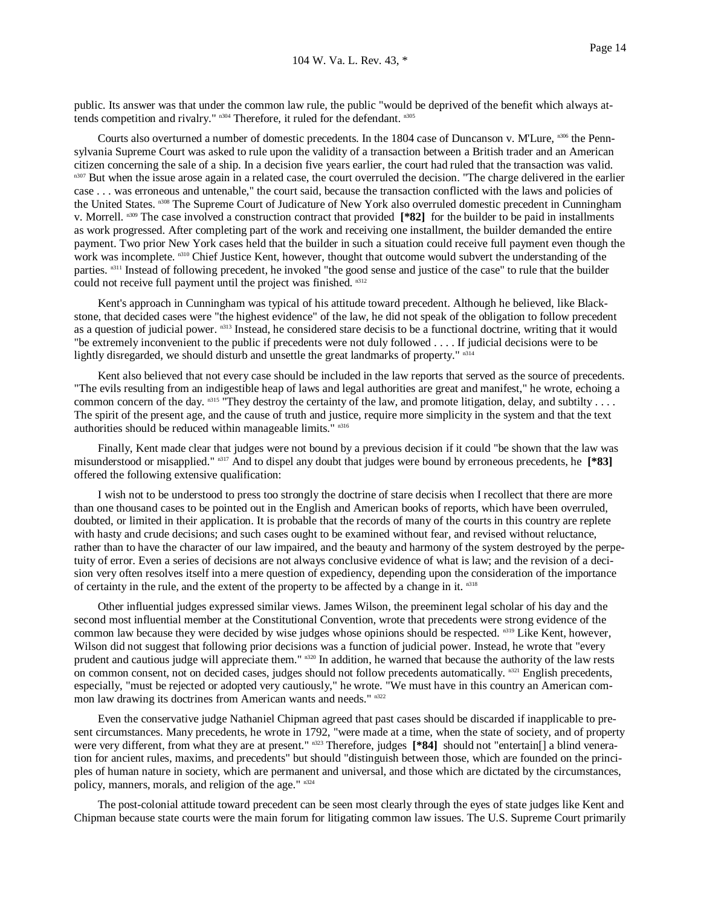public. Its answer was that under the common law rule, the public "would be deprived of the benefit which always attends competition and rivalry." n<sup>304</sup> Therefore, it ruled for the defendant. n<sup>305</sup>

 Courts also overturned a number of domestic precedents. In the 1804 case of Duncanson v. M'Lure, n306 the Pennsylvania Supreme Court was asked to rule upon the validity of a transaction between a British trader and an American citizen concerning the sale of a ship. In a decision five years earlier, the court had ruled that the transaction was valid. <sup>n307</sup> But when the issue arose again in a related case, the court overruled the decision. "The charge delivered in the earlier case . . . was erroneous and untenable," the court said, because the transaction conflicted with the laws and policies of the United States. n308 The Supreme Court of Judicature of New York also overruled domestic precedent in Cunningham v. Morrell. n309 The case involved a construction contract that provided **[\*82]** for the builder to be paid in installments as work progressed. After completing part of the work and receiving one installment, the builder demanded the entire payment. Two prior New York cases held that the builder in such a situation could receive full payment even though the work was incomplete.  $n310$  Chief Justice Kent, however, thought that outcome would subvert the understanding of the parties. n311 Instead of following precedent, he invoked "the good sense and justice of the case" to rule that the builder could not receive full payment until the project was finished. n312

 Kent's approach in Cunningham was typical of his attitude toward precedent. Although he believed, like Blackstone, that decided cases were "the highest evidence" of the law, he did not speak of the obligation to follow precedent as a question of judicial power. n313 Instead, he considered stare decisis to be a functional doctrine, writing that it would "be extremely inconvenient to the public if precedents were not duly followed . . . . If judicial decisions were to be lightly disregarded, we should disturb and unsettle the great landmarks of property."  $n^{314}$ 

 Kent also believed that not every case should be included in the law reports that served as the source of precedents. "The evils resulting from an indigestible heap of laws and legal authorities are great and manifest," he wrote, echoing a common concern of the day.  $n315$  "They destroy the certainty of the law, and promote litigation, delay, and subtilty . . . . The spirit of the present age, and the cause of truth and justice, require more simplicity in the system and that the text authorities should be reduced within manageable limits." n316

 Finally, Kent made clear that judges were not bound by a previous decision if it could "be shown that the law was misunderstood or misapplied." n317 And to dispel any doubt that judges were bound by erroneous precedents, he **[\*83]** offered the following extensive qualification:

 I wish not to be understood to press too strongly the doctrine of stare decisis when I recollect that there are more than one thousand cases to be pointed out in the English and American books of reports, which have been overruled, doubted, or limited in their application. It is probable that the records of many of the courts in this country are replete with hasty and crude decisions; and such cases ought to be examined without fear, and revised without reluctance, rather than to have the character of our law impaired, and the beauty and harmony of the system destroyed by the perpetuity of error. Even a series of decisions are not always conclusive evidence of what is law; and the revision of a decision very often resolves itself into a mere question of expediency, depending upon the consideration of the importance of certainty in the rule, and the extent of the property to be affected by a change in it.  $n_{318}$ 

 Other influential judges expressed similar views. James Wilson, the preeminent legal scholar of his day and the second most influential member at the Constitutional Convention, wrote that precedents were strong evidence of the common law because they were decided by wise judges whose opinions should be respected. n319 Like Kent, however, Wilson did not suggest that following prior decisions was a function of judicial power. Instead, he wrote that "every prudent and cautious judge will appreciate them." n320 In addition, he warned that because the authority of the law rests on common consent, not on decided cases, judges should not follow precedents automatically. n<sup>321</sup> English precedents, especially, "must be rejected or adopted very cautiously," he wrote. "We must have in this country an American common law drawing its doctrines from American wants and needs." n322

 Even the conservative judge Nathaniel Chipman agreed that past cases should be discarded if inapplicable to present circumstances. Many precedents, he wrote in 1792, "were made at a time, when the state of society, and of property were very different, from what they are at present." n323 Therefore, judges **[\*84]** should not "entertain[] a blind veneration for ancient rules, maxims, and precedents" but should "distinguish between those, which are founded on the principles of human nature in society, which are permanent and universal, and those which are dictated by the circumstances, policy, manners, morals, and religion of the age." n324

 The post-colonial attitude toward precedent can be seen most clearly through the eyes of state judges like Kent and Chipman because state courts were the main forum for litigating common law issues. The U.S. Supreme Court primarily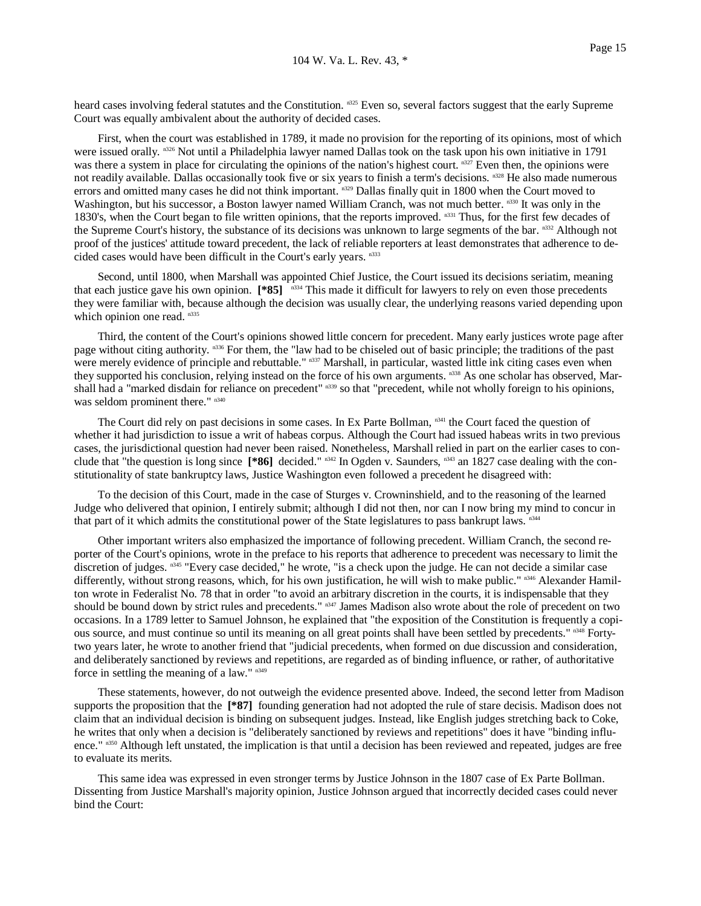heard cases involving federal statutes and the Constitution. n<sup>325</sup> Even so, several factors suggest that the early Supreme Court was equally ambivalent about the authority of decided cases.

 First, when the court was established in 1789, it made no provision for the reporting of its opinions, most of which were issued orally. n326 Not until a Philadelphia lawyer named Dallas took on the task upon his own initiative in 1791 was there a system in place for circulating the opinions of the nation's highest court. n327 Even then, the opinions were not readily available. Dallas occasionally took five or six years to finish a term's decisions. n<sup>328</sup> He also made numerous errors and omitted many cases he did not think important.  $n329$  Dallas finally quit in 1800 when the Court moved to Washington, but his successor, a Boston lawyer named William Cranch, was not much better. n330 It was only in the 1830's, when the Court began to file written opinions, that the reports improved. n331 Thus, for the first few decades of the Supreme Court's history, the substance of its decisions was unknown to large segments of the bar.  $^{n332}$  Although not proof of the justices' attitude toward precedent, the lack of reliable reporters at least demonstrates that adherence to decided cases would have been difficult in the Court's early years. n333

 Second, until 1800, when Marshall was appointed Chief Justice, the Court issued its decisions seriatim, meaning that each justice gave his own opinion. **[\*85]** n334 This made it difficult for lawyers to rely on even those precedents they were familiar with, because although the decision was usually clear, the underlying reasons varied depending upon which opinion one read. n335

 Third, the content of the Court's opinions showed little concern for precedent. Many early justices wrote page after page without citing authority. n336 For them, the "law had to be chiseled out of basic principle; the traditions of the past were merely evidence of principle and rebuttable." n337 Marshall, in particular, wasted little ink citing cases even when they supported his conclusion, relying instead on the force of his own arguments. n338 As one scholar has observed, Marshall had a "marked disdain for reliance on precedent" n339 so that "precedent, while not wholly foreign to his opinions, was seldom prominent there."  $n340$ 

The Court did rely on past decisions in some cases. In Ex Parte Bollman,  $n341$  the Court faced the question of whether it had jurisdiction to issue a writ of habeas corpus. Although the Court had issued habeas writs in two previous cases, the jurisdictional question had never been raised. Nonetheless, Marshall relied in part on the earlier cases to conclude that "the question is long since  $[$ **\*86**] decided."  $n^{342}$  In Ogden v. Saunders,  $n^{343}$  an 1827 case dealing with the constitutionality of state bankruptcy laws, Justice Washington even followed a precedent he disagreed with:

 To the decision of this Court, made in the case of Sturges v. Crowninshield, and to the reasoning of the learned Judge who delivered that opinion, I entirely submit; although I did not then, nor can I now bring my mind to concur in that part of it which admits the constitutional power of the State legislatures to pass bankrupt laws. n<sup>344</sup>

 Other important writers also emphasized the importance of following precedent. William Cranch, the second reporter of the Court's opinions, wrote in the preface to his reports that adherence to precedent was necessary to limit the discretion of judges. n345 "Every case decided," he wrote, "is a check upon the judge. He can not decide a similar case differently, without strong reasons, which, for his own justification, he will wish to make public." n346 Alexander Hamilton wrote in Federalist No. 78 that in order "to avoid an arbitrary discretion in the courts, it is indispensable that they should be bound down by strict rules and precedents."  $n^{347}$  James Madison also wrote about the role of precedent on two occasions. In a 1789 letter to Samuel Johnson, he explained that "the exposition of the Constitution is frequently a copious source, and must continue so until its meaning on all great points shall have been settled by precedents." n348 Fortytwo years later, he wrote to another friend that "judicial precedents, when formed on due discussion and consideration, and deliberately sanctioned by reviews and repetitions, are regarded as of binding influence, or rather, of authoritative force in settling the meaning of a law." n349

 These statements, however, do not outweigh the evidence presented above. Indeed, the second letter from Madison supports the proposition that the **[\*87]** founding generation had not adopted the rule of stare decisis. Madison does not claim that an individual decision is binding on subsequent judges. Instead, like English judges stretching back to Coke, he writes that only when a decision is "deliberately sanctioned by reviews and repetitions" does it have "binding influence." n<sup>350</sup> Although left unstated, the implication is that until a decision has been reviewed and repeated, judges are free to evaluate its merits.

 This same idea was expressed in even stronger terms by Justice Johnson in the 1807 case of Ex Parte Bollman. Dissenting from Justice Marshall's majority opinion, Justice Johnson argued that incorrectly decided cases could never bind the Court: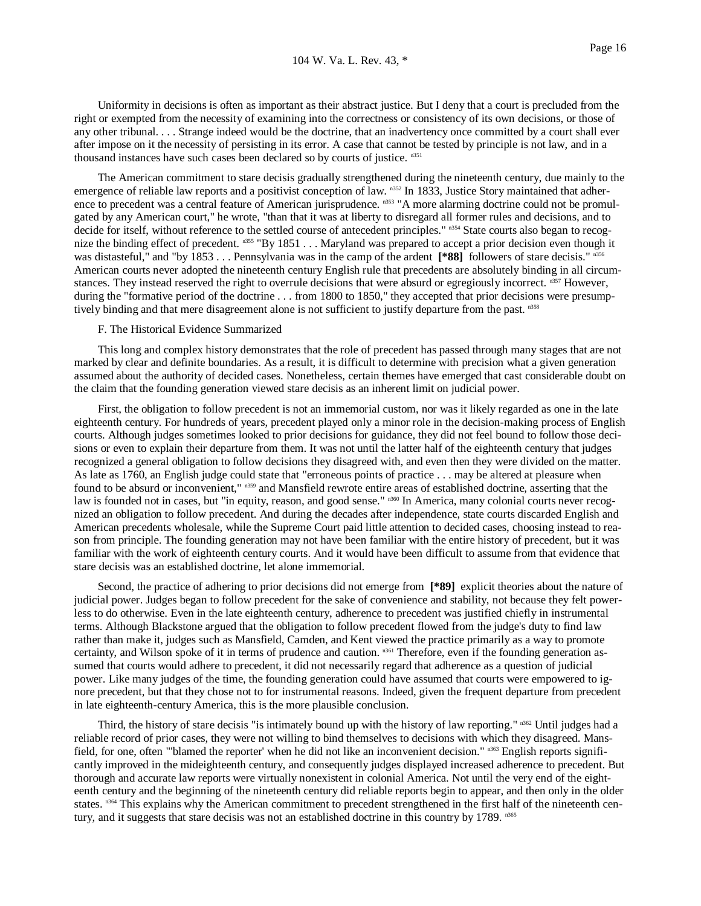Uniformity in decisions is often as important as their abstract justice. But I deny that a court is precluded from the right or exempted from the necessity of examining into the correctness or consistency of its own decisions, or those of any other tribunal. . . . Strange indeed would be the doctrine, that an inadvertency once committed by a court shall ever after impose on it the necessity of persisting in its error. A case that cannot be tested by principle is not law, and in a thousand instances have such cases been declared so by courts of justice. n351

 The American commitment to stare decisis gradually strengthened during the nineteenth century, due mainly to the emergence of reliable law reports and a positivist conception of law. n352 In 1833, Justice Story maintained that adherence to precedent was a central feature of American jurisprudence. n353 "A more alarming doctrine could not be promulgated by any American court," he wrote, "than that it was at liberty to disregard all former rules and decisions, and to decide for itself, without reference to the settled course of antecedent principles." n354 State courts also began to recognize the binding effect of precedent. n355 "By 1851 . . . Maryland was prepared to accept a prior decision even though it was distasteful," and "by 1853 . . . Pennsylvania was in the camp of the ardent [\*88] followers of stare decisis." n356 American courts never adopted the nineteenth century English rule that precedents are absolutely binding in all circumstances. They instead reserved the right to overrule decisions that were absurd or egregiously incorrect. n357 However, during the "formative period of the doctrine . . . from 1800 to 1850," they accepted that prior decisions were presumptively binding and that mere disagreement alone is not sufficient to justify departure from the past. n<sup>358</sup>

### F. The Historical Evidence Summarized

 This long and complex history demonstrates that the role of precedent has passed through many stages that are not marked by clear and definite boundaries. As a result, it is difficult to determine with precision what a given generation assumed about the authority of decided cases. Nonetheless, certain themes have emerged that cast considerable doubt on the claim that the founding generation viewed stare decisis as an inherent limit on judicial power.

 First, the obligation to follow precedent is not an immemorial custom, nor was it likely regarded as one in the late eighteenth century. For hundreds of years, precedent played only a minor role in the decision-making process of English courts. Although judges sometimes looked to prior decisions for guidance, they did not feel bound to follow those decisions or even to explain their departure from them. It was not until the latter half of the eighteenth century that judges recognized a general obligation to follow decisions they disagreed with, and even then they were divided on the matter. As late as 1760, an English judge could state that "erroneous points of practice . . . may be altered at pleasure when found to be absurd or inconvenient," n359 and Mansfield rewrote entire areas of established doctrine, asserting that the law is founded not in cases, but "in equity, reason, and good sense." n360 In America, many colonial courts never recognized an obligation to follow precedent. And during the decades after independence, state courts discarded English and American precedents wholesale, while the Supreme Court paid little attention to decided cases, choosing instead to reason from principle. The founding generation may not have been familiar with the entire history of precedent, but it was familiar with the work of eighteenth century courts. And it would have been difficult to assume from that evidence that stare decisis was an established doctrine, let alone immemorial.

 Second, the practice of adhering to prior decisions did not emerge from **[\*89]** explicit theories about the nature of judicial power. Judges began to follow precedent for the sake of convenience and stability, not because they felt powerless to do otherwise. Even in the late eighteenth century, adherence to precedent was justified chiefly in instrumental terms. Although Blackstone argued that the obligation to follow precedent flowed from the judge's duty to find law rather than make it, judges such as Mansfield, Camden, and Kent viewed the practice primarily as a way to promote certainty, and Wilson spoke of it in terms of prudence and caution. n361 Therefore, even if the founding generation assumed that courts would adhere to precedent, it did not necessarily regard that adherence as a question of judicial power. Like many judges of the time, the founding generation could have assumed that courts were empowered to ignore precedent, but that they chose not to for instrumental reasons. Indeed, given the frequent departure from precedent in late eighteenth-century America, this is the more plausible conclusion.

Third, the history of stare decisis "is intimately bound up with the history of law reporting."  $n362$  Until judges had a reliable record of prior cases, they were not willing to bind themselves to decisions with which they disagreed. Mansfield, for one, often "'blamed the reporter' when he did not like an inconvenient decision." n363 English reports significantly improved in the mideighteenth century, and consequently judges displayed increased adherence to precedent. But thorough and accurate law reports were virtually nonexistent in colonial America. Not until the very end of the eighteenth century and the beginning of the nineteenth century did reliable reports begin to appear, and then only in the older states. n364 This explains why the American commitment to precedent strengthened in the first half of the nineteenth century, and it suggests that stare decisis was not an established doctrine in this country by 1789. n365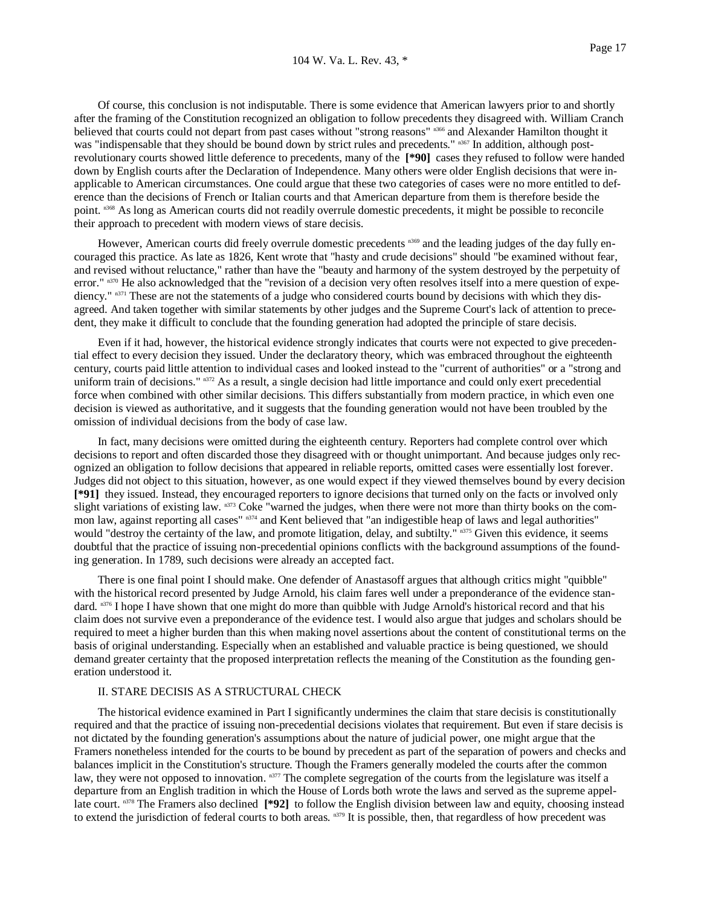Of course, this conclusion is not indisputable. There is some evidence that American lawyers prior to and shortly after the framing of the Constitution recognized an obligation to follow precedents they disagreed with. William Cranch believed that courts could not depart from past cases without "strong reasons" n366 and Alexander Hamilton thought it was "indispensable that they should be bound down by strict rules and precedents." n367 In addition, although postrevolutionary courts showed little deference to precedents, many of the **[\*90]** cases they refused to follow were handed down by English courts after the Declaration of Independence. Many others were older English decisions that were inapplicable to American circumstances. One could argue that these two categories of cases were no more entitled to deference than the decisions of French or Italian courts and that American departure from them is therefore beside the point. n368 As long as American courts did not readily overrule domestic precedents, it might be possible to reconcile their approach to precedent with modern views of stare decisis.

However, American courts did freely overrule domestic precedents n<sup>369</sup> and the leading judges of the day fully encouraged this practice. As late as 1826, Kent wrote that "hasty and crude decisions" should "be examined without fear, and revised without reluctance," rather than have the "beauty and harmony of the system destroyed by the perpetuity of error." n370 He also acknowledged that the "revision of a decision very often resolves itself into a mere question of expediency." n371 These are not the statements of a judge who considered courts bound by decisions with which they disagreed. And taken together with similar statements by other judges and the Supreme Court's lack of attention to precedent, they make it difficult to conclude that the founding generation had adopted the principle of stare decisis.

 Even if it had, however, the historical evidence strongly indicates that courts were not expected to give precedential effect to every decision they issued. Under the declaratory theory, which was embraced throughout the eighteenth century, courts paid little attention to individual cases and looked instead to the "current of authorities" or a "strong and uniform train of decisions." n<sup>372</sup> As a result, a single decision had little importance and could only exert precedential force when combined with other similar decisions. This differs substantially from modern practice, in which even one decision is viewed as authoritative, and it suggests that the founding generation would not have been troubled by the omission of individual decisions from the body of case law.

 In fact, many decisions were omitted during the eighteenth century. Reporters had complete control over which decisions to report and often discarded those they disagreed with or thought unimportant. And because judges only recognized an obligation to follow decisions that appeared in reliable reports, omitted cases were essentially lost forever. Judges did not object to this situation, however, as one would expect if they viewed themselves bound by every decision **[\*91]** they issued. Instead, they encouraged reporters to ignore decisions that turned only on the facts or involved only slight variations of existing law. n373 Coke "warned the judges, when there were not more than thirty books on the common law, against reporting all cases" n374 and Kent believed that "an indigestible heap of laws and legal authorities" would "destroy the certainty of the law, and promote litigation, delay, and subtilty." n375 Given this evidence, it seems doubtful that the practice of issuing non-precedential opinions conflicts with the background assumptions of the founding generation. In 1789, such decisions were already an accepted fact.

 There is one final point I should make. One defender of Anastasoff argues that although critics might "quibble" with the historical record presented by Judge Arnold, his claim fares well under a preponderance of the evidence standard. n376 I hope I have shown that one might do more than quibble with Judge Arnold's historical record and that his claim does not survive even a preponderance of the evidence test. I would also argue that judges and scholars should be required to meet a higher burden than this when making novel assertions about the content of constitutional terms on the basis of original understanding. Especially when an established and valuable practice is being questioned, we should demand greater certainty that the proposed interpretation reflects the meaning of the Constitution as the founding generation understood it.

# II. STARE DECISIS AS A STRUCTURAL CHECK

 The historical evidence examined in Part I significantly undermines the claim that stare decisis is constitutionally required and that the practice of issuing non-precedential decisions violates that requirement. But even if stare decisis is not dictated by the founding generation's assumptions about the nature of judicial power, one might argue that the Framers nonetheless intended for the courts to be bound by precedent as part of the separation of powers and checks and balances implicit in the Constitution's structure. Though the Framers generally modeled the courts after the common law, they were not opposed to innovation. n377 The complete segregation of the courts from the legislature was itself a departure from an English tradition in which the House of Lords both wrote the laws and served as the supreme appellate court. n378 The Framers also declined **[\*92]** to follow the English division between law and equity, choosing instead to extend the jurisdiction of federal courts to both areas. n379 It is possible, then, that regardless of how precedent was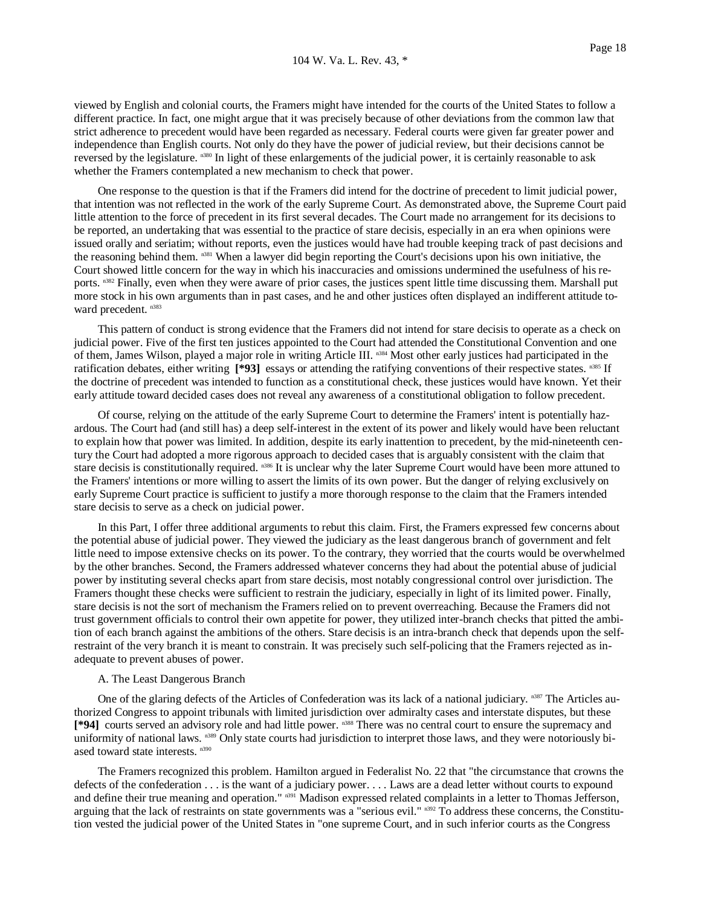viewed by English and colonial courts, the Framers might have intended for the courts of the United States to follow a different practice. In fact, one might argue that it was precisely because of other deviations from the common law that strict adherence to precedent would have been regarded as necessary. Federal courts were given far greater power and independence than English courts. Not only do they have the power of judicial review, but their decisions cannot be reversed by the legislature. n<sup>380</sup> In light of these enlargements of the judicial power, it is certainly reasonable to ask whether the Framers contemplated a new mechanism to check that power.

 One response to the question is that if the Framers did intend for the doctrine of precedent to limit judicial power, that intention was not reflected in the work of the early Supreme Court. As demonstrated above, the Supreme Court paid little attention to the force of precedent in its first several decades. The Court made no arrangement for its decisions to be reported, an undertaking that was essential to the practice of stare decisis, especially in an era when opinions were issued orally and seriatim; without reports, even the justices would have had trouble keeping track of past decisions and the reasoning behind them. n381 When a lawyer did begin reporting the Court's decisions upon his own initiative, the Court showed little concern for the way in which his inaccuracies and omissions undermined the usefulness of his reports. n382 Finally, even when they were aware of prior cases, the justices spent little time discussing them. Marshall put more stock in his own arguments than in past cases, and he and other justices often displayed an indifferent attitude toward precedent.  $n383$ 

 This pattern of conduct is strong evidence that the Framers did not intend for stare decisis to operate as a check on judicial power. Five of the first ten justices appointed to the Court had attended the Constitutional Convention and one of them, James Wilson, played a major role in writing Article III. n384 Most other early justices had participated in the ratification debates, either writing  $[$ \*93] essays or attending the ratifying conventions of their respective states. n<sup>385</sup> If the doctrine of precedent was intended to function as a constitutional check, these justices would have known. Yet their early attitude toward decided cases does not reveal any awareness of a constitutional obligation to follow precedent.

 Of course, relying on the attitude of the early Supreme Court to determine the Framers' intent is potentially hazardous. The Court had (and still has) a deep self-interest in the extent of its power and likely would have been reluctant to explain how that power was limited. In addition, despite its early inattention to precedent, by the mid-nineteenth century the Court had adopted a more rigorous approach to decided cases that is arguably consistent with the claim that stare decisis is constitutionally required. <sup>n386</sup> It is unclear why the later Supreme Court would have been more attuned to the Framers' intentions or more willing to assert the limits of its own power. But the danger of relying exclusively on early Supreme Court practice is sufficient to justify a more thorough response to the claim that the Framers intended stare decisis to serve as a check on judicial power.

 In this Part, I offer three additional arguments to rebut this claim. First, the Framers expressed few concerns about the potential abuse of judicial power. They viewed the judiciary as the least dangerous branch of government and felt little need to impose extensive checks on its power. To the contrary, they worried that the courts would be overwhelmed by the other branches. Second, the Framers addressed whatever concerns they had about the potential abuse of judicial power by instituting several checks apart from stare decisis, most notably congressional control over jurisdiction. The Framers thought these checks were sufficient to restrain the judiciary, especially in light of its limited power. Finally, stare decisis is not the sort of mechanism the Framers relied on to prevent overreaching. Because the Framers did not trust government officials to control their own appetite for power, they utilized inter-branch checks that pitted the ambition of each branch against the ambitions of the others. Stare decisis is an intra-branch check that depends upon the selfrestraint of the very branch it is meant to constrain. It was precisely such self-policing that the Framers rejected as inadequate to prevent abuses of power.

# A. The Least Dangerous Branch

One of the glaring defects of the Articles of Confederation was its lack of a national judiciary. n387 The Articles authorized Congress to appoint tribunals with limited jurisdiction over admiralty cases and interstate disputes, but these **[\*94]** courts served an advisory role and had little power. n388 There was no central court to ensure the supremacy and uniformity of national laws. n389 Only state courts had jurisdiction to interpret those laws, and they were notoriously biased toward state interests. n390

 The Framers recognized this problem. Hamilton argued in Federalist No. 22 that "the circumstance that crowns the defects of the confederation . . . is the want of a judiciary power. . . . Laws are a dead letter without courts to expound and define their true meaning and operation." n<sup>391</sup> Madison expressed related complaints in a letter to Thomas Jefferson, arguing that the lack of restraints on state governments was a "serious evil." n392 To address these concerns, the Constitution vested the judicial power of the United States in "one supreme Court, and in such inferior courts as the Congress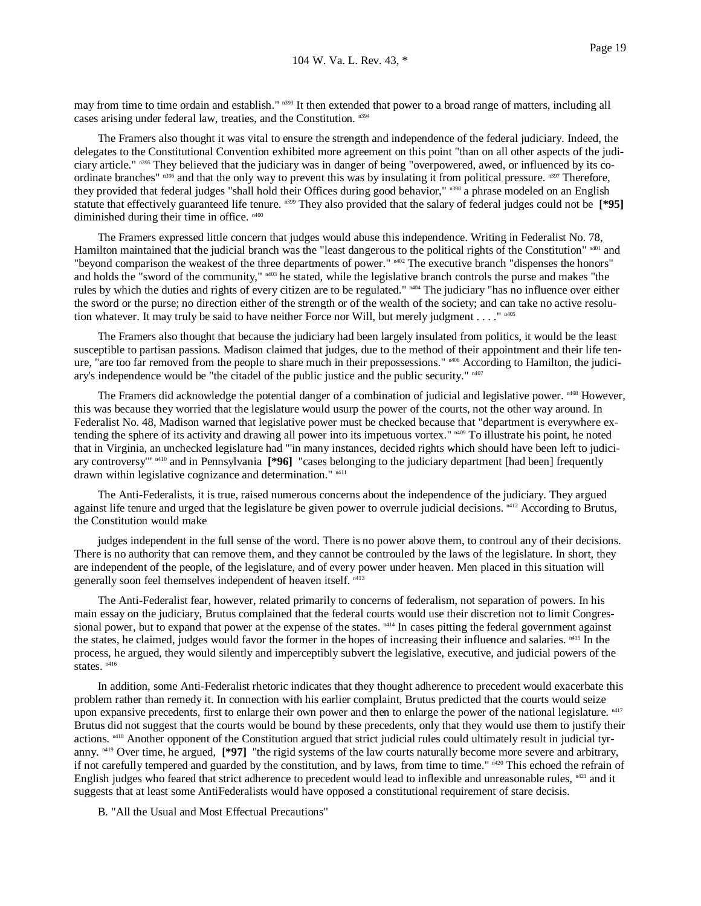may from time to time ordain and establish." n<sup>393</sup> It then extended that power to a broad range of matters, including all cases arising under federal law, treaties, and the Constitution. n394

 The Framers also thought it was vital to ensure the strength and independence of the federal judiciary. Indeed, the delegates to the Constitutional Convention exhibited more agreement on this point "than on all other aspects of the judiciary article." n395 They believed that the judiciary was in danger of being "overpowered, awed, or influenced by its coordinate branches"  $n_{396}$  and that the only way to prevent this was by insulating it from political pressure.  $n_{397}$  Therefore, they provided that federal judges "shall hold their Offices during good behavior," n398 a phrase modeled on an English statute that effectively guaranteed life tenure. n399 They also provided that the salary of federal judges could not be **[\*95]** diminished during their time in office.  $n400$ 

 The Framers expressed little concern that judges would abuse this independence. Writing in Federalist No. 78, Hamilton maintained that the judicial branch was the "least dangerous to the political rights of the Constitution" n401 and "beyond comparison the weakest of the three departments of power." <sup>n402</sup> The executive branch "dispenses the honors" and holds the "sword of the community," <sup>n403</sup> he stated, while the legislative branch controls the purse and makes "the rules by which the duties and rights of every citizen are to be regulated." n404 The judiciary "has no influence over either the sword or the purse; no direction either of the strength or of the wealth of the society; and can take no active resolution whatever. It may truly be said to have neither Force nor Will, but merely judgment . . . . " $\frac{n405}{2}$ 

 The Framers also thought that because the judiciary had been largely insulated from politics, it would be the least susceptible to partisan passions. Madison claimed that judges, due to the method of their appointment and their life tenure, "are too far removed from the people to share much in their prepossessions." <sup>n406</sup> According to Hamilton, the judiciary's independence would be "the citadel of the public justice and the public security." n407

The Framers did acknowledge the potential danger of a combination of judicial and legislative power.  $n408$  However, this was because they worried that the legislature would usurp the power of the courts, not the other way around. In Federalist No. 48, Madison warned that legislative power must be checked because that "department is everywhere extending the sphere of its activity and drawing all power into its impetuous vortex." n409 To illustrate his point, he noted that in Virginia, an unchecked legislature had "'in many instances, decided rights which should have been left to judiciary controversy'" n410 and in Pennsylvania **[\*96]** "cases belonging to the judiciary department [had been] frequently drawn within legislative cognizance and determination." n<sup>411</sup>

 The Anti-Federalists, it is true, raised numerous concerns about the independence of the judiciary. They argued against life tenure and urged that the legislature be given power to overrule judicial decisions. <sup>n412</sup> According to Brutus, the Constitution would make

 judges independent in the full sense of the word. There is no power above them, to controul any of their decisions. There is no authority that can remove them, and they cannot be controuled by the laws of the legislature. In short, they are independent of the people, of the legislature, and of every power under heaven. Men placed in this situation will generally soon feel themselves independent of heaven itself. n413

 The Anti-Federalist fear, however, related primarily to concerns of federalism, not separation of powers. In his main essay on the judiciary, Brutus complained that the federal courts would use their discretion not to limit Congressional power, but to expand that power at the expense of the states.  $n<sup>414</sup>$  In cases pitting the federal government against the states, he claimed, judges would favor the former in the hopes of increasing their influence and salaries. <sup>n415</sup> In the process, he argued, they would silently and imperceptibly subvert the legislative, executive, and judicial powers of the states.<sup>n416</sup>

 In addition, some Anti-Federalist rhetoric indicates that they thought adherence to precedent would exacerbate this problem rather than remedy it. In connection with his earlier complaint, Brutus predicted that the courts would seize upon expansive precedents, first to enlarge their own power and then to enlarge the power of the national legislature. n417 Brutus did not suggest that the courts would be bound by these precedents, only that they would use them to justify their actions. n418 Another opponent of the Constitution argued that strict judicial rules could ultimately result in judicial tyranny. <sup>n419</sup> Over time, he argued,  $[$ \*97] "the rigid systems of the law courts naturally become more severe and arbitrary, if not carefully tempered and guarded by the constitution, and by laws, from time to time."  $n420$  This echoed the refrain of English judges who feared that strict adherence to precedent would lead to inflexible and unreasonable rules,  $n421$  and it suggests that at least some AntiFederalists would have opposed a constitutional requirement of stare decisis.

B. "All the Usual and Most Effectual Precautions"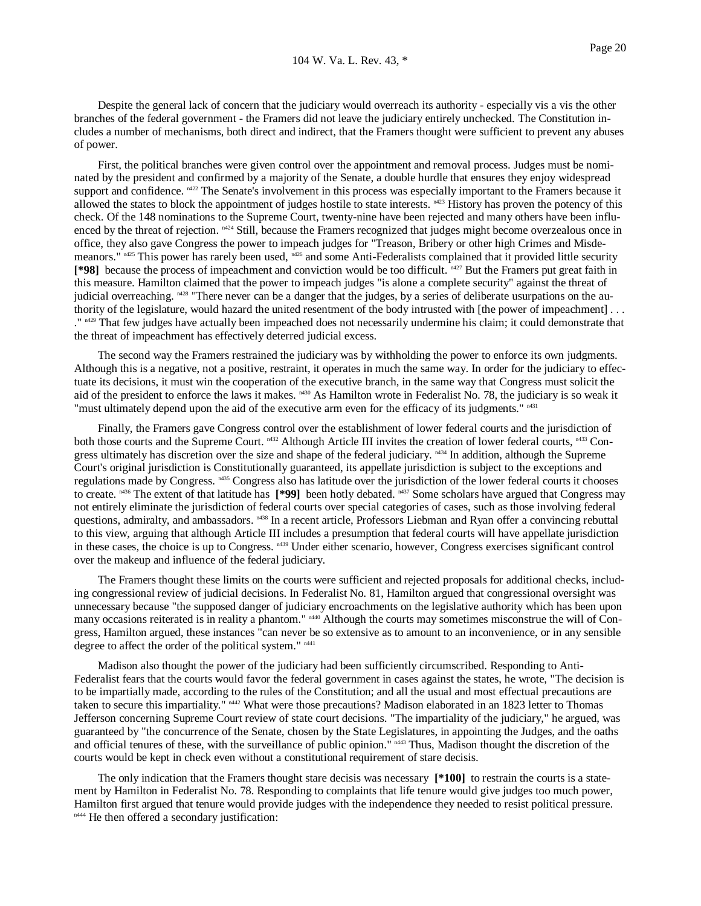Despite the general lack of concern that the judiciary would overreach its authority - especially vis a vis the other branches of the federal government - the Framers did not leave the judiciary entirely unchecked. The Constitution includes a number of mechanisms, both direct and indirect, that the Framers thought were sufficient to prevent any abuses of power.

 First, the political branches were given control over the appointment and removal process. Judges must be nominated by the president and confirmed by a majority of the Senate, a double hurdle that ensures they enjoy widespread support and confidence.  $n422$  The Senate's involvement in this process was especially important to the Framers because it allowed the states to block the appointment of judges hostile to state interests.  $n423$  History has proven the potency of this check. Of the 148 nominations to the Supreme Court, twenty-nine have been rejected and many others have been influenced by the threat of rejection.  $m<sup>24</sup>$  Still, because the Framers recognized that judges might become overzealous once in office, they also gave Congress the power to impeach judges for "Treason, Bribery or other high Crimes and Misdemeanors." n425 This power has rarely been used, n426 and some Anti-Federalists complained that it provided little security **[\*98]** because the process of impeachment and conviction would be too difficult. n427 But the Framers put great faith in this measure. Hamilton claimed that the power to impeach judges "is alone a complete security" against the threat of judicial overreaching.  $m28$  "There never can be a danger that the judges, by a series of deliberate usurpations on the authority of the legislature, would hazard the united resentment of the body intrusted with [the power of impeachment] . . . <sup>" n429</sup> That few judges have actually been impeached does not necessarily undermine his claim; it could demonstrate that the threat of impeachment has effectively deterred judicial excess.

 The second way the Framers restrained the judiciary was by withholding the power to enforce its own judgments. Although this is a negative, not a positive, restraint, it operates in much the same way. In order for the judiciary to effectuate its decisions, it must win the cooperation of the executive branch, in the same way that Congress must solicit the aid of the president to enforce the laws it makes.  $n430$  As Hamilton wrote in Federalist No. 78, the judiciary is so weak it "must ultimately depend upon the aid of the executive arm even for the efficacy of its judgments."  $n431$ 

 Finally, the Framers gave Congress control over the establishment of lower federal courts and the jurisdiction of both those courts and the Supreme Court. n432 Although Article III invites the creation of lower federal courts, n433 Congress ultimately has discretion over the size and shape of the federal judiciary.  $n434$  In addition, although the Supreme Court's original jurisdiction is Constitutionally guaranteed, its appellate jurisdiction is subject to the exceptions and regulations made by Congress. n435 Congress also has latitude over the jurisdiction of the lower federal courts it chooses to create.  $n436$  The extent of that latitude has [\*99] been hotly debated.  $n437$  Some scholars have argued that Congress may not entirely eliminate the jurisdiction of federal courts over special categories of cases, such as those involving federal questions, admiralty, and ambassadors. <sup>n438</sup> In a recent article, Professors Liebman and Ryan offer a convincing rebuttal to this view, arguing that although Article III includes a presumption that federal courts will have appellate jurisdiction in these cases, the choice is up to Congress.  $N^{439}$  Under either scenario, however, Congress exercises significant control over the makeup and influence of the federal judiciary.

 The Framers thought these limits on the courts were sufficient and rejected proposals for additional checks, including congressional review of judicial decisions. In Federalist No. 81, Hamilton argued that congressional oversight was unnecessary because "the supposed danger of judiciary encroachments on the legislative authority which has been upon many occasions reiterated is in reality a phantom." <sup>n440</sup> Although the courts may sometimes misconstrue the will of Congress, Hamilton argued, these instances "can never be so extensive as to amount to an inconvenience, or in any sensible degree to affect the order of the political system."  $n441$ 

 Madison also thought the power of the judiciary had been sufficiently circumscribed. Responding to Anti-Federalist fears that the courts would favor the federal government in cases against the states, he wrote, "The decision is to be impartially made, according to the rules of the Constitution; and all the usual and most effectual precautions are taken to secure this impartiality." n442 What were those precautions? Madison elaborated in an 1823 letter to Thomas Jefferson concerning Supreme Court review of state court decisions. "The impartiality of the judiciary," he argued, was guaranteed by "the concurrence of the Senate, chosen by the State Legislatures, in appointing the Judges, and the oaths and official tenures of these, with the surveillance of public opinion." <sup>n443</sup> Thus, Madison thought the discretion of the courts would be kept in check even without a constitutional requirement of stare decisis.

 The only indication that the Framers thought stare decisis was necessary **[\*100]** to restrain the courts is a statement by Hamilton in Federalist No. 78. Responding to complaints that life tenure would give judges too much power, Hamilton first argued that tenure would provide judges with the independence they needed to resist political pressure. n444 He then offered a secondary justification: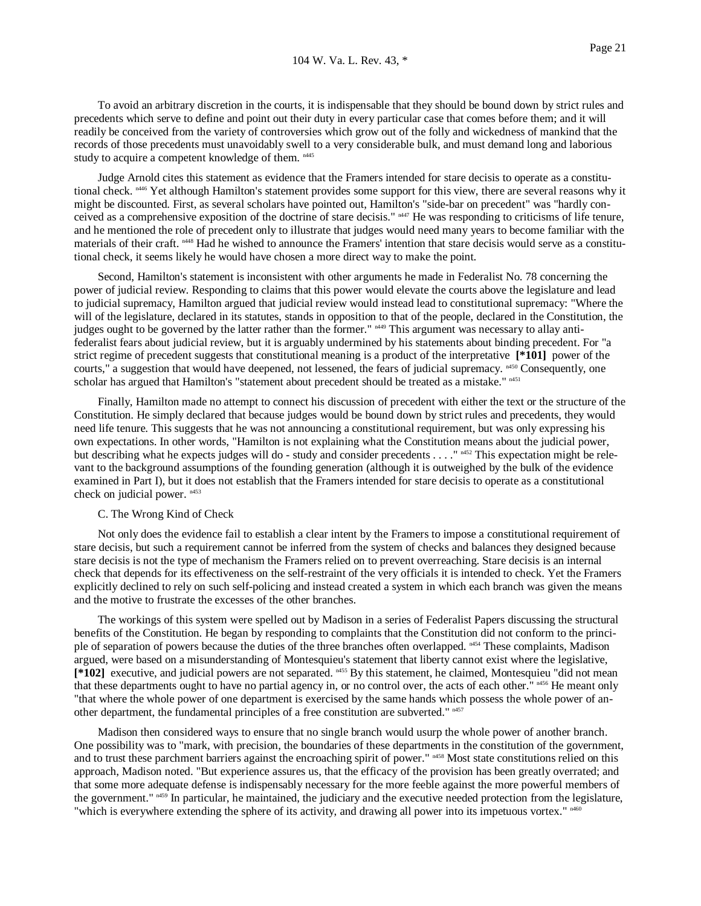To avoid an arbitrary discretion in the courts, it is indispensable that they should be bound down by strict rules and precedents which serve to define and point out their duty in every particular case that comes before them; and it will readily be conceived from the variety of controversies which grow out of the folly and wickedness of mankind that the records of those precedents must unavoidably swell to a very considerable bulk, and must demand long and laborious study to acquire a competent knowledge of them.  $n445$ 

 Judge Arnold cites this statement as evidence that the Framers intended for stare decisis to operate as a constitutional check. <sup>n446</sup> Yet although Hamilton's statement provides some support for this view, there are several reasons why it might be discounted. First, as several scholars have pointed out, Hamilton's "side-bar on precedent" was "hardly conceived as a comprehensive exposition of the doctrine of stare decisis." n447 He was responding to criticisms of life tenure, and he mentioned the role of precedent only to illustrate that judges would need many years to become familiar with the materials of their craft. n448 Had he wished to announce the Framers' intention that stare decisis would serve as a constitutional check, it seems likely he would have chosen a more direct way to make the point.

 Second, Hamilton's statement is inconsistent with other arguments he made in Federalist No. 78 concerning the power of judicial review. Responding to claims that this power would elevate the courts above the legislature and lead to judicial supremacy, Hamilton argued that judicial review would instead lead to constitutional supremacy: "Where the will of the legislature, declared in its statutes, stands in opposition to that of the people, declared in the Constitution, the judges ought to be governed by the latter rather than the former." n449 This argument was necessary to allay antifederalist fears about judicial review, but it is arguably undermined by his statements about binding precedent. For "a strict regime of precedent suggests that constitutional meaning is a product of the interpretative **[\*101]** power of the courts," a suggestion that would have deepened, not lessened, the fears of judicial supremacy. n450 Consequently, one scholar has argued that Hamilton's "statement about precedent should be treated as a mistake." n451

 Finally, Hamilton made no attempt to connect his discussion of precedent with either the text or the structure of the Constitution. He simply declared that because judges would be bound down by strict rules and precedents, they would need life tenure. This suggests that he was not announcing a constitutional requirement, but was only expressing his own expectations. In other words, "Hamilton is not explaining what the Constitution means about the judicial power, but describing what he expects judges will do - study and consider precedents . . . ." n452 This expectation might be relevant to the background assumptions of the founding generation (although it is outweighed by the bulk of the evidence examined in Part I), but it does not establish that the Framers intended for stare decisis to operate as a constitutional check on judicial power. n453

# C. The Wrong Kind of Check

 Not only does the evidence fail to establish a clear intent by the Framers to impose a constitutional requirement of stare decisis, but such a requirement cannot be inferred from the system of checks and balances they designed because stare decisis is not the type of mechanism the Framers relied on to prevent overreaching. Stare decisis is an internal check that depends for its effectiveness on the self-restraint of the very officials it is intended to check. Yet the Framers explicitly declined to rely on such self-policing and instead created a system in which each branch was given the means and the motive to frustrate the excesses of the other branches.

 The workings of this system were spelled out by Madison in a series of Federalist Papers discussing the structural benefits of the Constitution. He began by responding to complaints that the Constitution did not conform to the principle of separation of powers because the duties of the three branches often overlapped. n<sup>454</sup> These complaints, Madison argued, were based on a misunderstanding of Montesquieu's statement that liberty cannot exist where the legislative, [\*102] executive, and judicial powers are not separated. <sup>n455</sup> By this statement, he claimed, Montesquieu "did not mean that these departments ought to have no partial agency in, or no control over, the acts of each other." <sup>n456</sup> He meant only "that where the whole power of one department is exercised by the same hands which possess the whole power of another department, the fundamental principles of a free constitution are subverted." n457

 Madison then considered ways to ensure that no single branch would usurp the whole power of another branch. One possibility was to "mark, with precision, the boundaries of these departments in the constitution of the government, and to trust these parchment barriers against the encroaching spirit of power." <sup>n458</sup> Most state constitutions relied on this approach, Madison noted. "But experience assures us, that the efficacy of the provision has been greatly overrated; and that some more adequate defense is indispensably necessary for the more feeble against the more powerful members of the government."  $n459$  In particular, he maintained, the judiciary and the executive needed protection from the legislature, "which is everywhere extending the sphere of its activity, and drawing all power into its impetuous vortex."  $n460$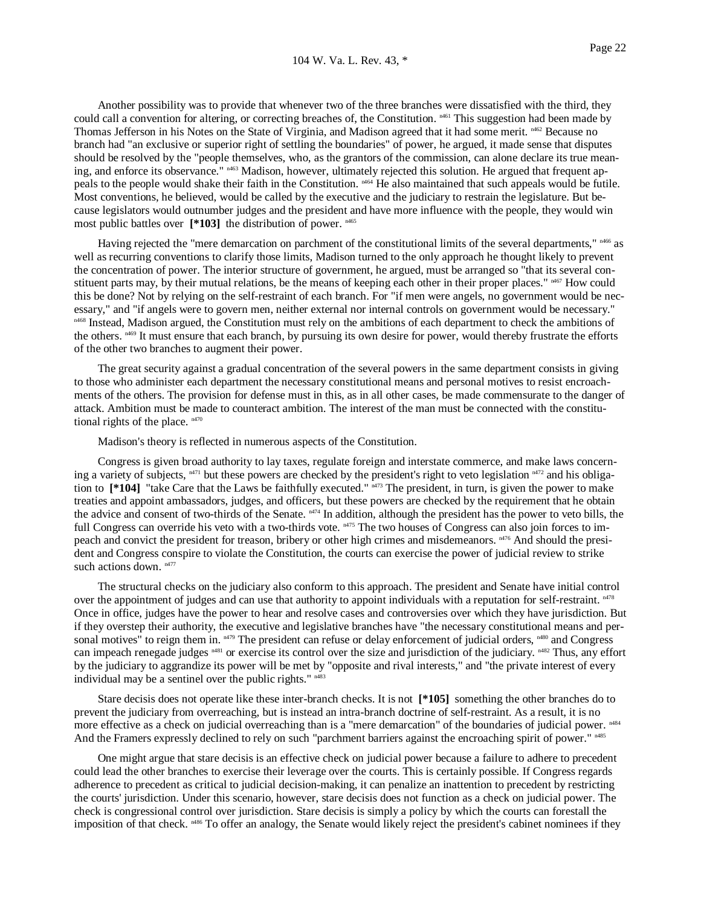Another possibility was to provide that whenever two of the three branches were dissatisfied with the third, they could call a convention for altering, or correcting breaches of, the Constitution.  $n461}$  This suggestion had been made by Thomas Jefferson in his Notes on the State of Virginia, and Madison agreed that it had some merit. n462 Because no branch had "an exclusive or superior right of settling the boundaries" of power, he argued, it made sense that disputes should be resolved by the "people themselves, who, as the grantors of the commission, can alone declare its true meaning, and enforce its observance."  $n463$  Madison, however, ultimately rejected this solution. He argued that frequent appeals to the people would shake their faith in the Constitution. n464 He also maintained that such appeals would be futile. Most conventions, he believed, would be called by the executive and the judiciary to restrain the legislature. But because legislators would outnumber judges and the president and have more influence with the people, they would win most public battles over [\*103] the distribution of power. n<sup>465</sup>

Having rejected the "mere demarcation on parchment of the constitutional limits of the several departments,"  $n^{466}$  as well as recurring conventions to clarify those limits, Madison turned to the only approach he thought likely to prevent the concentration of power. The interior structure of government, he argued, must be arranged so "that its several constituent parts may, by their mutual relations, be the means of keeping each other in their proper places."  $n467$  How could this be done? Not by relying on the self-restraint of each branch. For "if men were angels, no government would be necessary," and "if angels were to govern men, neither external nor internal controls on government would be necessary." <sup>n468</sup> Instead, Madison argued, the Constitution must rely on the ambitions of each department to check the ambitions of the others. <sup>n469</sup> It must ensure that each branch, by pursuing its own desire for power, would thereby frustrate the efforts of the other two branches to augment their power.

 The great security against a gradual concentration of the several powers in the same department consists in giving to those who administer each department the necessary constitutional means and personal motives to resist encroachments of the others. The provision for defense must in this, as in all other cases, be made commensurate to the danger of attack. Ambition must be made to counteract ambition. The interest of the man must be connected with the constitutional rights of the place.  $n470$ 

Madison's theory is reflected in numerous aspects of the Constitution.

 Congress is given broad authority to lay taxes, regulate foreign and interstate commerce, and make laws concerning a variety of subjects,  $n471$  but these powers are checked by the president's right to veto legislation  $n472$  and his obligation to [\*104] "take Care that the Laws be faithfully executed." <sup>n473</sup> The president, in turn, is given the power to make treaties and appoint ambassadors, judges, and officers, but these powers are checked by the requirement that he obtain the advice and consent of two-thirds of the Senate.  $n474}$  In addition, although the president has the power to veto bills, the full Congress can override his veto with a two-thirds vote.  $n475$  The two houses of Congress can also join forces to impeach and convict the president for treason, bribery or other high crimes and misdemeanors. n476 And should the president and Congress conspire to violate the Constitution, the courts can exercise the power of judicial review to strike such actions down.  $n477$ 

 The structural checks on the judiciary also conform to this approach. The president and Senate have initial control over the appointment of judges and can use that authority to appoint individuals with a reputation for self-restraint.  $n_{18}$ Once in office, judges have the power to hear and resolve cases and controversies over which they have jurisdiction. But if they overstep their authority, the executive and legislative branches have "the necessary constitutional means and personal motives" to reign them in.  $n479$  The president can refuse or delay enforcement of judicial orders,  $n480$  and Congress can impeach renegade judges <sup>n481</sup> or exercise its control over the size and jurisdiction of the judiciary. <sup>n482</sup> Thus, any effort by the judiciary to aggrandize its power will be met by "opposite and rival interests," and "the private interest of every individual may be a sentinel over the public rights." n483

 Stare decisis does not operate like these inter-branch checks. It is not **[\*105]** something the other branches do to prevent the judiciary from overreaching, but is instead an intra-branch doctrine of self-restraint. As a result, it is no more effective as a check on judicial overreaching than is a "mere demarcation" of the boundaries of judicial power.  $n484$ And the Framers expressly declined to rely on such "parchment barriers against the encroaching spirit of power."  $n485$ 

 One might argue that stare decisis is an effective check on judicial power because a failure to adhere to precedent could lead the other branches to exercise their leverage over the courts. This is certainly possible. If Congress regards adherence to precedent as critical to judicial decision-making, it can penalize an inattention to precedent by restricting the courts' jurisdiction. Under this scenario, however, stare decisis does not function as a check on judicial power. The check is congressional control over jurisdiction. Stare decisis is simply a policy by which the courts can forestall the imposition of that check. <sup>n486</sup> To offer an analogy, the Senate would likely reject the president's cabinet nominees if they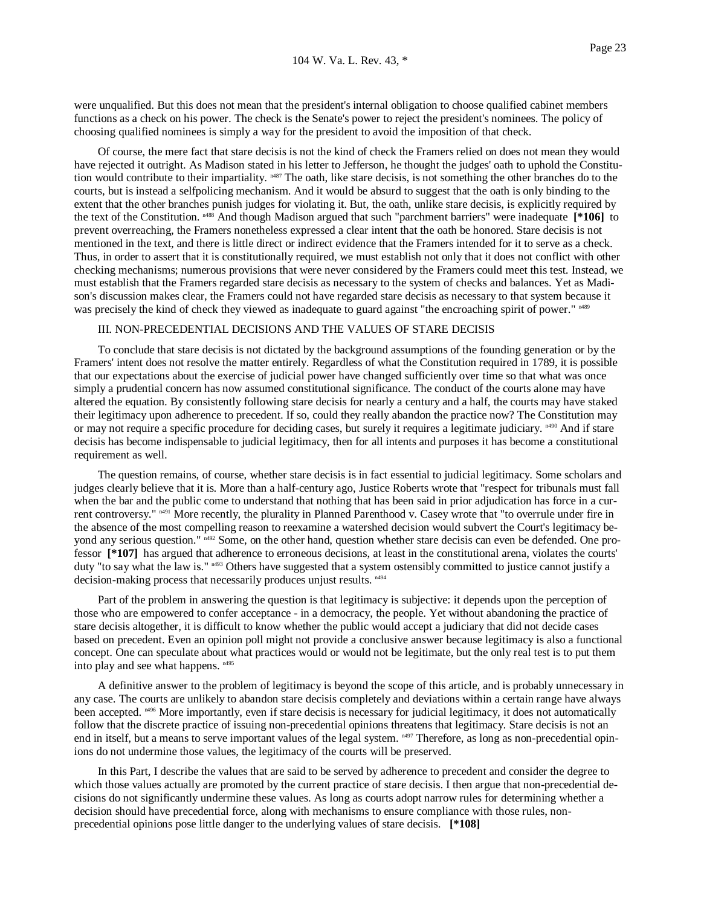were unqualified. But this does not mean that the president's internal obligation to choose qualified cabinet members functions as a check on his power. The check is the Senate's power to reject the president's nominees. The policy of choosing qualified nominees is simply a way for the president to avoid the imposition of that check.

 Of course, the mere fact that stare decisis is not the kind of check the Framers relied on does not mean they would have rejected it outright. As Madison stated in his letter to Jefferson, he thought the judges' oath to uphold the Constitution would contribute to their impartiality.  $n487$  The oath, like stare decisis, is not something the other branches do to the courts, but is instead a selfpolicing mechanism. And it would be absurd to suggest that the oath is only binding to the extent that the other branches punish judges for violating it. But, the oath, unlike stare decisis, is explicitly required by the text of the Constitution. n488 And though Madison argued that such "parchment barriers" were inadequate **[\*106]** to prevent overreaching, the Framers nonetheless expressed a clear intent that the oath be honored. Stare decisis is not mentioned in the text, and there is little direct or indirect evidence that the Framers intended for it to serve as a check. Thus, in order to assert that it is constitutionally required, we must establish not only that it does not conflict with other checking mechanisms; numerous provisions that were never considered by the Framers could meet this test. Instead, we must establish that the Framers regarded stare decisis as necessary to the system of checks and balances. Yet as Madison's discussion makes clear, the Framers could not have regarded stare decisis as necessary to that system because it was precisely the kind of check they viewed as inadequate to guard against "the encroaching spirit of power." <sup>n489</sup>

### III. NON-PRECEDENTIAL DECISIONS AND THE VALUES OF STARE DECISIS

 To conclude that stare decisis is not dictated by the background assumptions of the founding generation or by the Framers' intent does not resolve the matter entirely. Regardless of what the Constitution required in 1789, it is possible that our expectations about the exercise of judicial power have changed sufficiently over time so that what was once simply a prudential concern has now assumed constitutional significance. The conduct of the courts alone may have altered the equation. By consistently following stare decisis for nearly a century and a half, the courts may have staked their legitimacy upon adherence to precedent. If so, could they really abandon the practice now? The Constitution may or may not require a specific procedure for deciding cases, but surely it requires a legitimate judiciary. <sup>n490</sup> And if stare decisis has become indispensable to judicial legitimacy, then for all intents and purposes it has become a constitutional requirement as well.

 The question remains, of course, whether stare decisis is in fact essential to judicial legitimacy. Some scholars and judges clearly believe that it is. More than a half-century ago, Justice Roberts wrote that "respect for tribunals must fall when the bar and the public come to understand that nothing that has been said in prior adjudication has force in a current controversy."  $n491$  More recently, the plurality in Planned Parenthood v. Casey wrote that "to overrule under fire in the absence of the most compelling reason to reexamine a watershed decision would subvert the Court's legitimacy beyond any serious question." n492 Some, on the other hand, question whether stare decisis can even be defended. One professor **[\*107]** has argued that adherence to erroneous decisions, at least in the constitutional arena, violates the courts' duty "to say what the law is."  $n493$  Others have suggested that a system ostensibly committed to justice cannot justify a decision-making process that necessarily produces unjust results.  $n494$ 

 Part of the problem in answering the question is that legitimacy is subjective: it depends upon the perception of those who are empowered to confer acceptance - in a democracy, the people. Yet without abandoning the practice of stare decisis altogether, it is difficult to know whether the public would accept a judiciary that did not decide cases based on precedent. Even an opinion poll might not provide a conclusive answer because legitimacy is also a functional concept. One can speculate about what practices would or would not be legitimate, but the only real test is to put them into play and see what happens. n495

 A definitive answer to the problem of legitimacy is beyond the scope of this article, and is probably unnecessary in any case. The courts are unlikely to abandon stare decisis completely and deviations within a certain range have always been accepted.  $n496$  More importantly, even if stare decisis is necessary for judicial legitimacy, it does not automatically follow that the discrete practice of issuing non-precedential opinions threatens that legitimacy. Stare decisis is not an end in itself, but a means to serve important values of the legal system.  $n497$  Therefore, as long as non-precedential opinions do not undermine those values, the legitimacy of the courts will be preserved.

 In this Part, I describe the values that are said to be served by adherence to precedent and consider the degree to which those values actually are promoted by the current practice of stare decisis. I then argue that non-precedential decisions do not significantly undermine these values. As long as courts adopt narrow rules for determining whether a decision should have precedential force, along with mechanisms to ensure compliance with those rules, nonprecedential opinions pose little danger to the underlying values of stare decisis. **[\*108]**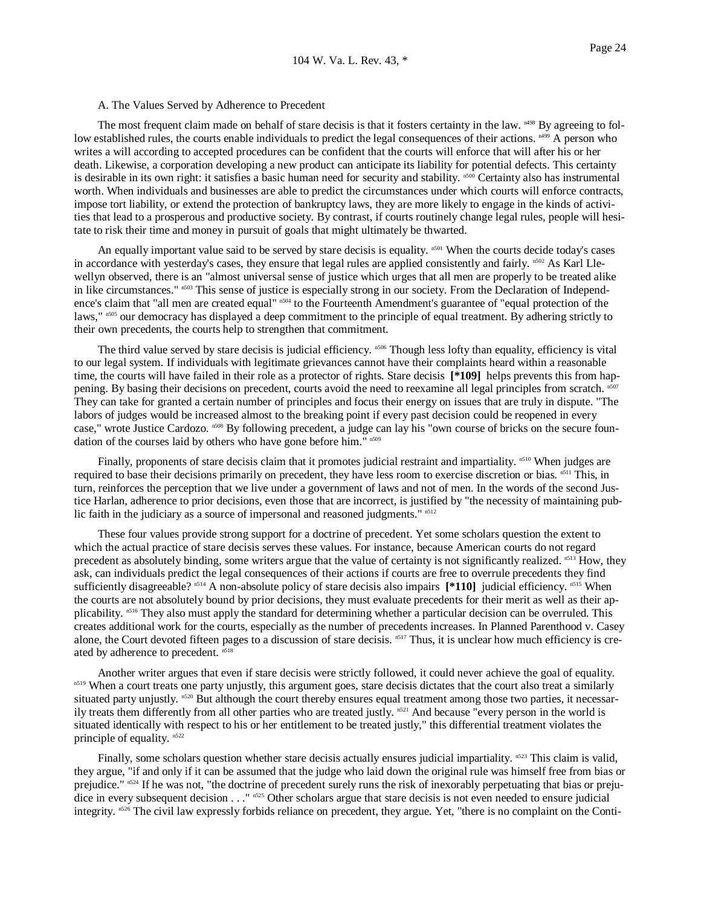## A. The Values Served by Adherence to Precedent

The most frequent claim made on behalf of stare decisis is that it fosters certainty in the law. <sup>1498</sup> By agreeing to follow established rules, the courts enable individuals to predict the legal consequences of their actions.  $n499A$  person who writes a will according to accepted procedures can be confident that the courts will enforce that will after his or her death. Likewise, a corporation developing a new product can anticipate its liability for potential defects. This certainty is desirable in its own right: it satisfies a basic human need for security and stability.  $n500$  Certainty also has instrumental worth. When individuals and businesses are able to predict the circumstances under which courts will enforce contracts, impose tort liability, or extend the protection of bankruptcy laws, they are more likely to engage in the kinds of activities that lead to a prosperous and productive society. By contrast, if courts routinely change legal rules, people will hesitate to risk their time and money in pursuit of goals that might ultimately be thwarted.

An equally important value said to be served by stare decisis is equality. n<sup>501</sup> When the courts decide today's cases in accordance with yesterday's cases, they ensure that legal rules are applied consistently and fairly. n502 As Karl Llewellyn observed, there is an "almost universal sense of justice which urges that all men are properly to be treated alike in like circumstances."  $503$  This sense of justice is especially strong in our society. From the Declaration of Independence's claim that "all men are created equal" n504 to the Fourteenth Amendment's guarantee of "equal protection of the laws," n<sup>505</sup> our democracy has displayed a deep commitment to the principle of equal treatment. By adhering strictly to their own precedents, the courts help to strengthen that commitment.

The third value served by stare decisis is judicial efficiency.  $n_{506}$  Though less lofty than equality, efficiency is vital to our legal system. If individuals with legitimate grievances cannot have their complaints heard within a reasonable time, the courts will have failed in their role as a protector of rights. Stare decisis **[\*109]** helps prevents this from happening. By basing their decisions on precedent, courts avoid the need to reexamine all legal principles from scratch. n507 They can take for granted a certain number of principles and focus their energy on issues that are truly in dispute. "The labors of judges would be increased almost to the breaking point if every past decision could be reopened in every case," wrote Justice Cardozo. n<sup>508</sup> By following precedent, a judge can lay his "own course of bricks on the secure foundation of the courses laid by others who have gone before him." n509

Finally, proponents of stare decisis claim that it promotes judicial restraint and impartiality. n<sup>510</sup> When judges are required to base their decisions primarily on precedent, they have less room to exercise discretion or bias. n<sup>511</sup> This, in turn, reinforces the perception that we live under a government of laws and not of men. In the words of the second Justice Harlan, adherence to prior decisions, even those that are incorrect, is justified by "the necessity of maintaining public faith in the judiciary as a source of impersonal and reasoned judgments."  $n512$ 

 These four values provide strong support for a doctrine of precedent. Yet some scholars question the extent to which the actual practice of stare decisis serves these values. For instance, because American courts do not regard precedent as absolutely binding, some writers argue that the value of certainty is not significantly realized. n513 How, they ask, can individuals predict the legal consequences of their actions if courts are free to overrule precedents they find sufficiently disagreeable? n514 A non-absolute policy of stare decisis also impairs **[\*110]** judicial efficiency. n515 When the courts are not absolutely bound by prior decisions, they must evaluate precedents for their merit as well as their applicability. n516 They also must apply the standard for determining whether a particular decision can be overruled. This creates additional work for the courts, especially as the number of precedents increases. In Planned Parenthood v. Casey alone, the Court devoted fifteen pages to a discussion of stare decisis. n<sup>517</sup> Thus, it is unclear how much efficiency is created by adherence to precedent. n518

 Another writer argues that even if stare decisis were strictly followed, it could never achieve the goal of equality. n519 When a court treats one party unjustly, this argument goes, stare decisis dictates that the court also treat a similarly situated party unjustly. n<sup>520</sup> But although the court thereby ensures equal treatment among those two parties, it necessarily treats them differently from all other parties who are treated justly.<sup>n521</sup> And because "every person in the world is situated identically with respect to his or her entitlement to be treated justly," this differential treatment violates the principle of equality. n<sup>522</sup>

Finally, some scholars question whether stare decisis actually ensures judicial impartiality.  $n523$  This claim is valid, they argue, "if and only if it can be assumed that the judge who laid down the original rule was himself free from bias or prejudice."  $n524$  If he was not, "the doctrine of precedent surely runs the risk of inexorably perpetuating that bias or prejudice in every subsequent decision . . . " n525 Other scholars argue that stare decisis is not even needed to ensure judicial integrity. n526 The civil law expressly forbids reliance on precedent, they argue. Yet, "there is no complaint on the Conti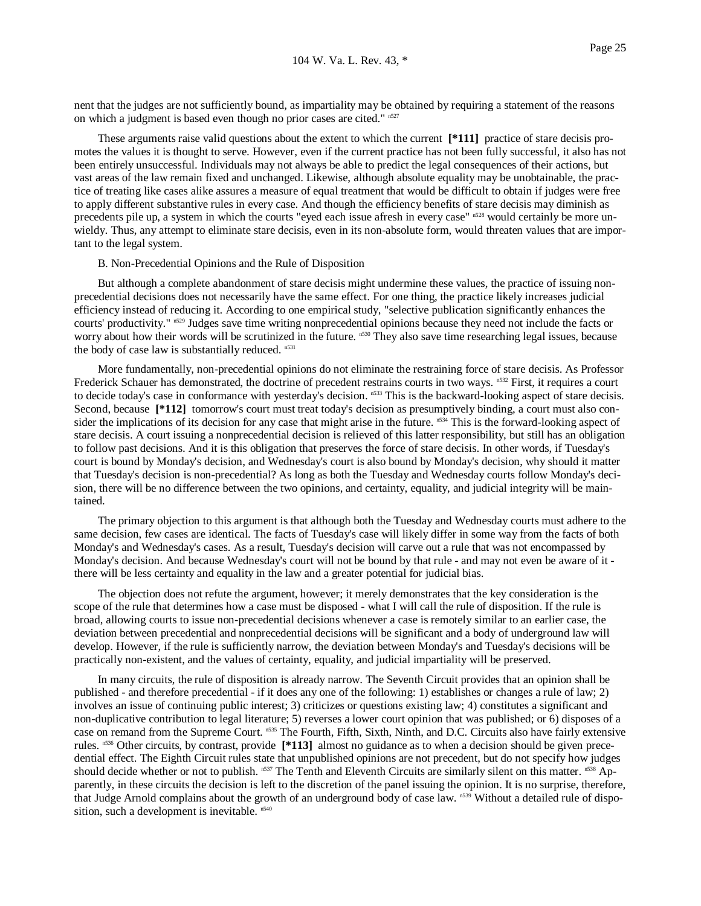nent that the judges are not sufficiently bound, as impartiality may be obtained by requiring a statement of the reasons on which a judgment is based even though no prior cases are cited." n527

 These arguments raise valid questions about the extent to which the current **[\*111]** practice of stare decisis promotes the values it is thought to serve. However, even if the current practice has not been fully successful, it also has not been entirely unsuccessful. Individuals may not always be able to predict the legal consequences of their actions, but vast areas of the law remain fixed and unchanged. Likewise, although absolute equality may be unobtainable, the practice of treating like cases alike assures a measure of equal treatment that would be difficult to obtain if judges were free to apply different substantive rules in every case. And though the efficiency benefits of stare decisis may diminish as precedents pile up, a system in which the courts "eyed each issue afresh in every case" n528 would certainly be more unwieldy. Thus, any attempt to eliminate stare decisis, even in its non-absolute form, would threaten values that are important to the legal system.

### B. Non-Precedential Opinions and the Rule of Disposition

 But although a complete abandonment of stare decisis might undermine these values, the practice of issuing nonprecedential decisions does not necessarily have the same effect. For one thing, the practice likely increases judicial efficiency instead of reducing it. According to one empirical study, "selective publication significantly enhances the courts' productivity." n529 Judges save time writing nonprecedential opinions because they need not include the facts or worry about how their words will be scrutinized in the future. n530 They also save time researching legal issues, because the body of case law is substantially reduced.  $n531$ 

 More fundamentally, non-precedential opinions do not eliminate the restraining force of stare decisis. As Professor Frederick Schauer has demonstrated, the doctrine of precedent restrains courts in two ways. n532 First, it requires a court to decide today's case in conformance with yesterday's decision. n533 This is the backward-looking aspect of stare decisis. Second, because **[\*112]** tomorrow's court must treat today's decision as presumptively binding, a court must also consider the implications of its decision for any case that might arise in the future. n534 This is the forward-looking aspect of stare decisis. A court issuing a nonprecedential decision is relieved of this latter responsibility, but still has an obligation to follow past decisions. And it is this obligation that preserves the force of stare decisis. In other words, if Tuesday's court is bound by Monday's decision, and Wednesday's court is also bound by Monday's decision, why should it matter that Tuesday's decision is non-precedential? As long as both the Tuesday and Wednesday courts follow Monday's decision, there will be no difference between the two opinions, and certainty, equality, and judicial integrity will be maintained.

 The primary objection to this argument is that although both the Tuesday and Wednesday courts must adhere to the same decision, few cases are identical. The facts of Tuesday's case will likely differ in some way from the facts of both Monday's and Wednesday's cases. As a result, Tuesday's decision will carve out a rule that was not encompassed by Monday's decision. And because Wednesday's court will not be bound by that rule - and may not even be aware of it there will be less certainty and equality in the law and a greater potential for judicial bias.

 The objection does not refute the argument, however; it merely demonstrates that the key consideration is the scope of the rule that determines how a case must be disposed - what I will call the rule of disposition. If the rule is broad, allowing courts to issue non-precedential decisions whenever a case is remotely similar to an earlier case, the deviation between precedential and nonprecedential decisions will be significant and a body of underground law will develop. However, if the rule is sufficiently narrow, the deviation between Monday's and Tuesday's decisions will be practically non-existent, and the values of certainty, equality, and judicial impartiality will be preserved.

 In many circuits, the rule of disposition is already narrow. The Seventh Circuit provides that an opinion shall be published - and therefore precedential - if it does any one of the following: 1) establishes or changes a rule of law; 2) involves an issue of continuing public interest; 3) criticizes or questions existing law; 4) constitutes a significant and non-duplicative contribution to legal literature; 5) reverses a lower court opinion that was published; or 6) disposes of a case on remand from the Supreme Court. n535 The Fourth, Fifth, Sixth, Ninth, and D.C. Circuits also have fairly extensive rules. n536 Other circuits, by contrast, provide **[\*113]** almost no guidance as to when a decision should be given precedential effect. The Eighth Circuit rules state that unpublished opinions are not precedent, but do not specify how judges should decide whether or not to publish. n537 The Tenth and Eleventh Circuits are similarly silent on this matter. n538 Apparently, in these circuits the decision is left to the discretion of the panel issuing the opinion. It is no surprise, therefore, that Judge Arnold complains about the growth of an underground body of case law. n539 Without a detailed rule of disposition, such a development is inevitable. n540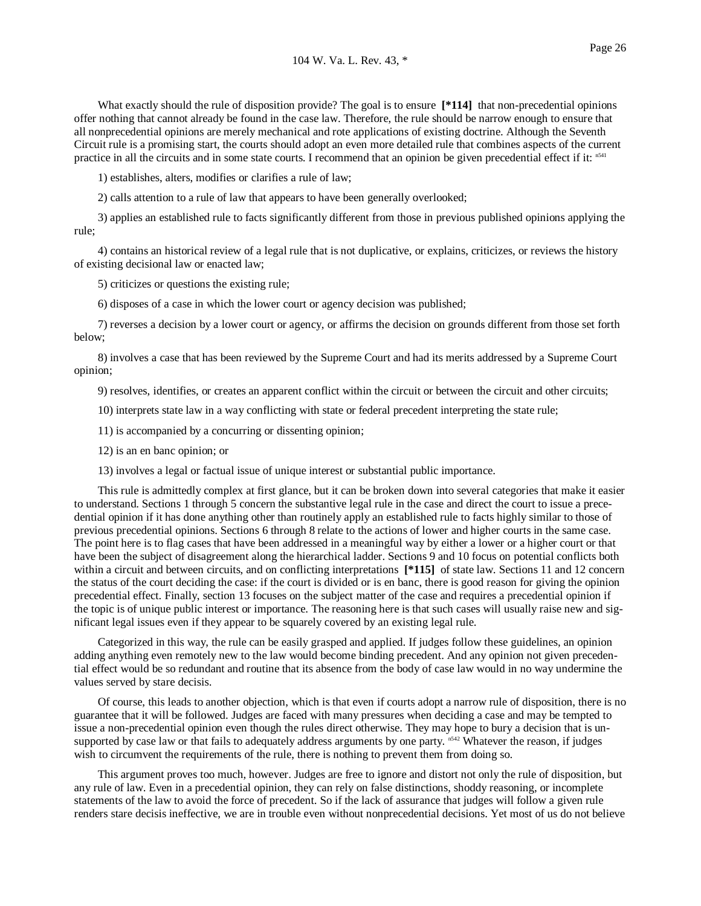What exactly should the rule of disposition provide? The goal is to ensure **[\*114]** that non-precedential opinions offer nothing that cannot already be found in the case law. Therefore, the rule should be narrow enough to ensure that all nonprecedential opinions are merely mechanical and rote applications of existing doctrine. Although the Seventh Circuit rule is a promising start, the courts should adopt an even more detailed rule that combines aspects of the current practice in all the circuits and in some state courts. I recommend that an opinion be given precedential effect if it: n<sup>541</sup>

1) establishes, alters, modifies or clarifies a rule of law;

2) calls attention to a rule of law that appears to have been generally overlooked;

 3) applies an established rule to facts significantly different from those in previous published opinions applying the rule;

 4) contains an historical review of a legal rule that is not duplicative, or explains, criticizes, or reviews the history of existing decisional law or enacted law;

5) criticizes or questions the existing rule;

6) disposes of a case in which the lower court or agency decision was published;

 7) reverses a decision by a lower court or agency, or affirms the decision on grounds different from those set forth below;

 8) involves a case that has been reviewed by the Supreme Court and had its merits addressed by a Supreme Court opinion;

9) resolves, identifies, or creates an apparent conflict within the circuit or between the circuit and other circuits;

10) interprets state law in a way conflicting with state or federal precedent interpreting the state rule;

11) is accompanied by a concurring or dissenting opinion;

- 12) is an en banc opinion; or
- 13) involves a legal or factual issue of unique interest or substantial public importance.

 This rule is admittedly complex at first glance, but it can be broken down into several categories that make it easier to understand. Sections 1 through 5 concern the substantive legal rule in the case and direct the court to issue a precedential opinion if it has done anything other than routinely apply an established rule to facts highly similar to those of previous precedential opinions. Sections 6 through 8 relate to the actions of lower and higher courts in the same case. The point here is to flag cases that have been addressed in a meaningful way by either a lower or a higher court or that have been the subject of disagreement along the hierarchical ladder. Sections 9 and 10 focus on potential conflicts both within a circuit and between circuits, and on conflicting interpretations  $[*115]$  of state law. Sections 11 and 12 concern the status of the court deciding the case: if the court is divided or is en banc, there is good reason for giving the opinion precedential effect. Finally, section 13 focuses on the subject matter of the case and requires a precedential opinion if the topic is of unique public interest or importance. The reasoning here is that such cases will usually raise new and significant legal issues even if they appear to be squarely covered by an existing legal rule.

 Categorized in this way, the rule can be easily grasped and applied. If judges follow these guidelines, an opinion adding anything even remotely new to the law would become binding precedent. And any opinion not given precedential effect would be so redundant and routine that its absence from the body of case law would in no way undermine the values served by stare decisis.

 Of course, this leads to another objection, which is that even if courts adopt a narrow rule of disposition, there is no guarantee that it will be followed. Judges are faced with many pressures when deciding a case and may be tempted to issue a non-precedential opinion even though the rules direct otherwise. They may hope to bury a decision that is unsupported by case law or that fails to adequately address arguments by one party.  $n<sup>542</sup>$  Whatever the reason, if judges wish to circumvent the requirements of the rule, there is nothing to prevent them from doing so.

 This argument proves too much, however. Judges are free to ignore and distort not only the rule of disposition, but any rule of law. Even in a precedential opinion, they can rely on false distinctions, shoddy reasoning, or incomplete statements of the law to avoid the force of precedent. So if the lack of assurance that judges will follow a given rule renders stare decisis ineffective, we are in trouble even without nonprecedential decisions. Yet most of us do not believe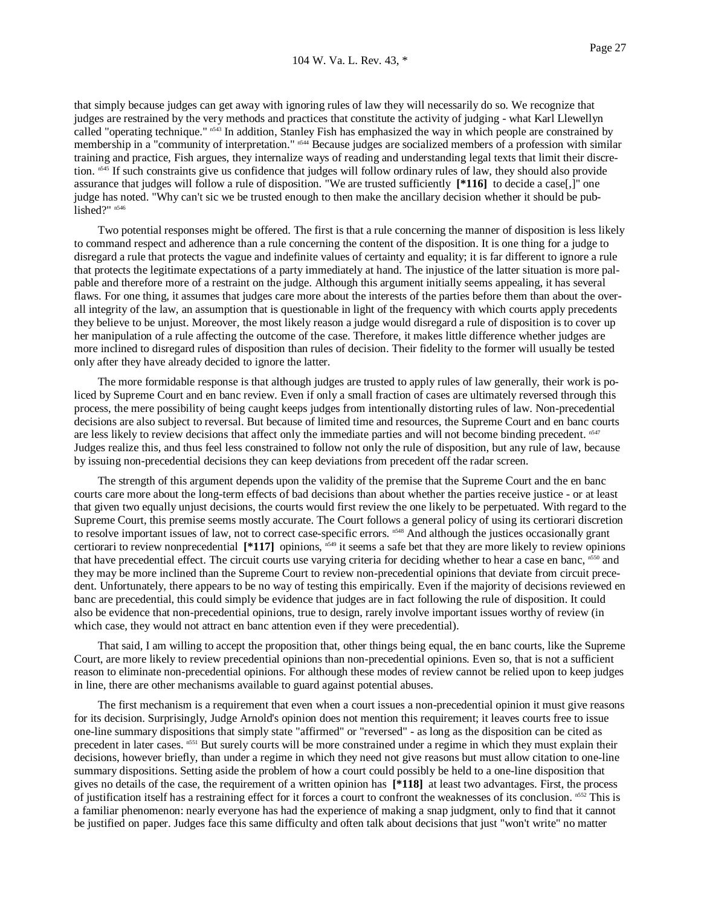that simply because judges can get away with ignoring rules of law they will necessarily do so. We recognize that judges are restrained by the very methods and practices that constitute the activity of judging - what Karl Llewellyn called "operating technique." n543 In addition, Stanley Fish has emphasized the way in which people are constrained by membership in a "community of interpretation." <sup>n544</sup> Because judges are socialized members of a profession with similar training and practice, Fish argues, they internalize ways of reading and understanding legal texts that limit their discretion. <sup>n545</sup> If such constraints give us confidence that judges will follow ordinary rules of law, they should also provide assurance that judges will follow a rule of disposition. "We are trusted sufficiently **[\*116]** to decide a case[,]" one judge has noted. "Why can't sic we be trusted enough to then make the ancillary decision whether it should be published?" n546

 Two potential responses might be offered. The first is that a rule concerning the manner of disposition is less likely to command respect and adherence than a rule concerning the content of the disposition. It is one thing for a judge to disregard a rule that protects the vague and indefinite values of certainty and equality; it is far different to ignore a rule that protects the legitimate expectations of a party immediately at hand. The injustice of the latter situation is more palpable and therefore more of a restraint on the judge. Although this argument initially seems appealing, it has several flaws. For one thing, it assumes that judges care more about the interests of the parties before them than about the overall integrity of the law, an assumption that is questionable in light of the frequency with which courts apply precedents they believe to be unjust. Moreover, the most likely reason a judge would disregard a rule of disposition is to cover up her manipulation of a rule affecting the outcome of the case. Therefore, it makes little difference whether judges are more inclined to disregard rules of disposition than rules of decision. Their fidelity to the former will usually be tested only after they have already decided to ignore the latter.

 The more formidable response is that although judges are trusted to apply rules of law generally, their work is policed by Supreme Court and en banc review. Even if only a small fraction of cases are ultimately reversed through this process, the mere possibility of being caught keeps judges from intentionally distorting rules of law. Non-precedential decisions are also subject to reversal. But because of limited time and resources, the Supreme Court and en banc courts are less likely to review decisions that affect only the immediate parties and will not become binding precedent. n<sup>547</sup> Judges realize this, and thus feel less constrained to follow not only the rule of disposition, but any rule of law, because by issuing non-precedential decisions they can keep deviations from precedent off the radar screen.

 The strength of this argument depends upon the validity of the premise that the Supreme Court and the en banc courts care more about the long-term effects of bad decisions than about whether the parties receive justice - or at least that given two equally unjust decisions, the courts would first review the one likely to be perpetuated. With regard to the Supreme Court, this premise seems mostly accurate. The Court follows a general policy of using its certiorari discretion to resolve important issues of law, not to correct case-specific errors. n548 And although the justices occasionally grant certiorari to review nonprecedential  $[*117]$  opinions,  $n^{549}$  it seems a safe bet that they are more likely to review opinions that have precedential effect. The circuit courts use varying criteria for deciding whether to hear a case en banc, n550 and they may be more inclined than the Supreme Court to review non-precedential opinions that deviate from circuit precedent. Unfortunately, there appears to be no way of testing this empirically. Even if the majority of decisions reviewed en banc are precedential, this could simply be evidence that judges are in fact following the rule of disposition. It could also be evidence that non-precedential opinions, true to design, rarely involve important issues worthy of review (in which case, they would not attract en banc attention even if they were precedential).

 That said, I am willing to accept the proposition that, other things being equal, the en banc courts, like the Supreme Court, are more likely to review precedential opinions than non-precedential opinions. Even so, that is not a sufficient reason to eliminate non-precedential opinions. For although these modes of review cannot be relied upon to keep judges in line, there are other mechanisms available to guard against potential abuses.

 The first mechanism is a requirement that even when a court issues a non-precedential opinion it must give reasons for its decision. Surprisingly, Judge Arnold's opinion does not mention this requirement; it leaves courts free to issue one-line summary dispositions that simply state "affirmed" or "reversed" - as long as the disposition can be cited as precedent in later cases. n551 But surely courts will be more constrained under a regime in which they must explain their decisions, however briefly, than under a regime in which they need not give reasons but must allow citation to one-line summary dispositions. Setting aside the problem of how a court could possibly be held to a one-line disposition that gives no details of the case, the requirement of a written opinion has **[\*118]** at least two advantages. First, the process of justification itself has a restraining effect for it forces a court to confront the weaknesses of its conclusion. n552 This is a familiar phenomenon: nearly everyone has had the experience of making a snap judgment, only to find that it cannot be justified on paper. Judges face this same difficulty and often talk about decisions that just "won't write" no matter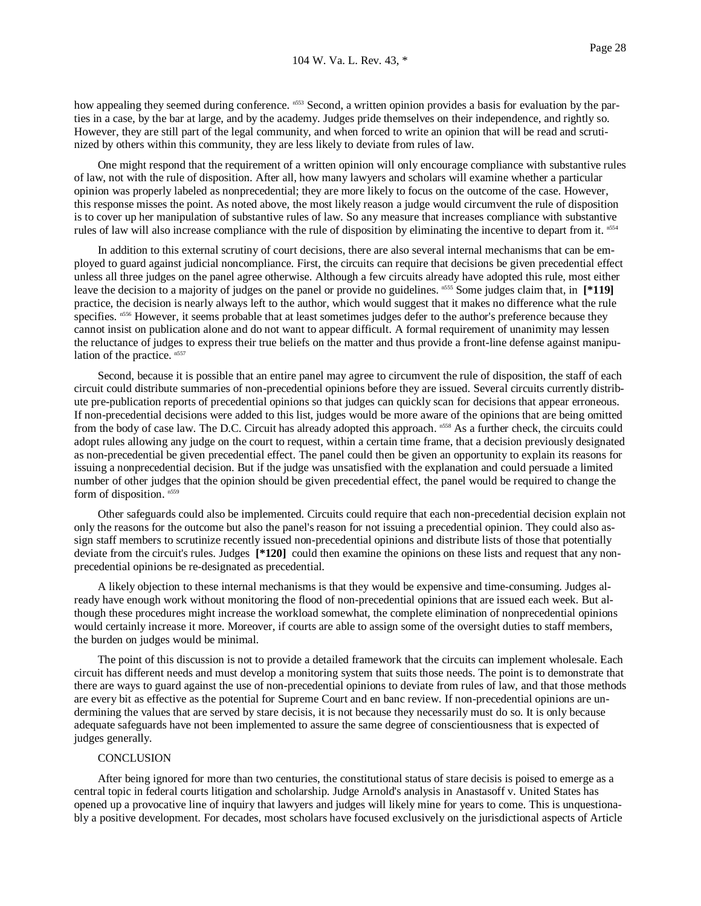how appealing they seemed during conference. n553 Second, a written opinion provides a basis for evaluation by the parties in a case, by the bar at large, and by the academy. Judges pride themselves on their independence, and rightly so. However, they are still part of the legal community, and when forced to write an opinion that will be read and scrutinized by others within this community, they are less likely to deviate from rules of law.

 One might respond that the requirement of a written opinion will only encourage compliance with substantive rules of law, not with the rule of disposition. After all, how many lawyers and scholars will examine whether a particular opinion was properly labeled as nonprecedential; they are more likely to focus on the outcome of the case. However, this response misses the point. As noted above, the most likely reason a judge would circumvent the rule of disposition is to cover up her manipulation of substantive rules of law. So any measure that increases compliance with substantive rules of law will also increase compliance with the rule of disposition by eliminating the incentive to depart from it. n554

 In addition to this external scrutiny of court decisions, there are also several internal mechanisms that can be employed to guard against judicial noncompliance. First, the circuits can require that decisions be given precedential effect unless all three judges on the panel agree otherwise. Although a few circuits already have adopted this rule, most either leave the decision to a majority of judges on the panel or provide no guidelines. n555 Some judges claim that, in **[\*119]** practice, the decision is nearly always left to the author, which would suggest that it makes no difference what the rule specifies. n556 However, it seems probable that at least sometimes judges defer to the author's preference because they cannot insist on publication alone and do not want to appear difficult. A formal requirement of unanimity may lessen the reluctance of judges to express their true beliefs on the matter and thus provide a front-line defense against manipulation of the practice.  $n557$ 

 Second, because it is possible that an entire panel may agree to circumvent the rule of disposition, the staff of each circuit could distribute summaries of non-precedential opinions before they are issued. Several circuits currently distribute pre-publication reports of precedential opinions so that judges can quickly scan for decisions that appear erroneous. If non-precedential decisions were added to this list, judges would be more aware of the opinions that are being omitted from the body of case law. The D.C. Circuit has already adopted this approach. n558 As a further check, the circuits could adopt rules allowing any judge on the court to request, within a certain time frame, that a decision previously designated as non-precedential be given precedential effect. The panel could then be given an opportunity to explain its reasons for issuing a nonprecedential decision. But if the judge was unsatisfied with the explanation and could persuade a limited number of other judges that the opinion should be given precedential effect, the panel would be required to change the form of disposition. n559

 Other safeguards could also be implemented. Circuits could require that each non-precedential decision explain not only the reasons for the outcome but also the panel's reason for not issuing a precedential opinion. They could also assign staff members to scrutinize recently issued non-precedential opinions and distribute lists of those that potentially deviate from the circuit's rules. Judges **[\*120]** could then examine the opinions on these lists and request that any nonprecedential opinions be re-designated as precedential.

 A likely objection to these internal mechanisms is that they would be expensive and time-consuming. Judges already have enough work without monitoring the flood of non-precedential opinions that are issued each week. But although these procedures might increase the workload somewhat, the complete elimination of nonprecedential opinions would certainly increase it more. Moreover, if courts are able to assign some of the oversight duties to staff members, the burden on judges would be minimal.

 The point of this discussion is not to provide a detailed framework that the circuits can implement wholesale. Each circuit has different needs and must develop a monitoring system that suits those needs. The point is to demonstrate that there are ways to guard against the use of non-precedential opinions to deviate from rules of law, and that those methods are every bit as effective as the potential for Supreme Court and en banc review. If non-precedential opinions are undermining the values that are served by stare decisis, it is not because they necessarily must do so. It is only because adequate safeguards have not been implemented to assure the same degree of conscientiousness that is expected of judges generally.

## **CONCLUSION**

 After being ignored for more than two centuries, the constitutional status of stare decisis is poised to emerge as a central topic in federal courts litigation and scholarship. Judge Arnold's analysis in Anastasoff v. United States has opened up a provocative line of inquiry that lawyers and judges will likely mine for years to come. This is unquestionably a positive development. For decades, most scholars have focused exclusively on the jurisdictional aspects of Article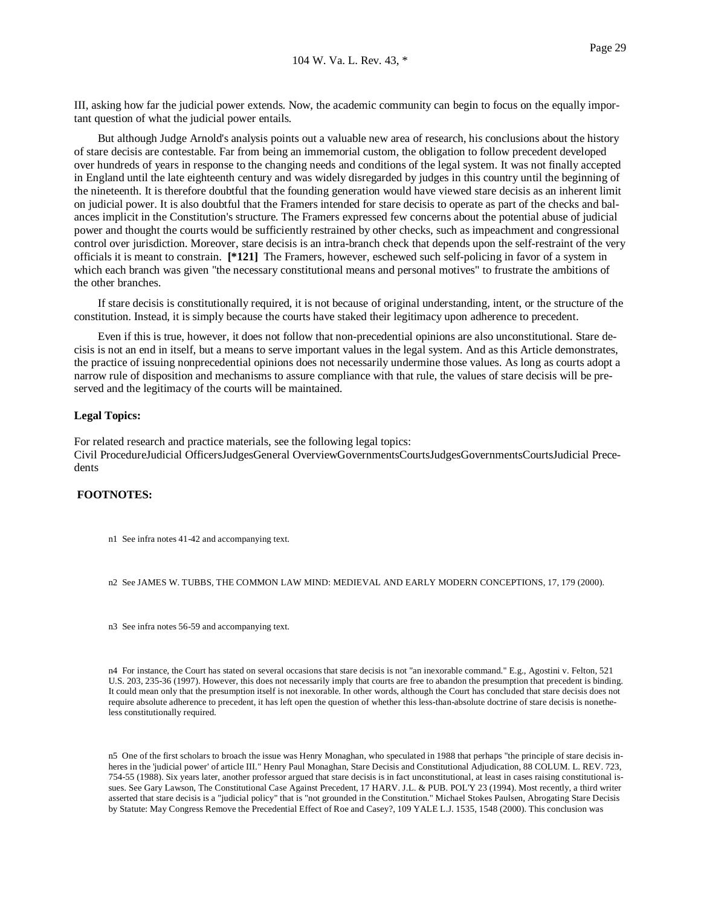III, asking how far the judicial power extends. Now, the academic community can begin to focus on the equally important question of what the judicial power entails.

 But although Judge Arnold's analysis points out a valuable new area of research, his conclusions about the history of stare decisis are contestable. Far from being an immemorial custom, the obligation to follow precedent developed over hundreds of years in response to the changing needs and conditions of the legal system. It was not finally accepted in England until the late eighteenth century and was widely disregarded by judges in this country until the beginning of the nineteenth. It is therefore doubtful that the founding generation would have viewed stare decisis as an inherent limit on judicial power. It is also doubtful that the Framers intended for stare decisis to operate as part of the checks and balances implicit in the Constitution's structure. The Framers expressed few concerns about the potential abuse of judicial power and thought the courts would be sufficiently restrained by other checks, such as impeachment and congressional control over jurisdiction. Moreover, stare decisis is an intra-branch check that depends upon the self-restraint of the very officials it is meant to constrain. **[\*121]** The Framers, however, eschewed such self-policing in favor of a system in which each branch was given "the necessary constitutional means and personal motives" to frustrate the ambitions of the other branches.

 If stare decisis is constitutionally required, it is not because of original understanding, intent, or the structure of the constitution. Instead, it is simply because the courts have staked their legitimacy upon adherence to precedent.

 Even if this is true, however, it does not follow that non-precedential opinions are also unconstitutional. Stare decisis is not an end in itself, but a means to serve important values in the legal system. And as this Article demonstrates, the practice of issuing nonprecedential opinions does not necessarily undermine those values. As long as courts adopt a narrow rule of disposition and mechanisms to assure compliance with that rule, the values of stare decisis will be preserved and the legitimacy of the courts will be maintained.

# **Legal Topics:**

For related research and practice materials, see the following legal topics: Civil ProcedureJudicial OfficersJudgesGeneral OverviewGovernmentsCourtsJudgesGovernmentsCourtsJudicial Precedents

# **FOOTNOTES:**

n1 See infra notes 41-42 and accompanying text.

n2 See JAMES W. TUBBS, THE COMMON LAW MIND: MEDIEVAL AND EARLY MODERN CONCEPTIONS, 17, 179 (2000).

n3 See infra notes 56-59 and accompanying text.

n4 For instance, the Court has stated on several occasions that stare decisis is not "an inexorable command." E.g., Agostini v. Felton, 521 U.S. 203, 235-36 (1997). However, this does not necessarily imply that courts are free to abandon the presumption that precedent is binding. It could mean only that the presumption itself is not inexorable. In other words, although the Court has concluded that stare decisis does not require absolute adherence to precedent, it has left open the question of whether this less-than-absolute doctrine of stare decisis is nonetheless constitutionally required.

n5 One of the first scholars to broach the issue was Henry Monaghan, who speculated in 1988 that perhaps "the principle of stare decisis inheres in the 'judicial power' of article III." Henry Paul Monaghan, Stare Decisis and Constitutional Adjudication, 88 COLUM. L. REV. 723, 754-55 (1988). Six years later, another professor argued that stare decisis is in fact unconstitutional, at least in cases raising constitutional issues. See Gary Lawson, The Constitutional Case Against Precedent, 17 HARV. J.L. & PUB. POL'Y 23 (1994). Most recently, a third writer asserted that stare decisis is a "judicial policy" that is "not grounded in the Constitution." Michael Stokes Paulsen, Abrogating Stare Decisis by Statute: May Congress Remove the Precedential Effect of Roe and Casey?, 109 YALE L.J. 1535, 1548 (2000). This conclusion was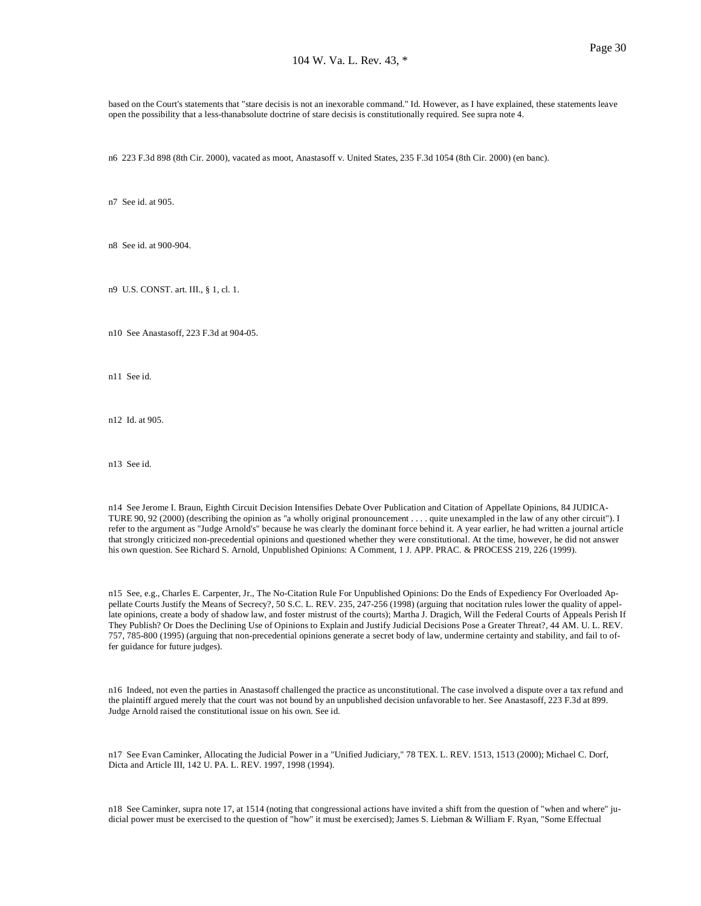based on the Court's statements that "stare decisis is not an inexorable command." Id. However, as I have explained, these statements leave open the possibility that a less-thanabsolute doctrine of stare decisis is constitutionally required. See supra note 4.

n6 223 F.3d 898 (8th Cir. 2000), vacated as moot, Anastasoff v. United States, 235 F.3d 1054 (8th Cir. 2000) (en banc).

n7 See id. at 905.

n8 See id. at 900-904.

n9 U.S. CONST. art. III., § 1, cl. 1.

n10 See Anastasoff, 223 F.3d at 904-05.

n11 See id.

n12 Id. at 905.

n13 See id.

n14 See Jerome I. Braun, Eighth Circuit Decision Intensifies Debate Over Publication and Citation of Appellate Opinions, 84 JUDICA-TURE 90, 92 (2000) (describing the opinion as "a wholly original pronouncement . . . . quite unexampled in the law of any other circuit"). I refer to the argument as "Judge Arnold's" because he was clearly the dominant force behind it. A year earlier, he had written a journal article that strongly criticized non-precedential opinions and questioned whether they were constitutional. At the time, however, he did not answer his own question. See Richard S. Arnold, Unpublished Opinions: A Comment, 1 J. APP. PRAC. & PROCESS 219, 226 (1999).

n15 See, e.g., Charles E. Carpenter, Jr., The No-Citation Rule For Unpublished Opinions: Do the Ends of Expediency For Overloaded Appellate Courts Justify the Means of Secrecy?, 50 S.C. L. REV. 235, 247-256 (1998) (arguing that nocitation rules lower the quality of appellate opinions, create a body of shadow law, and foster mistrust of the courts); Martha J. Dragich, Will the Federal Courts of Appeals Perish If They Publish? Or Does the Declining Use of Opinions to Explain and Justify Judicial Decisions Pose a Greater Threat?, 44 AM. U. L. REV. 757, 785-800 (1995) (arguing that non-precedential opinions generate a secret body of law, undermine certainty and stability, and fail to offer guidance for future judges).

n16 Indeed, not even the parties in Anastasoff challenged the practice as unconstitutional. The case involved a dispute over a tax refund and the plaintiff argued merely that the court was not bound by an unpublished decision unfavorable to her. See Anastasoff, 223 F.3d at 899. Judge Arnold raised the constitutional issue on his own. See id.

n17 See Evan Caminker, Allocating the Judicial Power in a "Unified Judiciary," 78 TEX. L. REV. 1513, 1513 (2000); Michael C. Dorf, Dicta and Article III, 142 U. PA. L. REV. 1997, 1998 (1994).

n18 See Caminker, supra note 17, at 1514 (noting that congressional actions have invited a shift from the question of "when and where" judicial power must be exercised to the question of "how" it must be exercised); James S. Liebman & William F. Ryan, "Some Effectual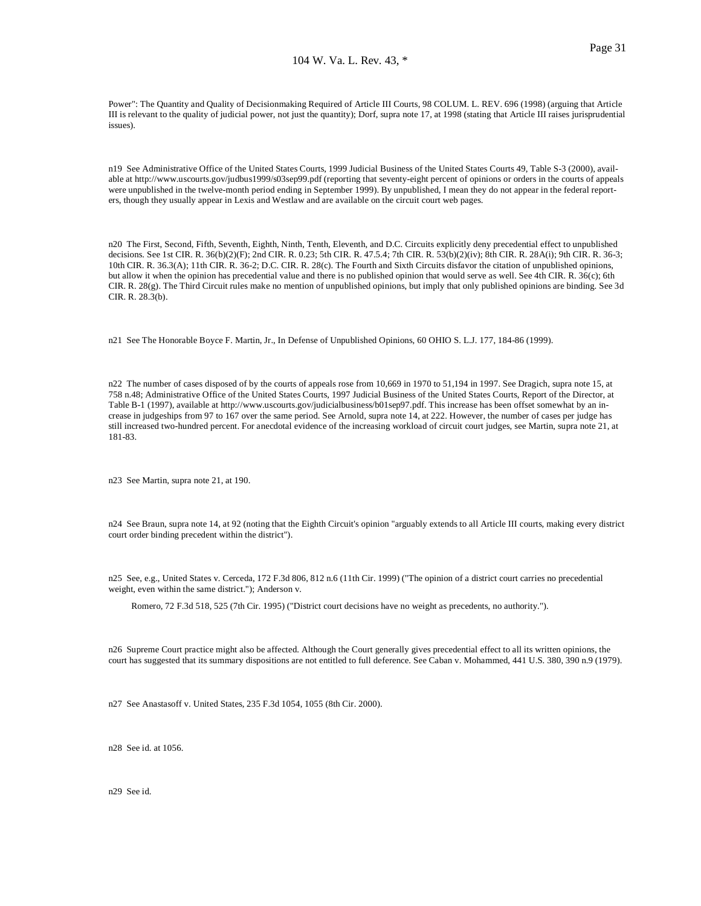Power": The Quantity and Quality of Decisionmaking Required of Article III Courts, 98 COLUM. L. REV. 696 (1998) (arguing that Article III is relevant to the quality of judicial power, not just the quantity); Dorf, supra note 17, at 1998 (stating that Article III raises jurisprudential issues).

n19 See Administrative Office of the United States Courts, 1999 Judicial Business of the United States Courts 49, Table S-3 (2000), available at http://www.uscourts.gov/judbus1999/s03sep99.pdf (reporting that seventy-eight percent of opinions or orders in the courts of appeals were unpublished in the twelve-month period ending in September 1999). By unpublished, I mean they do not appear in the federal reporters, though they usually appear in Lexis and Westlaw and are available on the circuit court web pages.

n20 The First, Second, Fifth, Seventh, Eighth, Ninth, Tenth, Eleventh, and D.C. Circuits explicitly deny precedential effect to unpublished decisions. See 1st CIR. R. 36(b)(2)(F); 2nd CIR. R. 0.23; 5th CIR. R. 47.5.4; 7th CIR. R. 53(b)(2)(iv); 8th CIR. R. 28A(i); 9th CIR. R. 36-3; 10th CIR. R. 36.3(A); 11th CIR. R. 36-2; D.C. CIR. R. 28(c). The Fourth and Sixth Circuits disfavor the citation of unpublished opinions, but allow it when the opinion has precedential value and there is no published opinion that would serve as well. See 4th CIR. R. 36(c); 6th CIR. R. 28(g). The Third Circuit rules make no mention of unpublished opinions, but imply that only published opinions are binding. See 3d CIR. R. 28.3(b).

n21 See The Honorable Boyce F. Martin, Jr., In Defense of Unpublished Opinions, 60 OHIO S. L.J. 177, 184-86 (1999).

n22 The number of cases disposed of by the courts of appeals rose from 10,669 in 1970 to 51,194 in 1997. See Dragich, supra note 15, at 758 n.48; Administrative Office of the United States Courts, 1997 Judicial Business of the United States Courts, Report of the Director, at Table B-1 (1997), available at http://www.uscourts.gov/judicialbusiness/b01sep97.pdf. This increase has been offset somewhat by an increase in judgeships from 97 to 167 over the same period. See Arnold, supra note 14, at 222. However, the number of cases per judge has still increased two-hundred percent. For anecdotal evidence of the increasing workload of circuit court judges, see Martin, supra note 21, at 181-83.

n23 See Martin, supra note 21, at 190.

n24 See Braun, supra note 14, at 92 (noting that the Eighth Circuit's opinion "arguably extends to all Article III courts, making every district court order binding precedent within the district").

n25 See, e.g., United States v. Cerceda, 172 F.3d 806, 812 n.6 (11th Cir. 1999) ("The opinion of a district court carries no precedential weight, even within the same district."); Anderson v.

Romero, 72 F.3d 518, 525 (7th Cir. 1995) ("District court decisions have no weight as precedents, no authority.").

n26 Supreme Court practice might also be affected. Although the Court generally gives precedential effect to all its written opinions, the court has suggested that its summary dispositions are not entitled to full deference. See Caban v. Mohammed, 441 U.S. 380, 390 n.9 (1979).

n27 See Anastasoff v. United States, 235 F.3d 1054, 1055 (8th Cir. 2000).

n28 See id. at 1056.

n29 See id.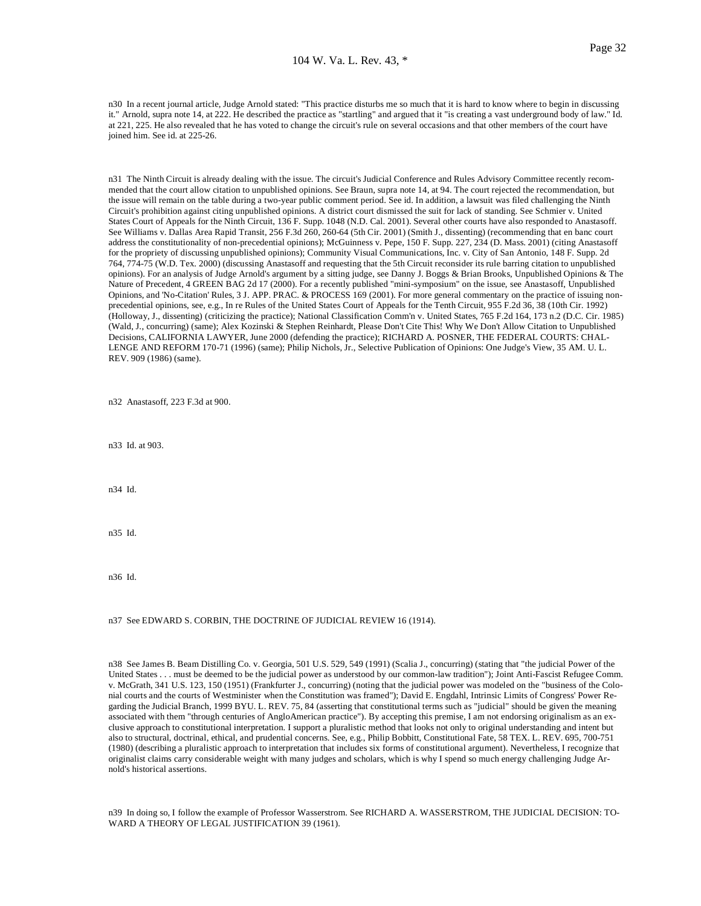n30 In a recent journal article, Judge Arnold stated: "This practice disturbs me so much that it is hard to know where to begin in discussing it." Arnold, supra note 14, at 222. He described the practice as "startling" and argued that it "is creating a vast underground body of law." Id. at 221, 225. He also revealed that he has voted to change the circuit's rule on several occasions and that other members of the court have joined him. See id. at 225-26.

n31 The Ninth Circuit is already dealing with the issue. The circuit's Judicial Conference and Rules Advisory Committee recently recommended that the court allow citation to unpublished opinions. See Braun, supra note 14, at 94. The court rejected the recommendation, but the issue will remain on the table during a two-year public comment period. See id. In addition, a lawsuit was filed challenging the Ninth Circuit's prohibition against citing unpublished opinions. A district court dismissed the suit for lack of standing. See Schmier v. United States Court of Appeals for the Ninth Circuit, 136 F. Supp. 1048 (N.D. Cal. 2001). Several other courts have also responded to Anastasoff. See Williams v. Dallas Area Rapid Transit, 256 F.3d 260, 260-64 (5th Cir. 2001) (Smith J., dissenting) (recommending that en banc court address the constitutionality of non-precedential opinions); McGuinness v. Pepe, 150 F. Supp. 227, 234 (D. Mass. 2001) (citing Anastasoff for the propriety of discussing unpublished opinions); Community Visual Communications, Inc. v. City of San Antonio, 148 F. Supp. 2d 764, 774-75 (W.D. Tex. 2000) (discussing Anastasoff and requesting that the 5th Circuit reconsider its rule barring citation to unpublished opinions). For an analysis of Judge Arnold's argument by a sitting judge, see Danny J. Boggs & Brian Brooks, Unpublished Opinions & The Nature of Precedent, 4 GREEN BAG 2d 17 (2000). For a recently published "mini-symposium" on the issue, see Anastasoff, Unpublished Opinions, and 'No-Citation' Rules, 3 J. APP. PRAC. & PROCESS 169 (2001). For more general commentary on the practice of issuing nonprecedential opinions, see, e.g., In re Rules of the United States Court of Appeals for the Tenth Circuit, 955 F.2d 36, 38 (10th Cir. 1992) (Holloway, J., dissenting) (criticizing the practice); National Classification Comm'n v. United States, 765 F.2d 164, 173 n.2 (D.C. Cir. 1985) (Wald, J., concurring) (same); Alex Kozinski & Stephen Reinhardt, Please Don't Cite This! Why We Don't Allow Citation to Unpublished Decisions, CALIFORNIA LAWYER, June 2000 (defending the practice); RICHARD A. POSNER, THE FEDERAL COURTS: CHAL-LENGE AND REFORM 170-71 (1996) (same); Philip Nichols, Jr., Selective Publication of Opinions: One Judge's View, 35 AM. U. L. REV. 909 (1986) (same).

n32 Anastasoff, 223 F.3d at 900.

n33 Id. at 903.

n34 Id.

n35 Id.

n36 Id.

n37 See EDWARD S. CORBIN, THE DOCTRINE OF JUDICIAL REVIEW 16 (1914).

n38 See James B. Beam Distilling Co. v. Georgia, 501 U.S. 529, 549 (1991) (Scalia J., concurring) (stating that "the judicial Power of the United States . . . must be deemed to be the judicial power as understood by our common-law tradition"); Joint Anti-Fascist Refugee Comm. v. McGrath, 341 U.S. 123, 150 (1951) (Frankfurter J., concurring) (noting that the judicial power was modeled on the "business of the Colonial courts and the courts of Westminister when the Constitution was framed"); David E. Engdahl, Intrinsic Limits of Congress' Power Regarding the Judicial Branch, 1999 BYU. L. REV. 75, 84 (asserting that constitutional terms such as "judicial" should be given the meaning associated with them "through centuries of AngloAmerican practice"). By accepting this premise, I am not endorsing originalism as an exclusive approach to constitutional interpretation. I support a pluralistic method that looks not only to original understanding and intent but also to structural, doctrinal, ethical, and prudential concerns. See, e.g., Philip Bobbitt, Constitutional Fate, 58 TEX. L. REV. 695, 700-751 (1980) (describing a pluralistic approach to interpretation that includes six forms of constitutional argument). Nevertheless, I recognize that originalist claims carry considerable weight with many judges and scholars, which is why I spend so much energy challenging Judge Arnold's historical assertions.

n39 In doing so, I follow the example of Professor Wasserstrom. See RICHARD A. WASSERSTROM, THE JUDICIAL DECISION: TO-WARD A THEORY OF LEGAL JUSTIFICATION 39 (1961).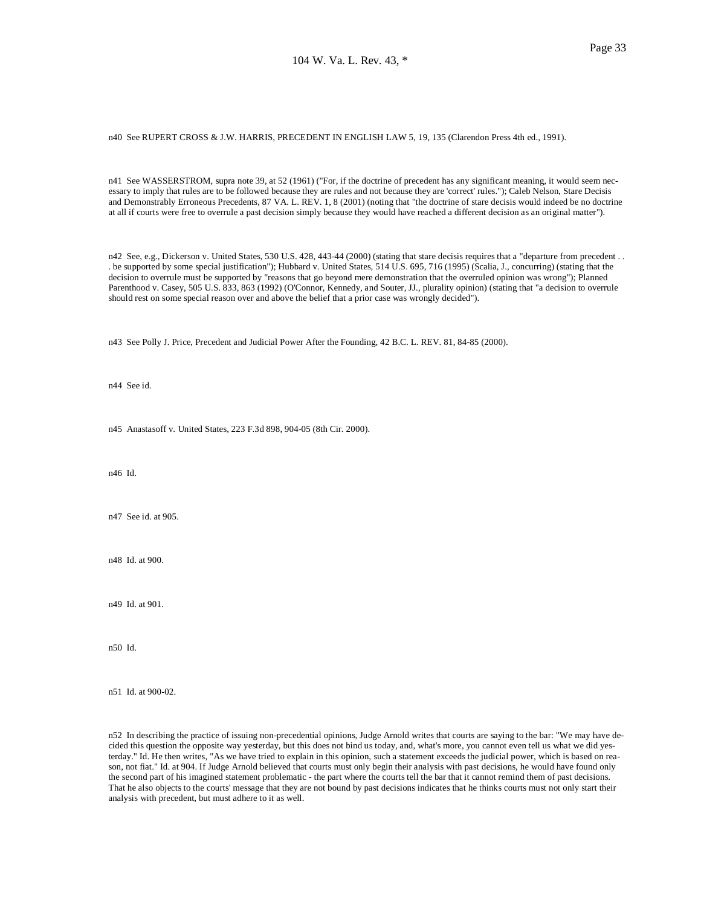n40 See RUPERT CROSS & J.W. HARRIS, PRECEDENT IN ENGLISH LAW 5, 19, 135 (Clarendon Press 4th ed., 1991).

n41 See WASSERSTROM, supra note 39, at 52 (1961) ("For, if the doctrine of precedent has any significant meaning, it would seem necessary to imply that rules are to be followed because they are rules and not because they are 'correct' rules."); Caleb Nelson, Stare Decisis and Demonstrably Erroneous Precedents, 87 VA. L. REV. 1, 8 (2001) (noting that "the doctrine of stare decisis would indeed be no doctrine at all if courts were free to overrule a past decision simply because they would have reached a different decision as an original matter").

n42 See, e.g., Dickerson v. United States, 530 U.S. 428, 443-44 (2000) (stating that stare decisis requires that a "departure from precedent . . . be supported by some special justification"); Hubbard v. United States, 514 U.S. 695, 716 (1995) (Scalia, J., concurring) (stating that the decision to overrule must be supported by "reasons that go beyond mere demonstration that the overruled opinion was wrong"); Planned Parenthood v. Casey, 505 U.S. 833, 863 (1992) (O'Connor, Kennedy, and Souter, JJ., plurality opinion) (stating that "a decision to overrule should rest on some special reason over and above the belief that a prior case was wrongly decided").

n43 See Polly J. Price, Precedent and Judicial Power After the Founding, 42 B.C. L. REV. 81, 84-85 (2000).

n44 See id.

n45 Anastasoff v. United States, 223 F.3d 898, 904-05 (8th Cir. 2000).

n46 Id.

n47 See id. at 905.

n48 Id. at 900.

n49 Id. at 901.

n50 Id.

n51 Id. at 900-02.

n52 In describing the practice of issuing non-precedential opinions, Judge Arnold writes that courts are saying to the bar: "We may have decided this question the opposite way yesterday, but this does not bind us today, and, what's more, you cannot even tell us what we did yesterday." Id. He then writes, "As we have tried to explain in this opinion, such a statement exceeds the judicial power, which is based on reason, not fiat." Id. at 904. If Judge Arnold believed that courts must only begin their analysis with past decisions, he would have found only the second part of his imagined statement problematic - the part where the courts tell the bar that it cannot remind them of past decisions. That he also objects to the courts' message that they are not bound by past decisions indicates that he thinks courts must not only start their analysis with precedent, but must adhere to it as well.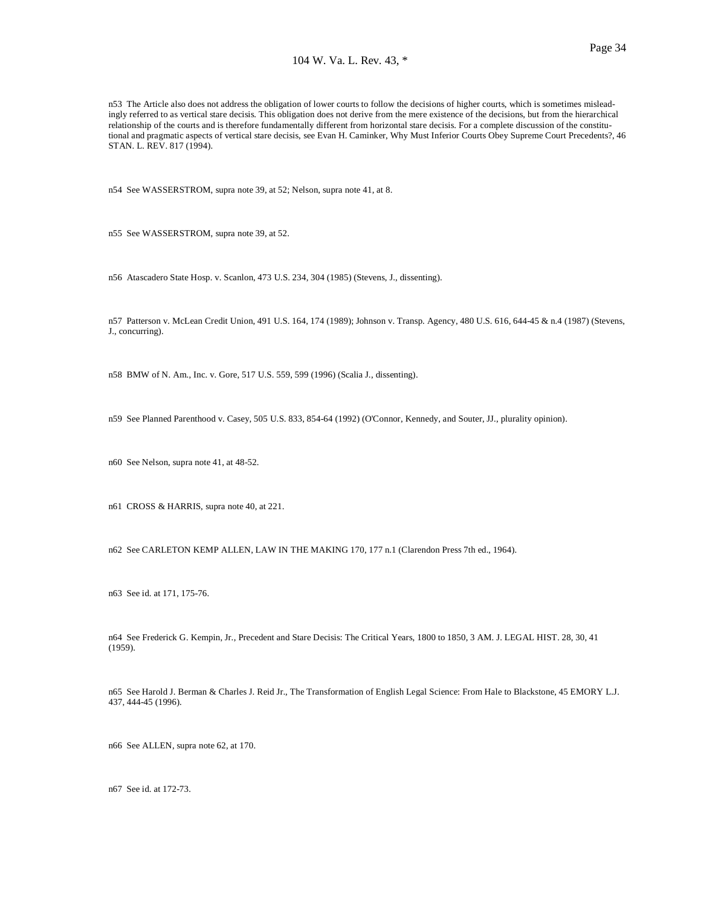n53 The Article also does not address the obligation of lower courts to follow the decisions of higher courts, which is sometimes misleadingly referred to as vertical stare decisis. This obligation does not derive from the mere existence of the decisions, but from the hierarchical relationship of the courts and is therefore fundamentally different from horizontal stare decisis. For a complete discussion of the constitutional and pragmatic aspects of vertical stare decisis, see Evan H. Caminker, Why Must Inferior Courts Obey Supreme Court Precedents?, 46 STAN. L. REV. 817 (1994).

n54 See WASSERSTROM, supra note 39, at 52; Nelson, supra note 41, at 8.

n55 See WASSERSTROM, supra note 39, at 52.

n56 Atascadero State Hosp. v. Scanlon, 473 U.S. 234, 304 (1985) (Stevens, J., dissenting).

n57 Patterson v. McLean Credit Union, 491 U.S. 164, 174 (1989); Johnson v. Transp. Agency, 480 U.S. 616, 644-45 & n.4 (1987) (Stevens, J., concurring).

n58 BMW of N. Am., Inc. v. Gore, 517 U.S. 559, 599 (1996) (Scalia J., dissenting).

n59 See Planned Parenthood v. Casey, 505 U.S. 833, 854-64 (1992) (O'Connor, Kennedy, and Souter, JJ., plurality opinion).

n60 See Nelson, supra note 41, at 48-52.

n61 CROSS & HARRIS, supra note 40, at 221.

n62 See CARLETON KEMP ALLEN, LAW IN THE MAKING 170, 177 n.1 (Clarendon Press 7th ed., 1964).

n63 See id. at 171, 175-76.

n64 See Frederick G. Kempin, Jr., Precedent and Stare Decisis: The Critical Years, 1800 to 1850, 3 AM. J. LEGAL HIST. 28, 30, 41 (1959).

n65 See Harold J. Berman & Charles J. Reid Jr., The Transformation of English Legal Science: From Hale to Blackstone, 45 EMORY L.J. 437, 444-45 (1996).

n66 See ALLEN, supra note 62, at 170.

n67 See id. at 172-73.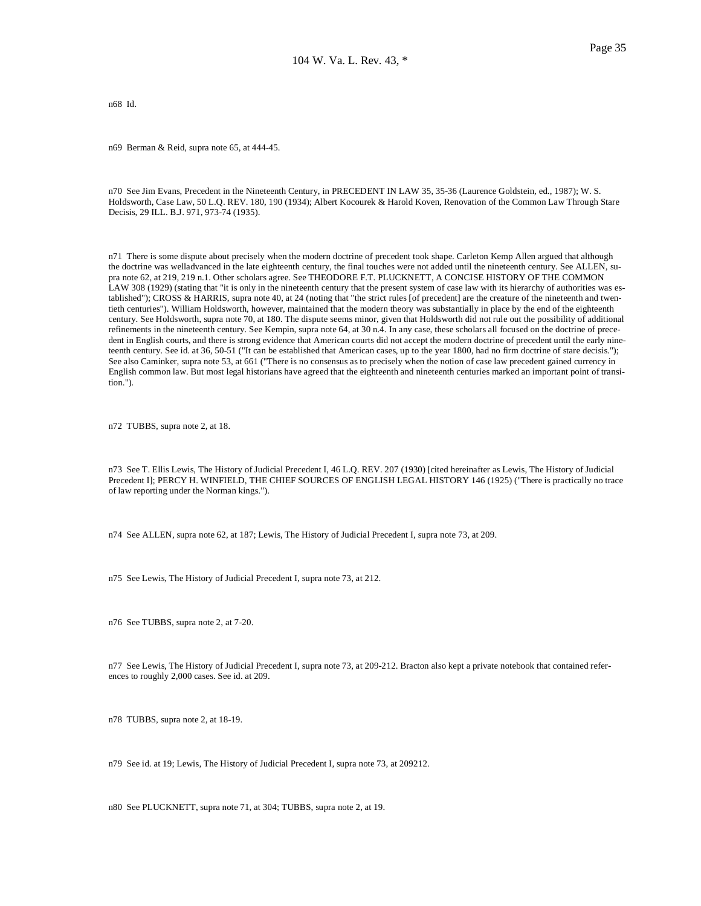n68 Id.

n69 Berman & Reid, supra note 65, at 444-45.

n70 See Jim Evans, Precedent in the Nineteenth Century, in PRECEDENT IN LAW 35, 35-36 (Laurence Goldstein, ed., 1987); W. S. Holdsworth, Case Law, 50 L.Q. REV. 180, 190 (1934); Albert Kocourek & Harold Koven, Renovation of the Common Law Through Stare Decisis, 29 ILL. B.J. 971, 973-74 (1935).

n71 There is some dispute about precisely when the modern doctrine of precedent took shape. Carleton Kemp Allen argued that although the doctrine was welladvanced in the late eighteenth century, the final touches were not added until the nineteenth century. See ALLEN, supra note 62, at 219, 219 n.1. Other scholars agree. See THEODORE F.T. PLUCKNETT, A CONCISE HISTORY OF THE COMMON LAW 308 (1929) (stating that "it is only in the nineteenth century that the present system of case law with its hierarchy of authorities was established"); CROSS & HARRIS, supra note 40, at 24 (noting that "the strict rules [of precedent] are the creature of the nineteenth and twentieth centuries"). William Holdsworth, however, maintained that the modern theory was substantially in place by the end of the eighteenth century. See Holdsworth, supra note 70, at 180. The dispute seems minor, given that Holdsworth did not rule out the possibility of additional refinements in the nineteenth century. See Kempin, supra note 64, at 30 n.4. In any case, these scholars all focused on the doctrine of precedent in English courts, and there is strong evidence that American courts did not accept the modern doctrine of precedent until the early nineteenth century. See id. at 36, 50-51 ("It can be established that American cases, up to the year 1800, had no firm doctrine of stare decisis."); See also Caminker, supra note 53, at 661 ("There is no consensus as to precisely when the notion of case law precedent gained currency in English common law. But most legal historians have agreed that the eighteenth and nineteenth centuries marked an important point of transition.").

n72 TUBBS, supra note 2, at 18.

n73 See T. Ellis Lewis, The History of Judicial Precedent I, 46 L.Q. REV. 207 (1930) [cited hereinafter as Lewis, The History of Judicial Precedent I]; PERCY H. WINFIELD, THE CHIEF SOURCES OF ENGLISH LEGAL HISTORY 146 (1925) ("There is practically no trace of law reporting under the Norman kings.").

n74 See ALLEN, supra note 62, at 187; Lewis, The History of Judicial Precedent I, supra note 73, at 209.

n75 See Lewis, The History of Judicial Precedent I, supra note 73, at 212.

n76 See TUBBS, supra note 2, at 7-20.

n77 See Lewis, The History of Judicial Precedent I, supra note 73, at 209-212. Bracton also kept a private notebook that contained references to roughly 2,000 cases. See id. at 209.

n78 TUBBS, supra note 2, at 18-19.

n79 See id. at 19; Lewis, The History of Judicial Precedent I, supra note 73, at 209212.

n80 See PLUCKNETT, supra note 71, at 304; TUBBS, supra note 2, at 19.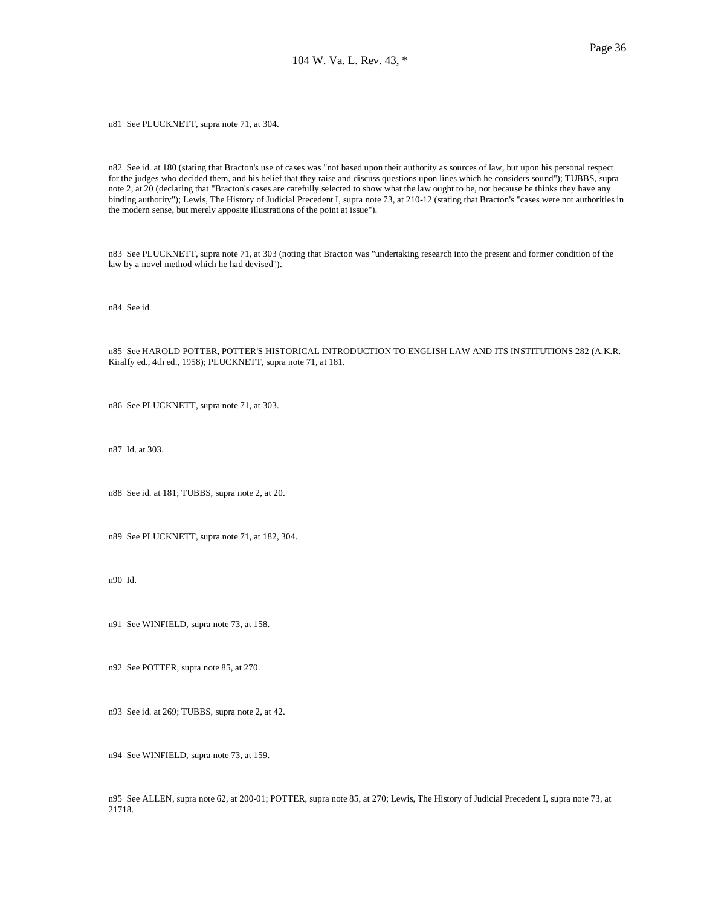n81 See PLUCKNETT, supra note 71, at 304.

n82 See id. at 180 (stating that Bracton's use of cases was "not based upon their authority as sources of law, but upon his personal respect for the judges who decided them, and his belief that they raise and discuss questions upon lines which he considers sound"); TUBBS, supra note 2, at 20 (declaring that "Bracton's cases are carefully selected to show what the law ought to be, not because he thinks they have any binding authority"); Lewis, The History of Judicial Precedent I, supra note 73, at 210-12 (stating that Bracton's "cases were not authorities in the modern sense, but merely apposite illustrations of the point at issue").

n83 See PLUCKNETT, supra note 71, at 303 (noting that Bracton was "undertaking research into the present and former condition of the law by a novel method which he had devised").

n84 See id.

n85 See HAROLD POTTER, POTTER'S HISTORICAL INTRODUCTION TO ENGLISH LAW AND ITS INSTITUTIONS 282 (A.K.R. Kiralfy ed., 4th ed., 1958); PLUCKNETT, supra note 71, at 181.

n86 See PLUCKNETT, supra note 71, at 303.

n87 Id. at 303.

n88 See id. at 181; TUBBS, supra note 2, at 20.

n89 See PLUCKNETT, supra note 71, at 182, 304.

n90 Id.

n91 See WINFIELD, supra note 73, at 158.

n92 See POTTER, supra note 85, at 270.

n93 See id. at 269; TUBBS, supra note 2, at 42.

n94 See WINFIELD, supra note 73, at 159.

n95 See ALLEN, supra note 62, at 200-01; POTTER, supra note 85, at 270; Lewis, The History of Judicial Precedent I, supra note 73, at 21718.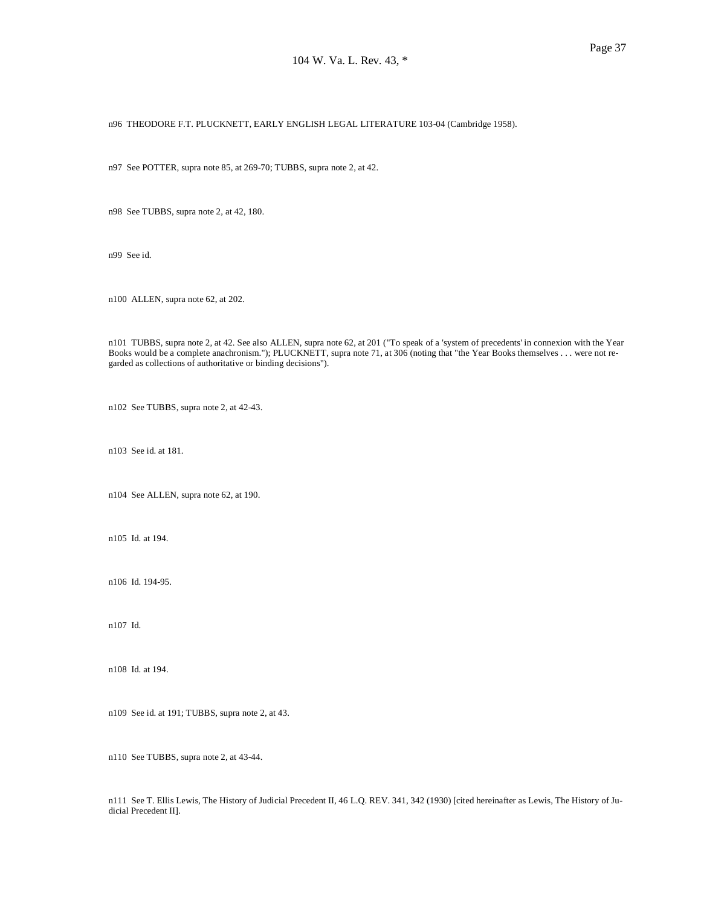n96 THEODORE F.T. PLUCKNETT, EARLY ENGLISH LEGAL LITERATURE 103-04 (Cambridge 1958).

n97 See POTTER, supra note 85, at 269-70; TUBBS, supra note 2, at 42.

n98 See TUBBS, supra note 2, at 42, 180.

n99 See id.

n100 ALLEN, supra note 62, at 202.

n101 TUBBS, supra note 2, at 42. See also ALLEN, supra note 62, at 201 ("To speak of a 'system of precedents' in connexion with the Year Books would be a complete anachronism."); PLUCKNETT, supra note 71, at 306 (noting that "the Year Books themselves . . . were not regarded as collections of authoritative or binding decisions").

n102 See TUBBS, supra note 2, at 42-43.

n103 See id. at 181.

n104 See ALLEN, supra note 62, at 190.

n105 Id. at 194.

n106 Id. 194-95.

n107 Id.

n108 Id. at 194.

n109 See id. at 191; TUBBS, supra note 2, at 43.

n110 See TUBBS, supra note 2, at 43-44.

n111 See T. Ellis Lewis, The History of Judicial Precedent II, 46 L.Q. REV. 341, 342 (1930) [cited hereinafter as Lewis, The History of Judicial Precedent II].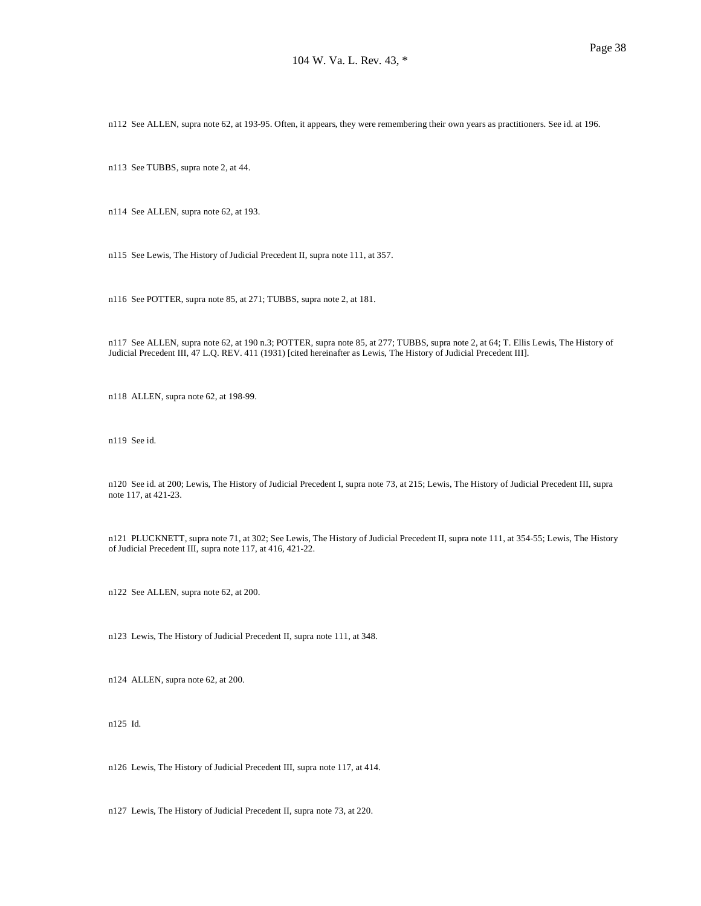n112 See ALLEN, supra note 62, at 193-95. Often, it appears, they were remembering their own years as practitioners. See id. at 196.

n113 See TUBBS, supra note 2, at 44.

n114 See ALLEN, supra note 62, at 193.

n115 See Lewis, The History of Judicial Precedent II, supra note 111, at 357.

n116 See POTTER, supra note 85, at 271; TUBBS, supra note 2, at 181.

n117 See ALLEN, supra note 62, at 190 n.3; POTTER, supra note 85, at 277; TUBBS, supra note 2, at 64; T. Ellis Lewis, The History of Judicial Precedent III, 47 L.Q. REV. 411 (1931) [cited hereinafter as Lewis, The History of Judicial Precedent III].

n118 ALLEN, supra note 62, at 198-99.

n119 See id.

n120 See id. at 200; Lewis, The History of Judicial Precedent I, supra note 73, at 215; Lewis, The History of Judicial Precedent III, supra note 117, at 421-23.

n121 PLUCKNETT, supra note 71, at 302; See Lewis, The History of Judicial Precedent II, supra note 111, at 354-55; Lewis, The History of Judicial Precedent III, supra note 117, at 416, 421-22.

n122 See ALLEN, supra note 62, at 200.

n123 Lewis, The History of Judicial Precedent II, supra note 111, at 348.

n124 ALLEN, supra note 62, at 200.

n125 Id.

n126 Lewis, The History of Judicial Precedent III, supra note 117, at 414.

n127 Lewis, The History of Judicial Precedent II, supra note 73, at 220.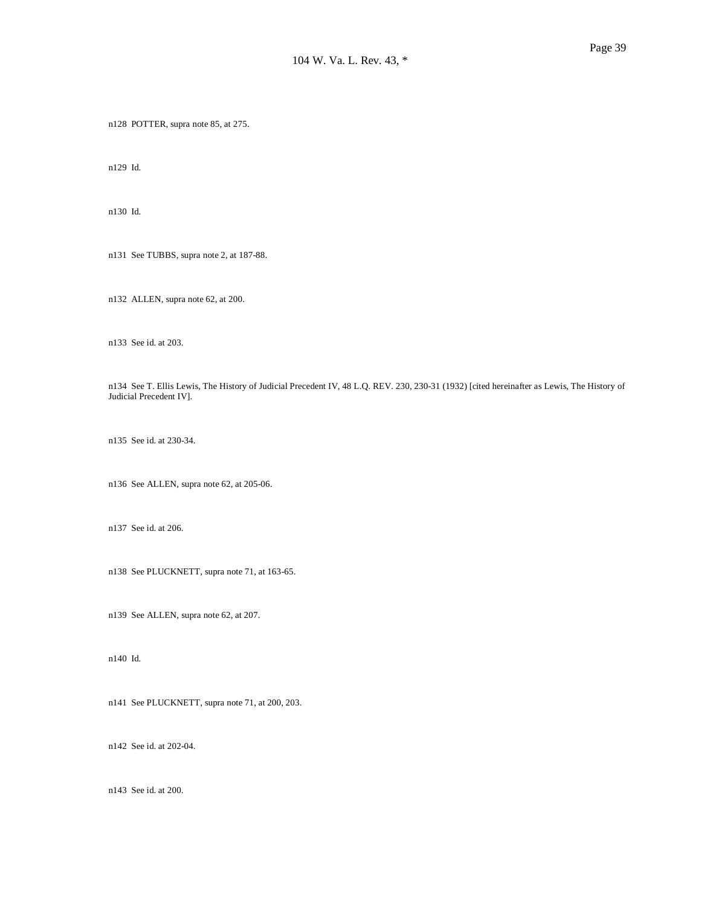n128 POTTER, supra note 85, at 275.

n129 Id.

n130 Id.

n131 See TUBBS, supra note 2, at 187-88.

n132 ALLEN, supra note 62, at 200.

n133 See id. at 203.

n134 See T. Ellis Lewis, The History of Judicial Precedent IV, 48 L.Q. REV. 230, 230-31 (1932) [cited hereinafter as Lewis, The History of Judicial Precedent IV].

n135 See id. at 230-34.

n136 See ALLEN, supra note 62, at 205-06.

n137 See id. at 206.

n138 See PLUCKNETT, supra note 71, at 163-65.

n139 See ALLEN, supra note 62, at 207.

n140 Id.

n141 See PLUCKNETT, supra note 71, at 200, 203.

n142 See id. at 202-04.

n143 See id. at 200.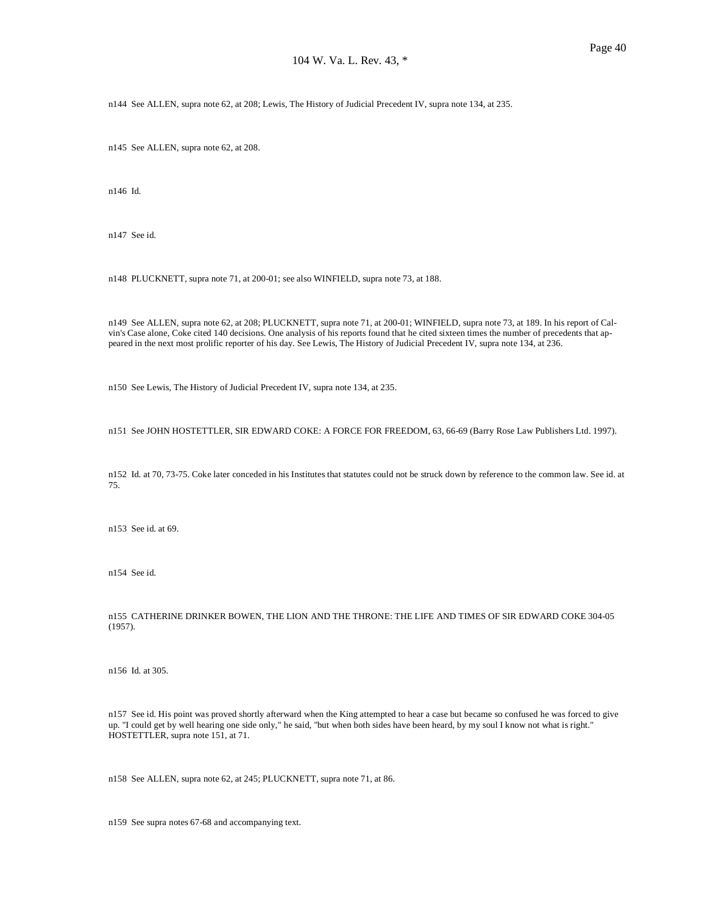n144 See ALLEN, supra note 62, at 208; Lewis, The History of Judicial Precedent IV, supra note 134, at 235.

n145 See ALLEN, supra note 62, at 208.

n146 Id.

n147 See id.

n148 PLUCKNETT, supra note 71, at 200-01; see also WINFIELD, supra note 73, at 188.

n149 See ALLEN, supra note 62, at 208; PLUCKNETT, supra note 71, at 200-01; WINFIELD, supra note 73, at 189. In his report of Calvin's Case alone, Coke cited 140 decisions. One analysis of his reports found that he cited sixteen times the number of precedents that appeared in the next most prolific reporter of his day. See Lewis, The History of Judicial Precedent IV, supra note 134, at 236.

n150 See Lewis, The History of Judicial Precedent IV, supra note 134, at 235.

n151 See JOHN HOSTETTLER, SIR EDWARD COKE: A FORCE FOR FREEDOM, 63, 66-69 (Barry Rose Law Publishers Ltd. 1997).

n152 Id. at 70, 73-75. Coke later conceded in his Institutes that statutes could not be struck down by reference to the common law. See id. at 75.

n153 See id. at 69.

n154 See id.

n155 CATHERINE DRINKER BOWEN, THE LION AND THE THRONE: THE LIFE AND TIMES OF SIR EDWARD COKE 304-05 (1957).

n156 Id. at 305.

n157 See id. His point was proved shortly afterward when the King attempted to hear a case but became so confused he was forced to give up. "I could get by well hearing one side only," he said, "but when both sides have been heard, by my soul I know not what is right." HOSTETTLER, supra note 151, at 71.

n158 See ALLEN, supra note 62, at 245; PLUCKNETT, supra note 71, at 86.

n159 See supra notes 67-68 and accompanying text.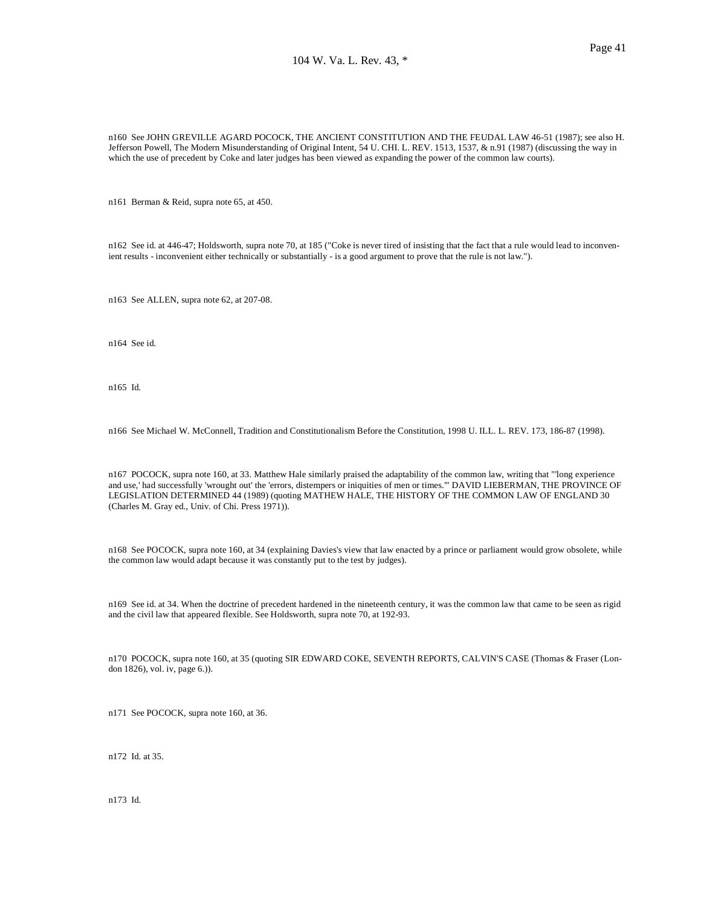n160 See JOHN GREVILLE AGARD POCOCK, THE ANCIENT CONSTITUTION AND THE FEUDAL LAW 46-51 (1987); see also H. Jefferson Powell, The Modern Misunderstanding of Original Intent, 54 U. CHI. L. REV. 1513, 1537, & n.91 (1987) (discussing the way in which the use of precedent by Coke and later judges has been viewed as expanding the power of the common law courts).

n161 Berman & Reid, supra note 65, at 450.

n162 See id. at 446-47; Holdsworth, supra note 70, at 185 ("Coke is never tired of insisting that the fact that a rule would lead to inconvenient results - inconvenient either technically or substantially - is a good argument to prove that the rule is not law.").

n163 See ALLEN, supra note 62, at 207-08.

n164 See id.

n165 Id.

n166 See Michael W. McConnell, Tradition and Constitutionalism Before the Constitution, 1998 U. ILL. L. REV. 173, 186-87 (1998).

n167 POCOCK, supra note 160, at 33. Matthew Hale similarly praised the adaptability of the common law, writing that "'long experience and use,' had successfully 'wrought out' the 'errors, distempers or iniquities of men or times.'" DAVID LIEBERMAN, THE PROVINCE OF LEGISLATION DETERMINED 44 (1989) (quoting MATHEW HALE, THE HISTORY OF THE COMMON LAW OF ENGLAND 30 (Charles M. Gray ed., Univ. of Chi. Press 1971)).

n168 See POCOCK, supra note 160, at 34 (explaining Davies's view that law enacted by a prince or parliament would grow obsolete, while the common law would adapt because it was constantly put to the test by judges).

n169 See id. at 34. When the doctrine of precedent hardened in the nineteenth century, it was the common law that came to be seen as rigid and the civil law that appeared flexible. See Holdsworth, supra note 70, at 192-93.

n170 POCOCK, supra note 160, at 35 (quoting SIR EDWARD COKE, SEVENTH REPORTS, CALVIN'S CASE (Thomas & Fraser (London 1826), vol. iv, page 6.)).

n171 See POCOCK, supra note 160, at 36.

n172 Id. at 35.

n173 Id.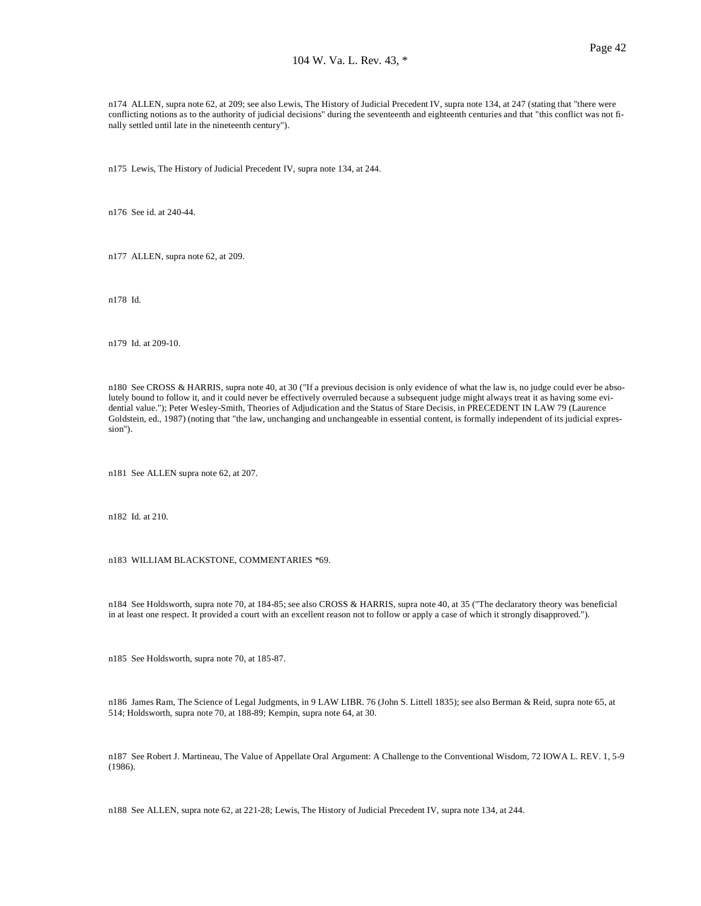n174 ALLEN, supra note 62, at 209; see also Lewis, The History of Judicial Precedent IV, supra note 134, at 247 (stating that "there were conflicting notions as to the authority of judicial decisions" during the seventeenth and eighteenth centuries and that "this conflict was not finally settled until late in the nineteenth century").

n175 Lewis, The History of Judicial Precedent IV, supra note 134, at 244.

n176 See id. at 240-44.

n177 ALLEN, supra note 62, at 209.

n178 Id.

n179 Id. at 209-10.

n180 See CROSS & HARRIS, supra note 40, at 30 ("If a previous decision is only evidence of what the law is, no judge could ever be absolutely bound to follow it, and it could never be effectively overruled because a subsequent judge might always treat it as having some evidential value."); Peter Wesley-Smith, Theories of Adjudication and the Status of Stare Decisis, in PRECEDENT IN LAW 79 (Laurence Goldstein, ed., 1987) (noting that "the law, unchanging and unchangeable in essential content, is formally independent of its judicial expression").

n181 See ALLEN supra note 62, at 207.

n182 Id. at 210.

n183 WILLIAM BLACKSTONE, COMMENTARIES \*69.

n184 See Holdsworth, supra note 70, at 184-85; see also CROSS & HARRIS, supra note 40, at 35 ("The declaratory theory was beneficial in at least one respect. It provided a court with an excellent reason not to follow or apply a case of which it strongly disapproved.").

n185 See Holdsworth, supra note 70, at 185-87.

n186 James Ram, The Science of Legal Judgments, in 9 LAW LIBR. 76 (John S. Littell 1835); see also Berman & Reid, supra note 65, at 514; Holdsworth, supra note 70, at 188-89; Kempin, supra note 64, at 30.

n187 See Robert J. Martineau, The Value of Appellate Oral Argument: A Challenge to the Conventional Wisdom, 72 IOWA L. REV. 1, 5-9 (1986).

n188 See ALLEN, supra note 62, at 221-28; Lewis, The History of Judicial Precedent IV, supra note 134, at 244.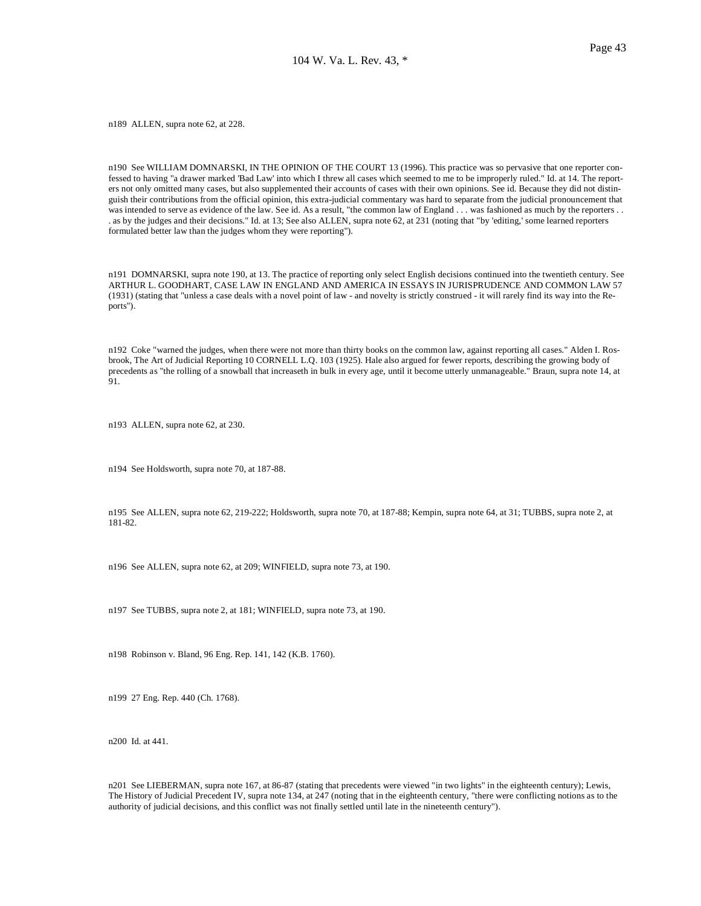n189 ALLEN, supra note 62, at 228.

n190 See WILLIAM DOMNARSKI, IN THE OPINION OF THE COURT 13 (1996). This practice was so pervasive that one reporter confessed to having "a drawer marked 'Bad Law' into which I threw all cases which seemed to me to be improperly ruled." Id. at 14. The reporters not only omitted many cases, but also supplemented their accounts of cases with their own opinions. See id. Because they did not distinguish their contributions from the official opinion, this extra-judicial commentary was hard to separate from the judicial pronouncement that was intended to serve as evidence of the law. See id. As a result, "the common law of England . . . was fashioned as much by the reporters . . . as by the judges and their decisions." Id. at 13; See also ALLEN, supra note 62, at 231 (noting that "by 'editing,' some learned reporters formulated better law than the judges whom they were reporting").

n191 DOMNARSKI, supra note 190, at 13. The practice of reporting only select English decisions continued into the twentieth century. See ARTHUR L. GOODHART, CASE LAW IN ENGLAND AND AMERICA IN ESSAYS IN JURISPRUDENCE AND COMMON LAW 57 (1931) (stating that "unless a case deals with a novel point of law - and novelty is strictly construed - it will rarely find its way into the Reports").

n192 Coke "warned the judges, when there were not more than thirty books on the common law, against reporting all cases." Alden I. Rosbrook, The Art of Judicial Reporting 10 CORNELL L.Q. 103 (1925). Hale also argued for fewer reports, describing the growing body of precedents as "the rolling of a snowball that increaseth in bulk in every age, until it become utterly unmanageable." Braun, supra note 14, at 91.

n193 ALLEN, supra note 62, at 230.

n194 See Holdsworth, supra note 70, at 187-88.

n195 See ALLEN, supra note 62, 219-222; Holdsworth, supra note 70, at 187-88; Kempin, supra note 64, at 31; TUBBS, supra note 2, at 181-82.

n196 See ALLEN, supra note 62, at 209; WINFIELD, supra note 73, at 190.

n197 See TUBBS, supra note 2, at 181; WINFIELD, supra note 73, at 190.

n198 Robinson v. Bland, 96 Eng. Rep. 141, 142 (K.B. 1760).

n199 27 Eng. Rep. 440 (Ch. 1768).

n200 Id. at 441.

n201 See LIEBERMAN, supra note 167, at 86-87 (stating that precedents were viewed "in two lights" in the eighteenth century); Lewis, The History of Judicial Precedent IV, supra note 134, at 247 (noting that in the eighteenth century, "there were conflicting notions as to the authority of judicial decisions, and this conflict was not finally settled until late in the nineteenth century").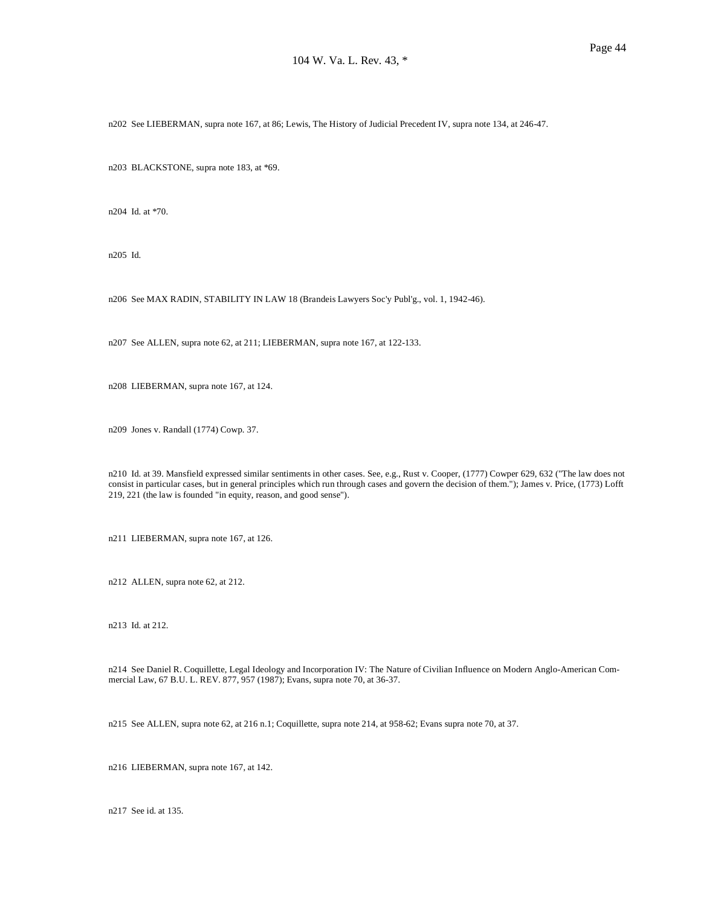n202 See LIEBERMAN, supra note 167, at 86; Lewis, The History of Judicial Precedent IV, supra note 134, at 246-47.

n203 BLACKSTONE, supra note 183, at \*69.

n204 Id. at \*70.

n205 Id.

n206 See MAX RADIN, STABILITY IN LAW 18 (Brandeis Lawyers Soc'y Publ'g., vol. 1, 1942-46).

n207 See ALLEN, supra note 62, at 211; LIEBERMAN, supra note 167, at 122-133.

n208 LIEBERMAN, supra note 167, at 124.

n209 Jones v. Randall (1774) Cowp. 37.

n210 Id. at 39. Mansfield expressed similar sentiments in other cases. See, e.g., Rust v. Cooper, (1777) Cowper 629, 632 ("The law does not consist in particular cases, but in general principles which run through cases and govern the decision of them."); James v. Price, (1773) Lofft 219, 221 (the law is founded "in equity, reason, and good sense").

n211 LIEBERMAN, supra note 167, at 126.

n212 ALLEN, supra note 62, at 212.

n213 Id. at 212.

n214 See Daniel R. Coquillette, Legal Ideology and Incorporation IV: The Nature of Civilian Influence on Modern Anglo-American Commercial Law, 67 B.U. L. REV. 877, 957 (1987); Evans, supra note 70, at 36-37.

n215 See ALLEN, supra note 62, at 216 n.1; Coquillette, supra note 214, at 958-62; Evans supra note 70, at 37.

n216 LIEBERMAN, supra note 167, at 142.

n217 See id. at 135.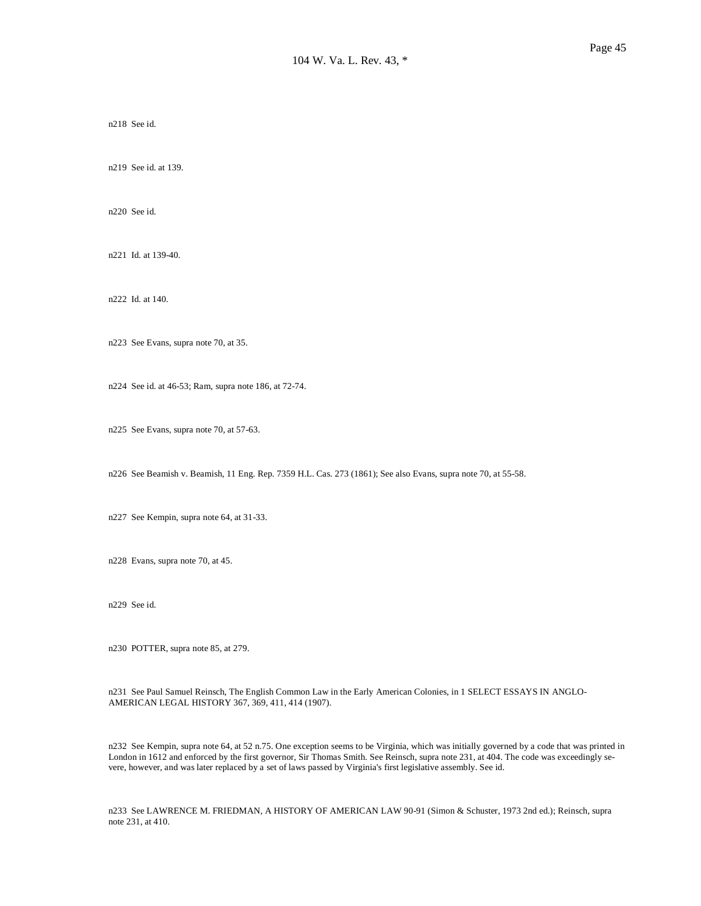n218 See id.

n219 See id. at 139.

n220 See id.

n221 Id. at 139-40.

n222 Id. at 140.

n223 See Evans, supra note 70, at 35.

n224 See id. at 46-53; Ram, supra note 186, at 72-74.

n225 See Evans, supra note 70, at 57-63.

n226 See Beamish v. Beamish, 11 Eng. Rep. 7359 H.L. Cas. 273 (1861); See also Evans, supra note 70, at 55-58.

n227 See Kempin, supra note 64, at 31-33.

n228 Evans, supra note 70, at 45.

n229 See id.

n230 POTTER, supra note 85, at 279.

n231 See Paul Samuel Reinsch, The English Common Law in the Early American Colonies, in 1 SELECT ESSAYS IN ANGLO-AMERICAN LEGAL HISTORY 367, 369, 411, 414 (1907).

n232 See Kempin, supra note 64, at 52 n.75. One exception seems to be Virginia, which was initially governed by a code that was printed in London in 1612 and enforced by the first governor, Sir Thomas Smith. See Reinsch, supra note 231, at 404. The code was exceedingly severe, however, and was later replaced by a set of laws passed by Virginia's first legislative assembly. See id.

n233 See LAWRENCE M. FRIEDMAN, A HISTORY OF AMERICAN LAW 90-91 (Simon & Schuster, 1973 2nd ed.); Reinsch, supra note 231, at 410.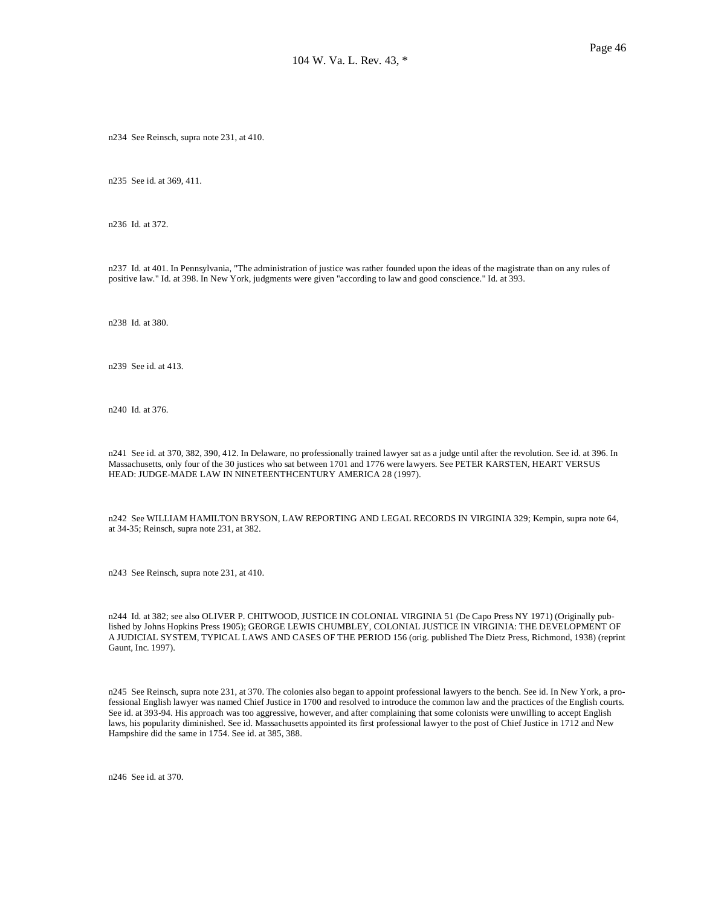n234 See Reinsch, supra note 231, at 410.

n235 See id. at 369, 411.

n236 Id. at 372.

n237 Id. at 401. In Pennsylvania, "The administration of justice was rather founded upon the ideas of the magistrate than on any rules of positive law." Id. at 398. In New York, judgments were given "according to law and good conscience." Id. at 393.

n238 Id. at 380.

n239 See id. at 413.

n240 Id. at 376.

n241 See id. at 370, 382, 390, 412. In Delaware, no professionally trained lawyer sat as a judge until after the revolution. See id. at 396. In Massachusetts, only four of the 30 justices who sat between 1701 and 1776 were lawyers. See PETER KARSTEN, HEART VERSUS HEAD: JUDGE-MADE LAW IN NINETEENTHCENTURY AMERICA 28 (1997).

n242 See WILLIAM HAMILTON BRYSON, LAW REPORTING AND LEGAL RECORDS IN VIRGINIA 329; Kempin, supra note 64, at 34-35; Reinsch, supra note 231, at 382.

n243 See Reinsch, supra note 231, at 410.

n244 Id. at 382; see also OLIVER P. CHITWOOD, JUSTICE IN COLONIAL VIRGINIA 51 (De Capo Press NY 1971) (Originally published by Johns Hopkins Press 1905); GEORGE LEWIS CHUMBLEY, COLONIAL JUSTICE IN VIRGINIA: THE DEVELOPMENT OF A JUDICIAL SYSTEM, TYPICAL LAWS AND CASES OF THE PERIOD 156 (orig. published The Dietz Press, Richmond, 1938) (reprint Gaunt, Inc. 1997).

n245 See Reinsch, supra note 231, at 370. The colonies also began to appoint professional lawyers to the bench. See id. In New York, a professional English lawyer was named Chief Justice in 1700 and resolved to introduce the common law and the practices of the English courts. See id. at 393-94. His approach was too aggressive, however, and after complaining that some colonists were unwilling to accept English laws, his popularity diminished. See id. Massachusetts appointed its first professional lawyer to the post of Chief Justice in 1712 and New Hampshire did the same in 1754. See id. at 385, 388.

n246 See id. at 370.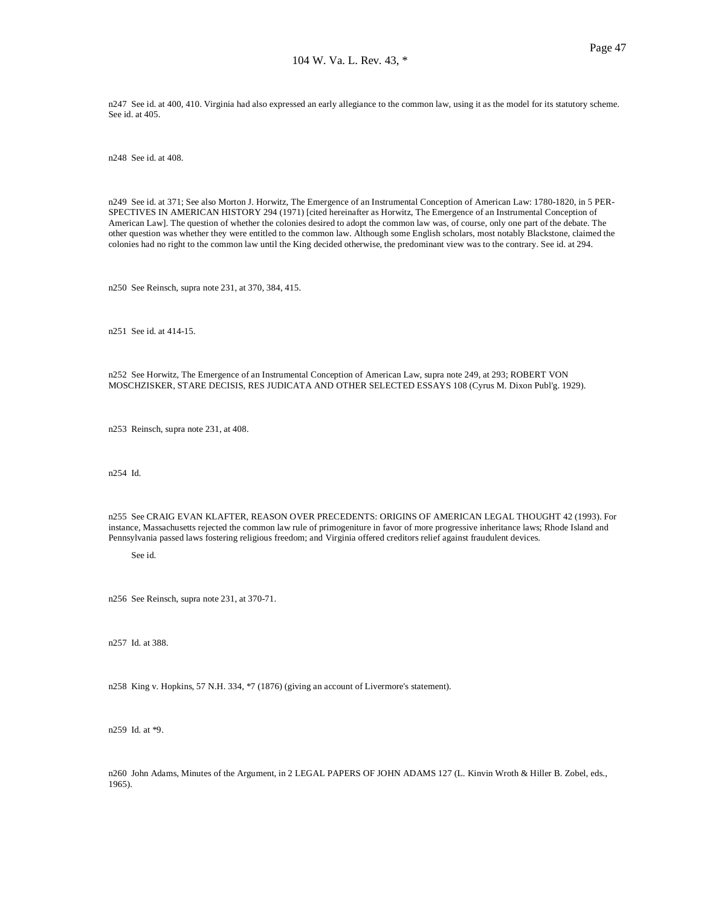n247 See id. at 400, 410. Virginia had also expressed an early allegiance to the common law, using it as the model for its statutory scheme. See id. at 405.

n248 See id. at 408.

n249 See id. at 371; See also Morton J. Horwitz, The Emergence of an Instrumental Conception of American Law: 1780-1820, in 5 PER-SPECTIVES IN AMERICAN HISTORY 294 (1971) [cited hereinafter as Horwitz, The Emergence of an Instrumental Conception of American Law]. The question of whether the colonies desired to adopt the common law was, of course, only one part of the debate. The other question was whether they were entitled to the common law. Although some English scholars, most notably Blackstone, claimed the colonies had no right to the common law until the King decided otherwise, the predominant view was to the contrary. See id. at 294.

n250 See Reinsch, supra note 231, at 370, 384, 415.

n251 See id. at 414-15.

n252 See Horwitz, The Emergence of an Instrumental Conception of American Law, supra note 249, at 293; ROBERT VON MOSCHZISKER, STARE DECISIS, RES JUDICATA AND OTHER SELECTED ESSAYS 108 (Cyrus M. Dixon Publ'g. 1929).

n253 Reinsch, supra note 231, at 408.

n254 Id.

n255 See CRAIG EVAN KLAFTER, REASON OVER PRECEDENTS: ORIGINS OF AMERICAN LEGAL THOUGHT 42 (1993). For instance, Massachusetts rejected the common law rule of primogeniture in favor of more progressive inheritance laws; Rhode Island and Pennsylvania passed laws fostering religious freedom; and Virginia offered creditors relief against fraudulent devices.

See id.

n256 See Reinsch, supra note 231, at 370-71.

n257 Id. at 388.

n258 King v. Hopkins, 57 N.H. 334, \*7 (1876) (giving an account of Livermore's statement).

n259 Id. at \*9.

n260 John Adams, Minutes of the Argument, in 2 LEGAL PAPERS OF JOHN ADAMS 127 (L. Kinvin Wroth & Hiller B. Zobel, eds., 1965).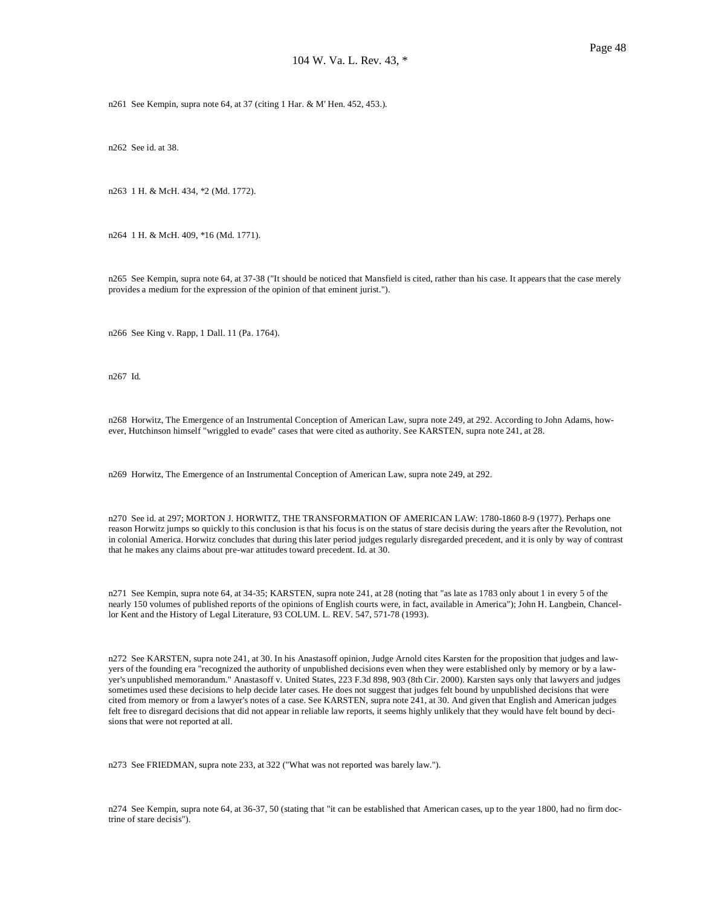n261 See Kempin, supra note 64, at 37 (citing 1 Har. & M' Hen. 452, 453.).

n262 See id. at 38.

n263 1 H. & McH. 434, \*2 (Md. 1772).

n264 1 H. & McH. 409, \*16 (Md. 1771).

n265 See Kempin, supra note 64, at 37-38 ("It should be noticed that Mansfield is cited, rather than his case. It appears that the case merely provides a medium for the expression of the opinion of that eminent jurist.").

n266 See King v. Rapp, 1 Dall. 11 (Pa. 1764).

n267 Id.

n268 Horwitz, The Emergence of an Instrumental Conception of American Law, supra note 249, at 292. According to John Adams, however, Hutchinson himself "wriggled to evade" cases that were cited as authority. See KARSTEN, supra note 241, at 28.

n269 Horwitz, The Emergence of an Instrumental Conception of American Law, supra note 249, at 292.

n270 See id. at 297; MORTON J. HORWITZ, THE TRANSFORMATION OF AMERICAN LAW: 1780-1860 8-9 (1977). Perhaps one reason Horwitz jumps so quickly to this conclusion is that his focus is on the status of stare decisis during the years after the Revolution, not in colonial America. Horwitz concludes that during this later period judges regularly disregarded precedent, and it is only by way of contrast that he makes any claims about pre-war attitudes toward precedent. Id. at 30.

n271 See Kempin, supra note 64, at 34-35; KARSTEN, supra note 241, at 28 (noting that "as late as 1783 only about 1 in every 5 of the nearly 150 volumes of published reports of the opinions of English courts were, in fact, available in America"); John H. Langbein, Chancellor Kent and the History of Legal Literature, 93 COLUM. L. REV. 547, 571-78 (1993).

n272 See KARSTEN, supra note 241, at 30. In his Anastasoff opinion, Judge Arnold cites Karsten for the proposition that judges and lawyers of the founding era "recognized the authority of unpublished decisions even when they were established only by memory or by a lawyer's unpublished memorandum." Anastasoff v. United States, 223 F.3d 898, 903 (8th Cir. 2000). Karsten says only that lawyers and judges sometimes used these decisions to help decide later cases. He does not suggest that judges felt bound by unpublished decisions that were cited from memory or from a lawyer's notes of a case. See KARSTEN, supra note 241, at 30. And given that English and American judges felt free to disregard decisions that did not appear in reliable law reports, it seems highly unlikely that they would have felt bound by decisions that were not reported at all.

n273 See FRIEDMAN, supra note 233, at 322 ("What was not reported was barely law.").

n274 See Kempin, supra note 64, at 36-37, 50 (stating that "it can be established that American cases, up to the year 1800, had no firm doctrine of stare decisis").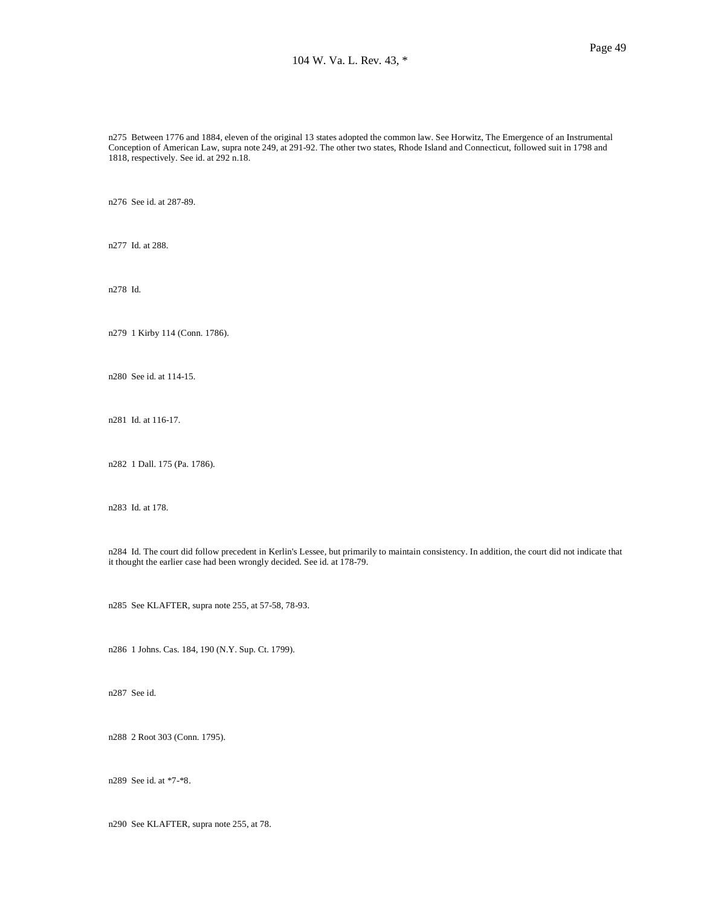n275 Between 1776 and 1884, eleven of the original 13 states adopted the common law. See Horwitz, The Emergence of an Instrumental Conception of American Law, supra note 249, at 291-92. The other two states, Rhode Island and Connecticut, followed suit in 1798 and 1818, respectively. See id. at 292 n.18.

n276 See id. at 287-89.

n277 Id. at 288.

n278 Id.

n279 1 Kirby 114 (Conn. 1786).

n280 See id. at 114-15.

n281 Id. at 116-17.

n282 1 Dall. 175 (Pa. 1786).

n283 Id. at 178.

n284 Id. The court did follow precedent in Kerlin's Lessee, but primarily to maintain consistency. In addition, the court did not indicate that it thought the earlier case had been wrongly decided. See id. at 178-79.

n285 See KLAFTER, supra note 255, at 57-58, 78-93.

n286 1 Johns. Cas. 184, 190 (N.Y. Sup. Ct. 1799).

n287 See id.

n288 2 Root 303 (Conn. 1795).

n289 See id. at \*7-\*8.

n290 See KLAFTER, supra note 255, at 78.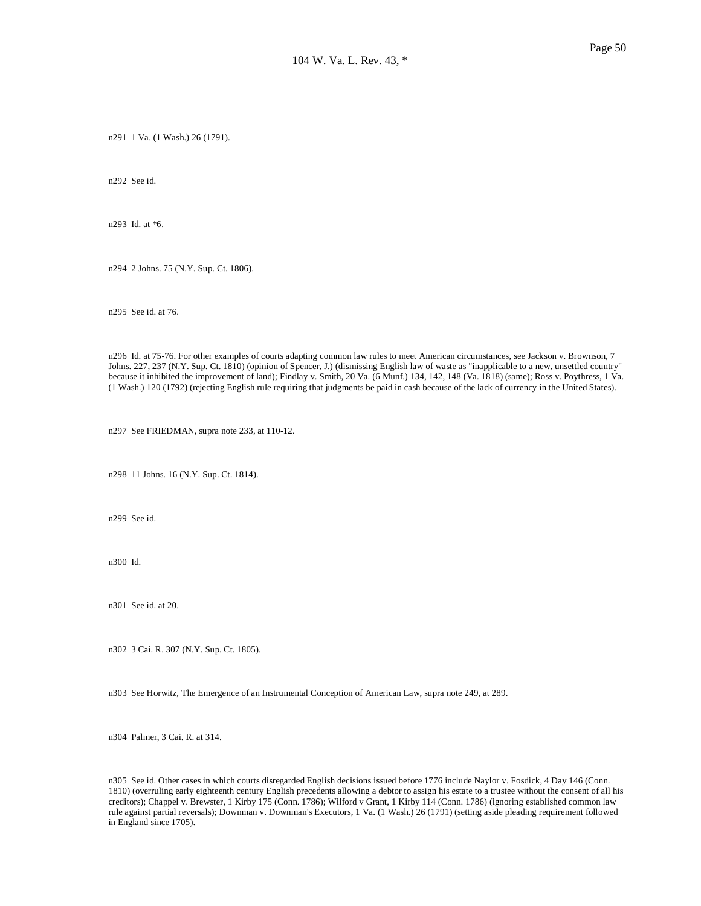n291 1 Va. (1 Wash.) 26 (1791).

n292 See id.

n293 Id. at \*6.

n294 2 Johns. 75 (N.Y. Sup. Ct. 1806).

n295 See id. at 76.

n296 Id. at 75-76. For other examples of courts adapting common law rules to meet American circumstances, see Jackson v. Brownson, 7 Johns. 227, 237 (N.Y. Sup. Ct. 1810) (opinion of Spencer, J.) (dismissing English law of waste as "inapplicable to a new, unsettled country" because it inhibited the improvement of land); Findlay v. Smith, 20 Va. (6 Munf.) 134, 142, 148 (Va. 1818) (same); Ross v. Poythress, 1 Va. (1 Wash.) 120 (1792) (rejecting English rule requiring that judgments be paid in cash because of the lack of currency in the United States).

n297 See FRIEDMAN, supra note 233, at 110-12.

n298 11 Johns. 16 (N.Y. Sup. Ct. 1814).

n299 See id.

n300 Id.

n301 See id. at 20.

n302 3 Cai. R. 307 (N.Y. Sup. Ct. 1805).

n303 See Horwitz, The Emergence of an Instrumental Conception of American Law, supra note 249, at 289.

n304 Palmer, 3 Cai. R. at 314.

n305 See id. Other cases in which courts disregarded English decisions issued before 1776 include Naylor v. Fosdick, 4 Day 146 (Conn. 1810) (overruling early eighteenth century English precedents allowing a debtor to assign his estate to a trustee without the consent of all his creditors); Chappel v. Brewster, 1 Kirby 175 (Conn. 1786); Wilford v Grant, 1 Kirby 114 (Conn. 1786) (ignoring established common law rule against partial reversals); Downman v. Downman's Executors, 1 Va. (1 Wash.) 26 (1791) (setting aside pleading requirement followed in England since 1705).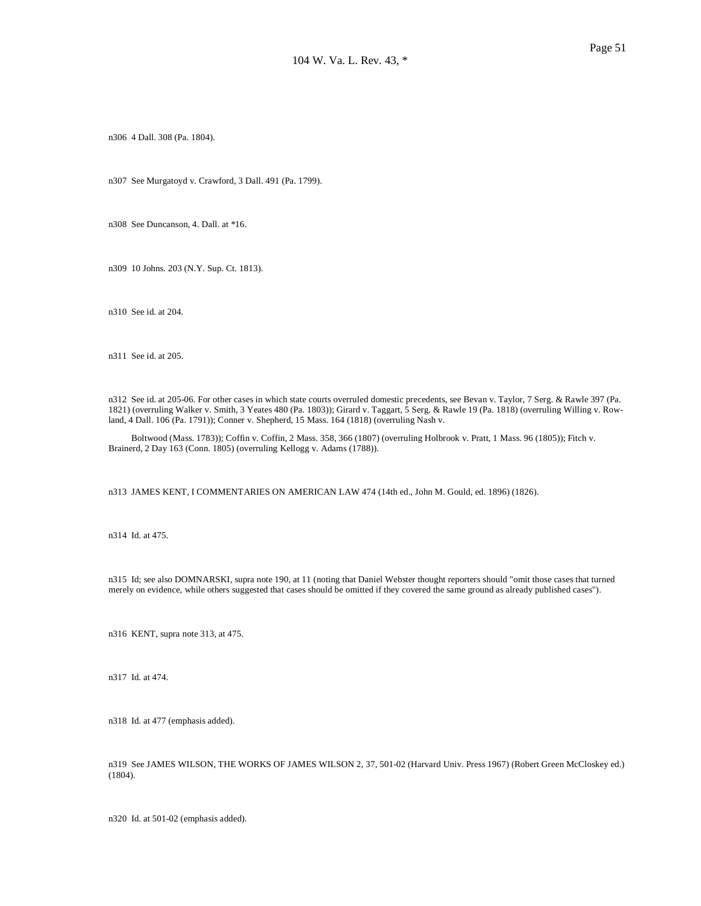n306 4 Dall. 308 (Pa. 1804).

n307 See Murgatoyd v. Crawford, 3 Dall. 491 (Pa. 1799).

n308 See Duncanson, 4. Dall. at \*16.

n309 10 Johns. 203 (N.Y. Sup. Ct. 1813).

n310 See id. at 204.

n311 See id. at 205.

n312 See id. at 205-06. For other cases in which state courts overruled domestic precedents, see Bevan v. Taylor, 7 Serg. & Rawle 397 (Pa. 1821) (overruling Walker v. Smith, 3 Yeates 480 (Pa. 1803)); Girard v. Taggart, 5 Serg. & Rawle 19 (Pa. 1818) (overruling Willing v. Rowland, 4 Dall. 106 (Pa. 1791)); Conner v. Shepherd, 15 Mass. 164 (1818) (overruling Nash v.

 Boltwood (Mass. 1783)); Coffin v. Coffin, 2 Mass. 358, 366 (1807) (overruling Holbrook v. Pratt, 1 Mass. 96 (1805)); Fitch v. Brainerd, 2 Day 163 (Conn. 1805) (overruling Kellogg v. Adams (1788)).

n313 JAMES KENT, I COMMENTARIES ON AMERICAN LAW 474 (14th ed., John M. Gould, ed. 1896) (1826).

n314 Id. at 475.

n315 Id; see also DOMNARSKI, supra note 190, at 11 (noting that Daniel Webster thought reporters should "omit those cases that turned merely on evidence, while others suggested that cases should be omitted if they covered the same ground as already published cases").

n316 KENT, supra note 313, at 475.

n317 Id. at 474.

n318 Id. at 477 (emphasis added).

n319 See JAMES WILSON, THE WORKS OF JAMES WILSON 2, 37, 501-02 (Harvard Univ. Press 1967) (Robert Green McCloskey ed.) (1804).

n320 Id. at 501-02 (emphasis added).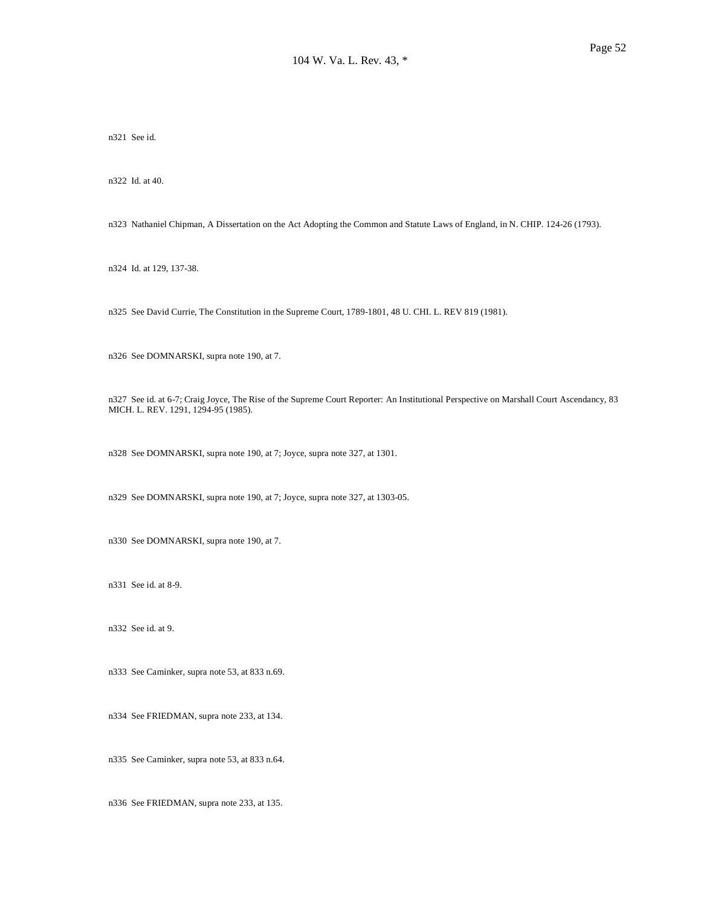n321 See id.

n322 Id. at 40.

n323 Nathaniel Chipman, A Dissertation on the Act Adopting the Common and Statute Laws of England, in N. CHIP. 124-26 (1793).

n324 Id. at 129, 137-38.

n325 See David Currie, The Constitution in the Supreme Court, 1789-1801, 48 U. CHI. L. REV 819 (1981).

n326 See DOMNARSKI, supra note 190, at 7.

n327 See id. at 6-7; Craig Joyce, The Rise of the Supreme Court Reporter: An Institutional Perspective on Marshall Court Ascendancy, 83 MICH. L. REV. 1291, 1294-95 (1985).

n328 See DOMNARSKI, supra note 190, at 7; Joyce, supra note 327, at 1301.

n329 See DOMNARSKI, supra note 190, at 7; Joyce, supra note 327, at 1303-05.

n330 See DOMNARSKI, supra note 190, at 7.

n331 See id. at 8-9.

n332 See id. at 9.

n333 See Caminker, supra note 53, at 833 n.69.

n334 See FRIEDMAN, supra note 233, at 134.

n335 See Caminker, supra note 53, at 833 n.64.

n336 See FRIEDMAN, supra note 233, at 135.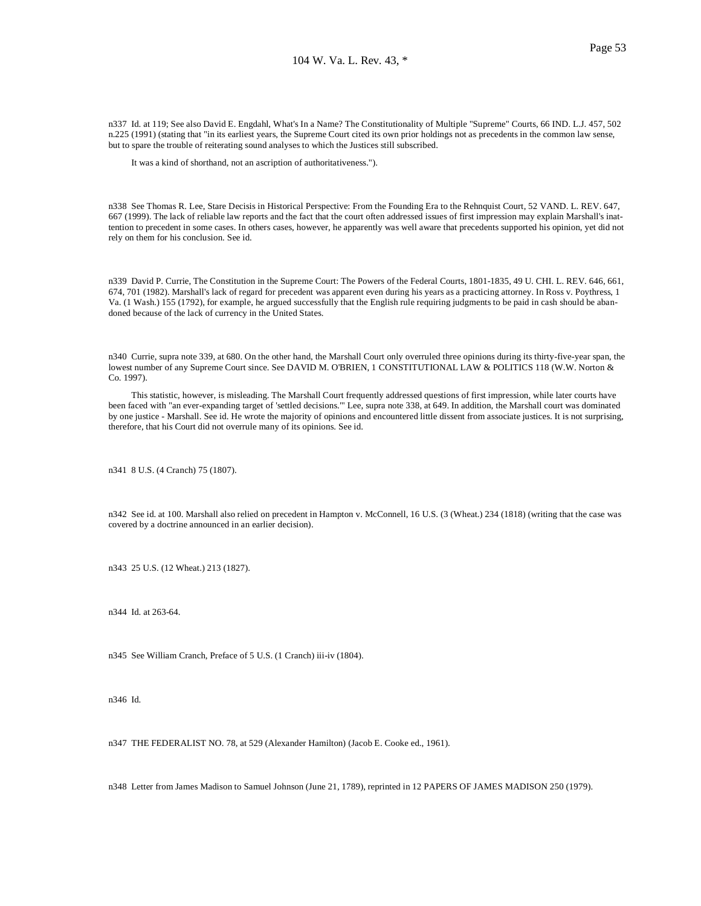n337 Id. at 119; See also David E. Engdahl, What's In a Name? The Constitutionality of Multiple "Supreme" Courts, 66 IND. L.J. 457, 502 n.225 (1991) (stating that "in its earliest years, the Supreme Court cited its own prior holdings not as precedents in the common law sense, but to spare the trouble of reiterating sound analyses to which the Justices still subscribed.

It was a kind of shorthand, not an ascription of authoritativeness.").

n338 See Thomas R. Lee, Stare Decisis in Historical Perspective: From the Founding Era to the Rehnquist Court, 52 VAND. L. REV. 647, 667 (1999). The lack of reliable law reports and the fact that the court often addressed issues of first impression may explain Marshall's inattention to precedent in some cases. In others cases, however, he apparently was well aware that precedents supported his opinion, yet did not rely on them for his conclusion. See id.

n339 David P. Currie, The Constitution in the Supreme Court: The Powers of the Federal Courts, 1801-1835, 49 U. CHI. L. REV. 646, 661, 674, 701 (1982). Marshall's lack of regard for precedent was apparent even during his years as a practicing attorney. In Ross v. Poythress, 1 Va. (1 Wash.) 155 (1792), for example, he argued successfully that the English rule requiring judgments to be paid in cash should be abandoned because of the lack of currency in the United States.

n340 Currie, supra note 339, at 680. On the other hand, the Marshall Court only overruled three opinions during its thirty-five-year span, the lowest number of any Supreme Court since. See DAVID M. O'BRIEN, 1 CONSTITUTIONAL LAW & POLITICS 118 (W.W. Norton & Co. 1997).

 This statistic, however, is misleading. The Marshall Court frequently addressed questions of first impression, while later courts have been faced with "an ever-expanding target of 'settled decisions.'" Lee, supra note 338, at 649. In addition, the Marshall court was dominated by one justice - Marshall. See id. He wrote the majority of opinions and encountered little dissent from associate justices. It is not surprising, therefore, that his Court did not overrule many of its opinions. See id.

n341 8 U.S. (4 Cranch) 75 (1807).

n342 See id. at 100. Marshall also relied on precedent in Hampton v. McConnell, 16 U.S. (3 (Wheat.) 234 (1818) (writing that the case was covered by a doctrine announced in an earlier decision).

n343 25 U.S. (12 Wheat.) 213 (1827).

n344 Id. at 263-64.

n345 See William Cranch, Preface of 5 U.S. (1 Cranch) iii-iv (1804).

n346 Id.

n347 THE FEDERALIST NO. 78, at 529 (Alexander Hamilton) (Jacob E. Cooke ed., 1961).

n348 Letter from James Madison to Samuel Johnson (June 21, 1789), reprinted in 12 PAPERS OF JAMES MADISON 250 (1979).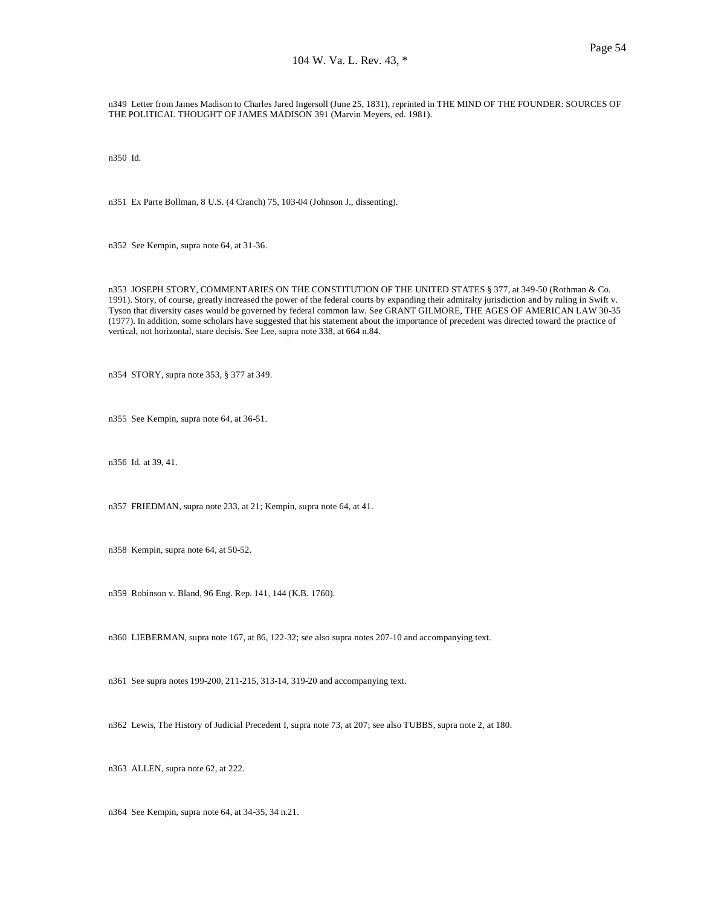n349 Letter from James Madison to Charles Jared Ingersoll (June 25, 1831), reprinted in THE MIND OF THE FOUNDER: SOURCES OF THE POLITICAL THOUGHT OF JAMES MADISON 391 (Marvin Meyers, ed. 1981).

n350 Id.

n351 Ex Parte Bollman, 8 U.S. (4 Cranch) 75, 103-04 (Johnson J., dissenting).

n352 See Kempin, supra note 64, at 31-36.

n353 JOSEPH STORY, COMMENTARIES ON THE CONSTITUTION OF THE UNITED STATES § 377, at 349-50 (Rothman & Co. 1991). Story, of course, greatly increased the power of the federal courts by expanding their admiralty jurisdiction and by ruling in Swift v. Tyson that diversity cases would be governed by federal common law. See GRANT GILMORE, THE AGES OF AMERICAN LAW 30-35 (1977). In addition, some scholars have suggested that his statement about the importance of precedent was directed toward the practice of vertical, not horizontal, stare decisis. See Lee, supra note 338, at 664 n.84.

n354 STORY, supra note 353, § 377 at 349.

n355 See Kempin, supra note 64, at 36-51.

n356 Id. at 39, 41.

n357 FRIEDMAN, supra note 233, at 21; Kempin, supra note 64, at 41.

n358 Kempin, supra note 64, at 50-52.

n359 Robinson v. Bland, 96 Eng. Rep. 141, 144 (K.B. 1760).

n360 LIEBERMAN, supra note 167, at 86, 122-32; see also supra notes 207-10 and accompanying text.

n361 See supra notes 199-200, 211-215, 313-14, 319-20 and accompanying text.

n362 Lewis, The History of Judicial Precedent I, supra note 73, at 207; see also TUBBS, supra note 2, at 180.

n363 ALLEN, supra note 62, at 222.

n364 See Kempin, supra note 64, at 34-35, 34 n.21.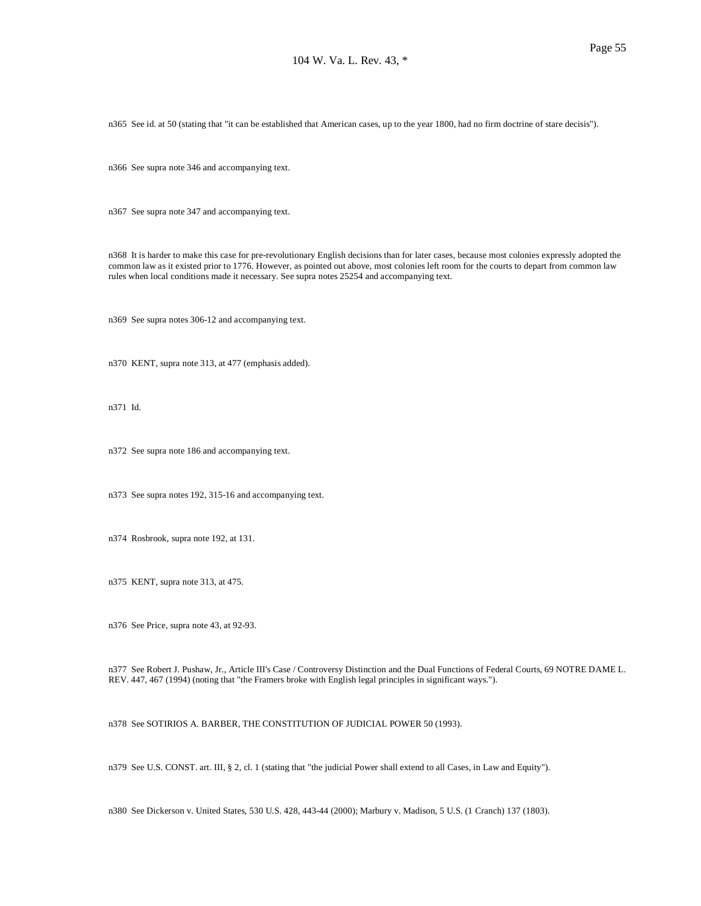n365 See id. at 50 (stating that "it can be established that American cases, up to the year 1800, had no firm doctrine of stare decisis").

n366 See supra note 346 and accompanying text.

n367 See supra note 347 and accompanying text.

n368 It is harder to make this case for pre-revolutionary English decisions than for later cases, because most colonies expressly adopted the common law as it existed prior to 1776. However, as pointed out above, most colonies left room for the courts to depart from common law rules when local conditions made it necessary. See supra notes 25254 and accompanying text.

n369 See supra notes 306-12 and accompanying text.

n370 KENT, supra note 313, at 477 (emphasis added).

n371 Id.

n372 See supra note 186 and accompanying text.

n373 See supra notes 192, 315-16 and accompanying text.

n374 Rosbrook, supra note 192, at 131.

n375 KENT, supra note 313, at 475.

n376 See Price, supra note 43, at 92-93.

n377 See Robert J. Pushaw, Jr., Article III's Case / Controversy Distinction and the Dual Functions of Federal Courts, 69 NOTRE DAME L. REV. 447, 467 (1994) (noting that "the Framers broke with English legal principles in significant ways.").

n378 See SOTIRIOS A. BARBER, THE CONSTITUTION OF JUDICIAL POWER 50 (1993).

n379 See U.S. CONST. art. III, § 2, cl. 1 (stating that "the judicial Power shall extend to all Cases, in Law and Equity").

n380 See Dickerson v. United States, 530 U.S. 428, 443-44 (2000); Marbury v. Madison, 5 U.S. (1 Cranch) 137 (1803).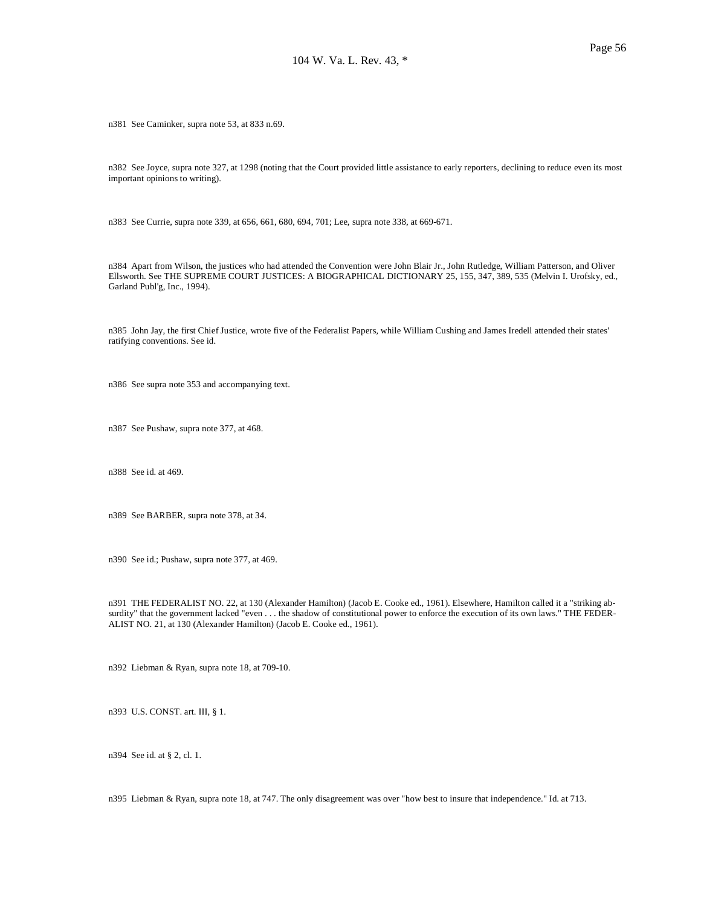n381 See Caminker, supra note 53, at 833 n.69.

n382 See Joyce, supra note 327, at 1298 (noting that the Court provided little assistance to early reporters, declining to reduce even its most important opinions to writing).

n383 See Currie, supra note 339, at 656, 661, 680, 694, 701; Lee, supra note 338, at 669-671.

n384 Apart from Wilson, the justices who had attended the Convention were John Blair Jr., John Rutledge, William Patterson, and Oliver Ellsworth. See THE SUPREME COURT JUSTICES: A BIOGRAPHICAL DICTIONARY 25, 155, 347, 389, 535 (Melvin I. Urofsky, ed., Garland Publ'g, Inc., 1994).

n385 John Jay, the first Chief Justice, wrote five of the Federalist Papers, while William Cushing and James Iredell attended their states' ratifying conventions. See id.

n386 See supra note 353 and accompanying text.

n387 See Pushaw, supra note 377, at 468.

n388 See id. at 469.

n389 See BARBER, supra note 378, at 34.

n390 See id.; Pushaw, supra note 377, at 469.

n391 THE FEDERALIST NO. 22, at 130 (Alexander Hamilton) (Jacob E. Cooke ed., 1961). Elsewhere, Hamilton called it a "striking absurdity" that the government lacked "even . . . the shadow of constitutional power to enforce the execution of its own laws." THE FEDER-ALIST NO. 21, at 130 (Alexander Hamilton) (Jacob E. Cooke ed., 1961).

n392 Liebman & Ryan, supra note 18, at 709-10.

n393 U.S. CONST. art. III, § 1.

n394 See id. at § 2, cl. 1.

n395 Liebman & Ryan, supra note 18, at 747. The only disagreement was over "how best to insure that independence." Id. at 713.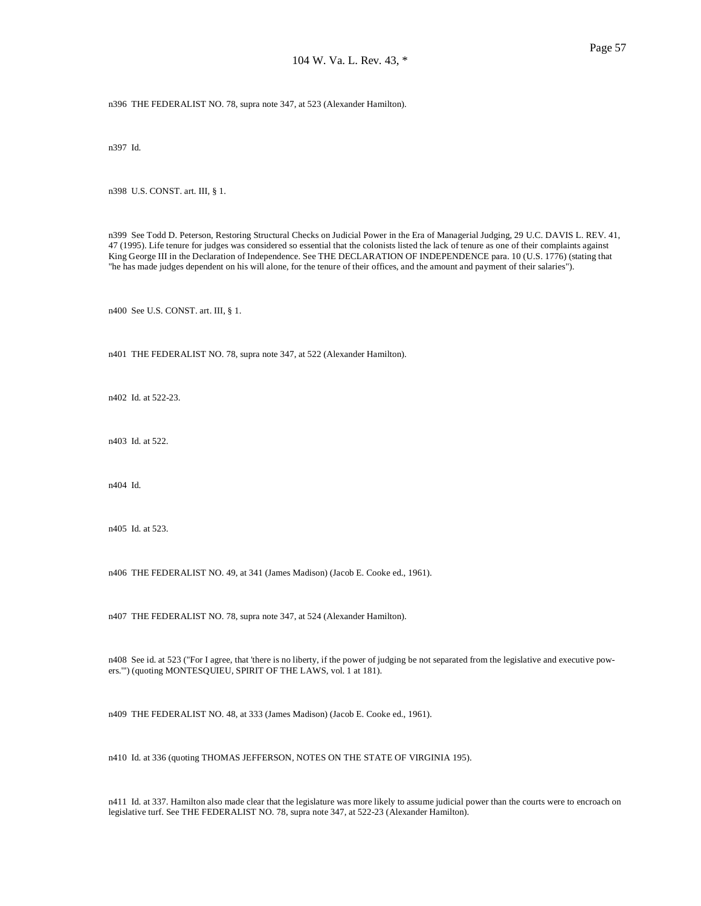n396 THE FEDERALIST NO. 78, supra note 347, at 523 (Alexander Hamilton).

n397 Id.

n398 U.S. CONST. art. III, § 1.

n399 See Todd D. Peterson, Restoring Structural Checks on Judicial Power in the Era of Managerial Judging, 29 U.C. DAVIS L. REV. 41, 47 (1995). Life tenure for judges was considered so essential that the colonists listed the lack of tenure as one of their complaints against King George III in the Declaration of Independence. See THE DECLARATION OF INDEPENDENCE para. 10 (U.S. 1776) (stating that "he has made judges dependent on his will alone, for the tenure of their offices, and the amount and payment of their salaries").

n400 See U.S. CONST. art. III, § 1.

n401 THE FEDERALIST NO. 78, supra note 347, at 522 (Alexander Hamilton).

n402 Id. at 522-23.

n403 Id. at 522.

n404 Id.

n405 Id. at 523.

n406 THE FEDERALIST NO. 49, at 341 (James Madison) (Jacob E. Cooke ed., 1961).

n407 THE FEDERALIST NO. 78, supra note 347, at 524 (Alexander Hamilton).

n408 See id. at 523 ("For I agree, that 'there is no liberty, if the power of judging be not separated from the legislative and executive powers.'") (quoting MONTESQUIEU, SPIRIT OF THE LAWS, vol. 1 at 181).

n409 THE FEDERALIST NO. 48, at 333 (James Madison) (Jacob E. Cooke ed., 1961).

n410 Id. at 336 (quoting THOMAS JEFFERSON, NOTES ON THE STATE OF VIRGINIA 195).

n411 Id. at 337. Hamilton also made clear that the legislature was more likely to assume judicial power than the courts were to encroach on legislative turf. See THE FEDERALIST NO. 78, supra note 347, at 522-23 (Alexander Hamilton).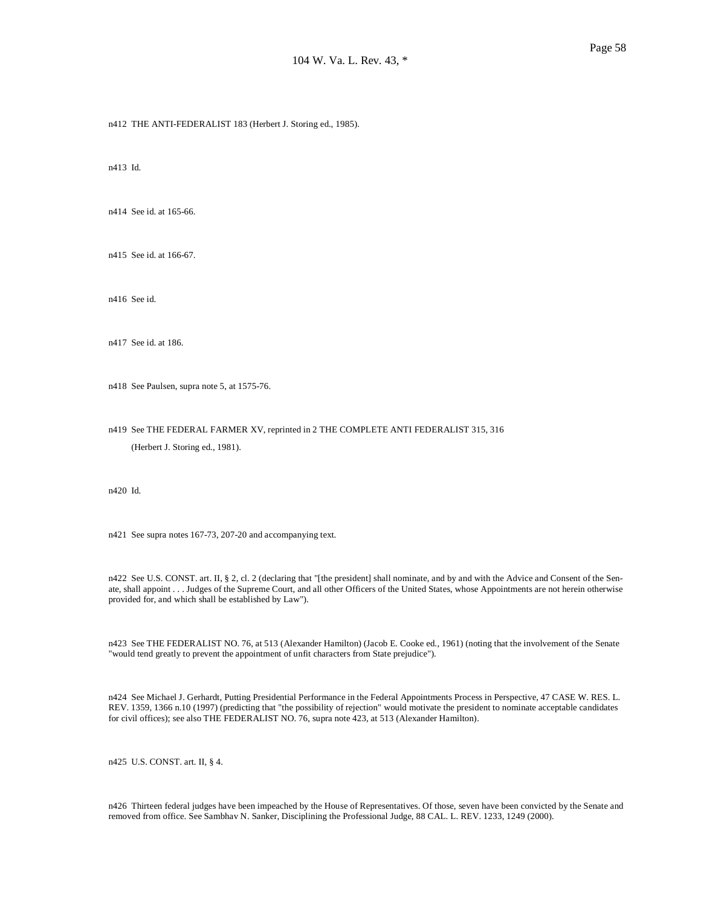n412 THE ANTI-FEDERALIST 183 (Herbert J. Storing ed., 1985).

n413 Id.

n414 See id. at 165-66.

n415 See id. at 166-67.

n416 See id.

n417 See id. at 186.

n418 See Paulsen, supra note 5, at 1575-76.

n419 See THE FEDERAL FARMER XV, reprinted in 2 THE COMPLETE ANTI FEDERALIST 315, 316 (Herbert J. Storing ed., 1981).

n420 Id.

n421 See supra notes 167-73, 207-20 and accompanying text.

n422 See U.S. CONST. art. II, § 2, cl. 2 (declaring that "[the president] shall nominate, and by and with the Advice and Consent of the Senate, shall appoint . . . Judges of the Supreme Court, and all other Officers of the United States, whose Appointments are not herein otherwise provided for, and which shall be established by Law").

n423 See THE FEDERALIST NO. 76, at 513 (Alexander Hamilton) (Jacob E. Cooke ed., 1961) (noting that the involvement of the Senate "would tend greatly to prevent the appointment of unfit characters from State prejudice").

n424 See Michael J. Gerhardt, Putting Presidential Performance in the Federal Appointments Process in Perspective, 47 CASE W. RES. L. REV. 1359, 1366 n.10 (1997) (predicting that "the possibility of rejection" would motivate the president to nominate acceptable candidates for civil offices); see also THE FEDERALIST NO. 76, supra note 423, at 513 (Alexander Hamilton).

n425 U.S. CONST. art. II, § 4.

n426 Thirteen federal judges have been impeached by the House of Representatives. Of those, seven have been convicted by the Senate and removed from office. See Sambhav N. Sanker, Disciplining the Professional Judge, 88 CAL. L. REV. 1233, 1249 (2000).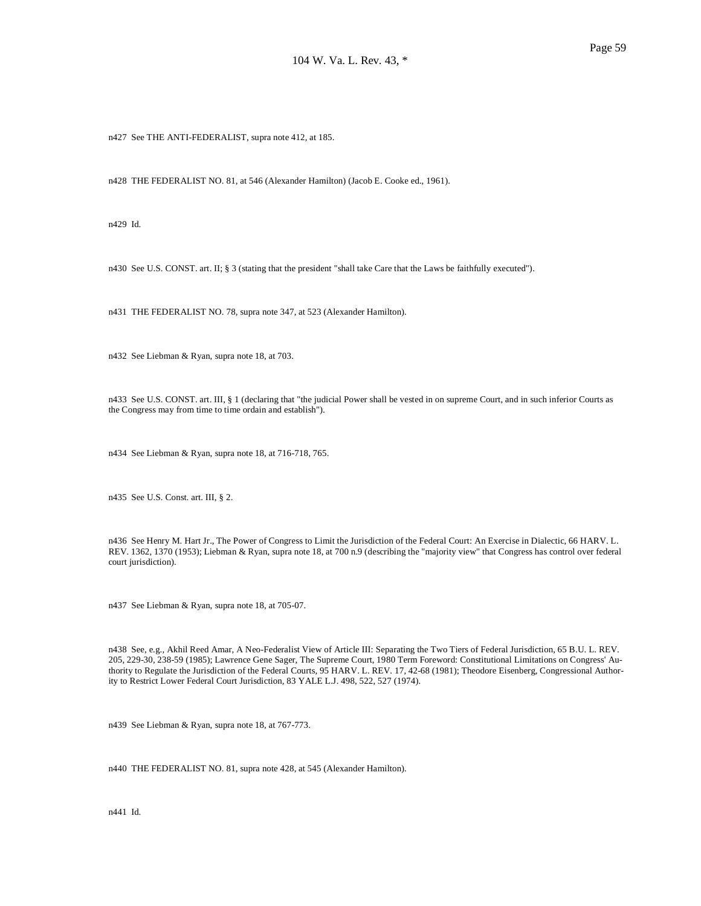n427 See THE ANTI-FEDERALIST, supra note 412, at 185.

n428 THE FEDERALIST NO. 81, at 546 (Alexander Hamilton) (Jacob E. Cooke ed., 1961).

n429 Id.

n430 See U.S. CONST. art. II; § 3 (stating that the president "shall take Care that the Laws be faithfully executed").

n431 THE FEDERALIST NO. 78, supra note 347, at 523 (Alexander Hamilton).

n432 See Liebman & Ryan, supra note 18, at 703.

n433 See U.S. CONST. art. III, § 1 (declaring that "the judicial Power shall be vested in on supreme Court, and in such inferior Courts as the Congress may from time to time ordain and establish").

n434 See Liebman & Ryan, supra note 18, at 716-718, 765.

n435 See U.S. Const. art. III, § 2.

n436 See Henry M. Hart Jr., The Power of Congress to Limit the Jurisdiction of the Federal Court: An Exercise in Dialectic, 66 HARV. L. REV. 1362, 1370 (1953); Liebman & Ryan, supra note 18, at 700 n.9 (describing the "majority view" that Congress has control over federal court jurisdiction).

n437 See Liebman & Ryan, supra note 18, at 705-07.

n438 See, e.g., Akhil Reed Amar, A Neo-Federalist View of Article III: Separating the Two Tiers of Federal Jurisdiction, 65 B.U. L. REV. 205, 229-30, 238-59 (1985); Lawrence Gene Sager, The Supreme Court, 1980 Term Foreword: Constitutional Limitations on Congress' Authority to Regulate the Jurisdiction of the Federal Courts, 95 HARV. L. REV. 17, 42-68 (1981); Theodore Eisenberg, Congressional Authority to Restrict Lower Federal Court Jurisdiction, 83 YALE L.J. 498, 522, 527 (1974).

n439 See Liebman & Ryan, supra note 18, at 767-773.

n440 THE FEDERALIST NO. 81, supra note 428, at 545 (Alexander Hamilton).

n441 Id.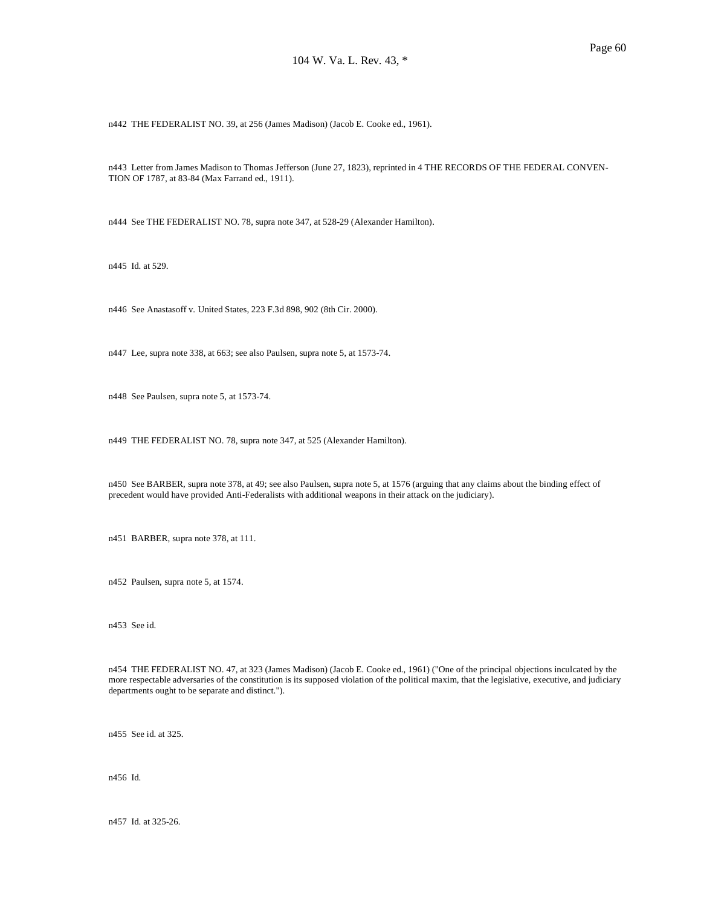n442 THE FEDERALIST NO. 39, at 256 (James Madison) (Jacob E. Cooke ed., 1961).

n443 Letter from James Madison to Thomas Jefferson (June 27, 1823), reprinted in 4 THE RECORDS OF THE FEDERAL CONVEN-TION OF 1787, at 83-84 (Max Farrand ed., 1911).

n444 See THE FEDERALIST NO. 78, supra note 347, at 528-29 (Alexander Hamilton).

n445 Id. at 529.

n446 See Anastasoff v. United States, 223 F.3d 898, 902 (8th Cir. 2000).

n447 Lee, supra note 338, at 663; see also Paulsen, supra note 5, at 1573-74.

n448 See Paulsen, supra note 5, at 1573-74.

n449 THE FEDERALIST NO. 78, supra note 347, at 525 (Alexander Hamilton).

n450 See BARBER, supra note 378, at 49; see also Paulsen, supra note 5, at 1576 (arguing that any claims about the binding effect of precedent would have provided Anti-Federalists with additional weapons in their attack on the judiciary).

n451 BARBER, supra note 378, at 111.

n452 Paulsen, supra note 5, at 1574.

n453 See id.

n454 THE FEDERALIST NO. 47, at 323 (James Madison) (Jacob E. Cooke ed., 1961) ("One of the principal objections inculcated by the more respectable adversaries of the constitution is its supposed violation of the political maxim, that the legislative, executive, and judiciary departments ought to be separate and distinct.").

n455 See id. at 325.

n456 Id.

n457 Id. at 325-26.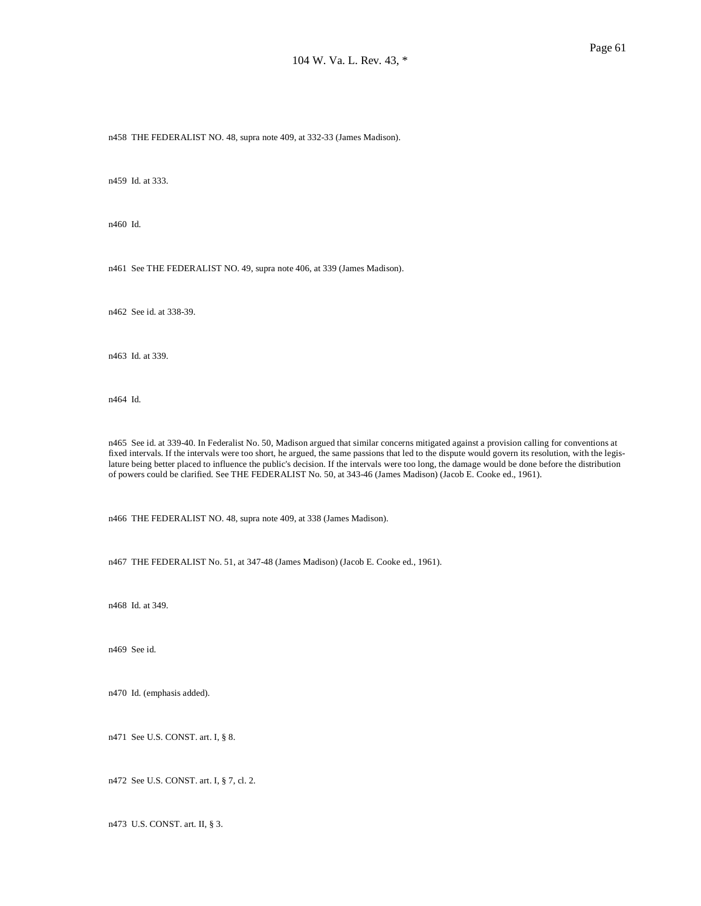n458 THE FEDERALIST NO. 48, supra note 409, at 332-33 (James Madison).

n459 Id. at 333.

n460 Id.

n461 See THE FEDERALIST NO. 49, supra note 406, at 339 (James Madison).

n462 See id. at 338-39.

n463 Id. at 339.

n464 Id.

n465 See id. at 339-40. In Federalist No. 50, Madison argued that similar concerns mitigated against a provision calling for conventions at fixed intervals. If the intervals were too short, he argued, the same passions that led to the dispute would govern its resolution, with the legislature being better placed to influence the public's decision. If the intervals were too long, the damage would be done before the distribution of powers could be clarified. See THE FEDERALIST No. 50, at 343-46 (James Madison) (Jacob E. Cooke ed., 1961).

n466 THE FEDERALIST NO. 48, supra note 409, at 338 (James Madison).

n467 THE FEDERALIST No. 51, at 347-48 (James Madison) (Jacob E. Cooke ed., 1961).

n468 Id. at 349.

n469 See id.

n470 Id. (emphasis added).

n471 See U.S. CONST. art. I, § 8.

n472 See U.S. CONST. art. I, § 7, cl. 2.

n473 U.S. CONST. art. II, § 3.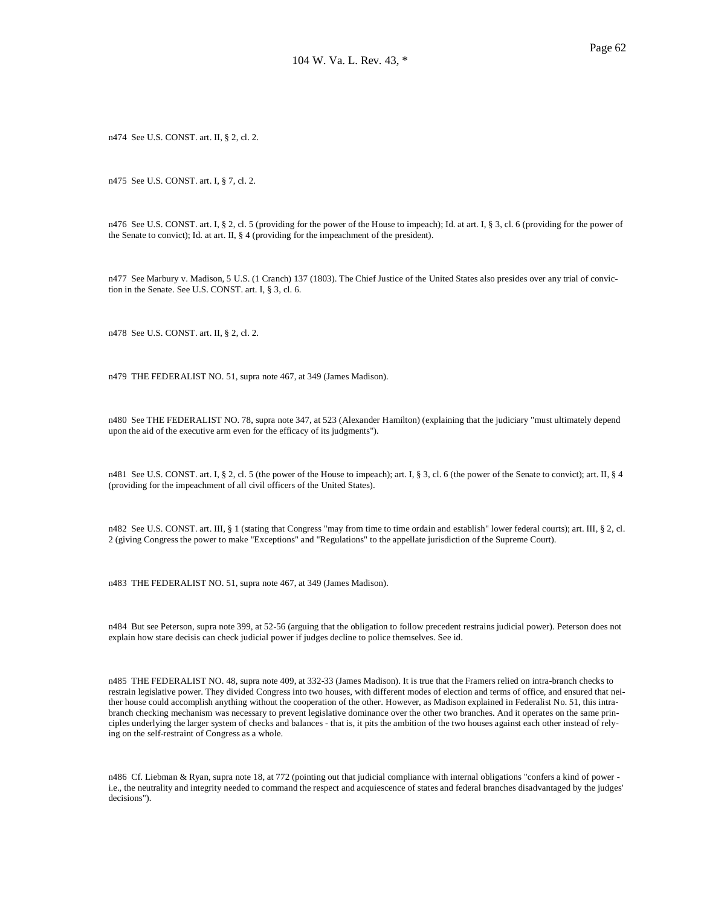n474 See U.S. CONST. art. II, § 2, cl. 2.

n475 See U.S. CONST. art. I, § 7, cl. 2.

n476 See U.S. CONST. art. I, § 2, cl. 5 (providing for the power of the House to impeach); Id. at art. I, § 3, cl. 6 (providing for the power of the Senate to convict); Id. at art. II, § 4 (providing for the impeachment of the president).

n477 See Marbury v. Madison, 5 U.S. (1 Cranch) 137 (1803). The Chief Justice of the United States also presides over any trial of conviction in the Senate. See U.S. CONST. art. I, § 3, cl. 6.

n478 See U.S. CONST. art. II, § 2, cl. 2.

n479 THE FEDERALIST NO. 51, supra note 467, at 349 (James Madison).

n480 See THE FEDERALIST NO. 78, supra note 347, at 523 (Alexander Hamilton) (explaining that the judiciary "must ultimately depend upon the aid of the executive arm even for the efficacy of its judgments").

n481 See U.S. CONST. art. I, § 2, cl. 5 (the power of the House to impeach); art. I, § 3, cl. 6 (the power of the Senate to convict); art. II, § 4 (providing for the impeachment of all civil officers of the United States).

n482 See U.S. CONST. art. III, § 1 (stating that Congress "may from time to time ordain and establish" lower federal courts); art. III, § 2, cl. 2 (giving Congress the power to make "Exceptions" and "Regulations" to the appellate jurisdiction of the Supreme Court).

n483 THE FEDERALIST NO. 51, supra note 467, at 349 (James Madison).

n484 But see Peterson, supra note 399, at 52-56 (arguing that the obligation to follow precedent restrains judicial power). Peterson does not explain how stare decisis can check judicial power if judges decline to police themselves. See id.

n485 THE FEDERALIST NO. 48, supra note 409, at 332-33 (James Madison). It is true that the Framers relied on intra-branch checks to restrain legislative power. They divided Congress into two houses, with different modes of election and terms of office, and ensured that neither house could accomplish anything without the cooperation of the other. However, as Madison explained in Federalist No. 51, this intrabranch checking mechanism was necessary to prevent legislative dominance over the other two branches. And it operates on the same principles underlying the larger system of checks and balances - that is, it pits the ambition of the two houses against each other instead of relying on the self-restraint of Congress as a whole.

n486 Cf. Liebman & Ryan, supra note 18, at 772 (pointing out that judicial compliance with internal obligations "confers a kind of power i.e., the neutrality and integrity needed to command the respect and acquiescence of states and federal branches disadvantaged by the judges' decisions").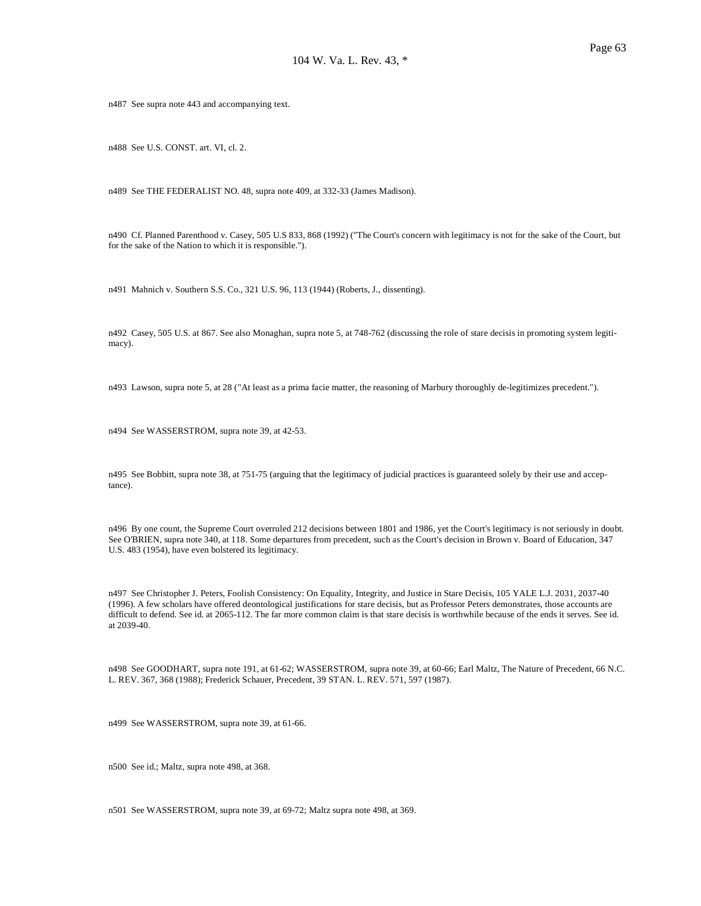n487 See supra note 443 and accompanying text.

n488 See U.S. CONST. art. VI, cl. 2.

n489 See THE FEDERALIST NO. 48, supra note 409, at 332-33 (James Madison).

n490 Cf. Planned Parenthood v. Casey, 505 U.S 833, 868 (1992) ("The Court's concern with legitimacy is not for the sake of the Court, but for the sake of the Nation to which it is responsible.").

n491 Mahnich v. Southern S.S. Co., 321 U.S. 96, 113 (1944) (Roberts, J., dissenting).

n492 Casey, 505 U.S. at 867. See also Monaghan, supra note 5, at 748-762 (discussing the role of stare decisis in promoting system legitimacy).

n493 Lawson, supra note 5, at 28 ("At least as a prima facie matter, the reasoning of Marbury thoroughly de-legitimizes precedent.").

n494 See WASSERSTROM, supra note 39, at 42-53.

n495 See Bobbitt, supra note 38, at 751-75 (arguing that the legitimacy of judicial practices is guaranteed solely by their use and acceptance).

n496 By one count, the Supreme Court overruled 212 decisions between 1801 and 1986, yet the Court's legitimacy is not seriously in doubt. See O'BRIEN, supra note 340, at 118. Some departures from precedent, such as the Court's decision in Brown v. Board of Education, 347 U.S. 483 (1954), have even bolstered its legitimacy.

n497 See Christopher J. Peters, Foolish Consistency: On Equality, Integrity, and Justice in Stare Decisis, 105 YALE L.J. 2031, 2037-40 (1996). A few scholars have offered deontological justifications for stare decisis, but as Professor Peters demonstrates, those accounts are difficult to defend. See id. at 2065-112. The far more common claim is that stare decisis is worthwhile because of the ends it serves. See id. at 2039-40.

n498 See GOODHART, supra note 191, at 61-62; WASSERSTROM, supra note 39, at 60-66; Earl Maltz, The Nature of Precedent, 66 N.C. L. REV. 367, 368 (1988); Frederick Schauer, Precedent, 39 STAN. L. REV. 571, 597 (1987).

n499 See WASSERSTROM, supra note 39, at 61-66.

n500 See id.; Maltz, supra note 498, at 368.

n501 See WASSERSTROM, supra note 39, at 69-72; Maltz supra note 498, at 369.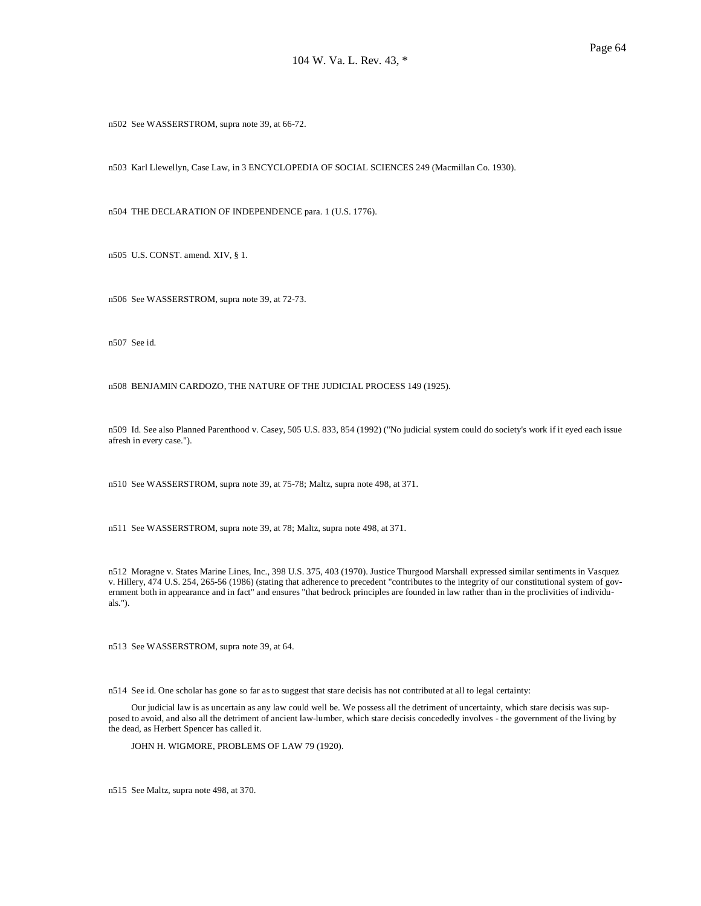n502 See WASSERSTROM, supra note 39, at 66-72.

n503 Karl Llewellyn, Case Law, in 3 ENCYCLOPEDIA OF SOCIAL SCIENCES 249 (Macmillan Co. 1930).

n504 THE DECLARATION OF INDEPENDENCE para. 1 (U.S. 1776).

n505 U.S. CONST. amend. XIV, § 1.

n506 See WASSERSTROM, supra note 39, at 72-73.

n507 See id.

n508 BENJAMIN CARDOZO, THE NATURE OF THE JUDICIAL PROCESS 149 (1925).

n509 Id. See also Planned Parenthood v. Casey, 505 U.S. 833, 854 (1992) ("No judicial system could do society's work if it eyed each issue afresh in every case.").

n510 See WASSERSTROM, supra note 39, at 75-78; Maltz, supra note 498, at 371.

n511 See WASSERSTROM, supra note 39, at 78; Maltz, supra note 498, at 371.

n512 Moragne v. States Marine Lines, Inc., 398 U.S. 375, 403 (1970). Justice Thurgood Marshall expressed similar sentiments in Vasquez v. Hillery, 474 U.S. 254, 265-56 (1986) (stating that adherence to precedent "contributes to the integrity of our constitutional system of government both in appearance and in fact" and ensures "that bedrock principles are founded in law rather than in the proclivities of individuals.").

n513 See WASSERSTROM, supra note 39, at 64.

n514 See id. One scholar has gone so far as to suggest that stare decisis has not contributed at all to legal certainty:

 Our judicial law is as uncertain as any law could well be. We possess all the detriment of uncertainty, which stare decisis was supposed to avoid, and also all the detriment of ancient law-lumber, which stare decisis concededly involves - the government of the living by the dead, as Herbert Spencer has called it.

JOHN H. WIGMORE, PROBLEMS OF LAW 79 (1920).

n515 See Maltz, supra note 498, at 370.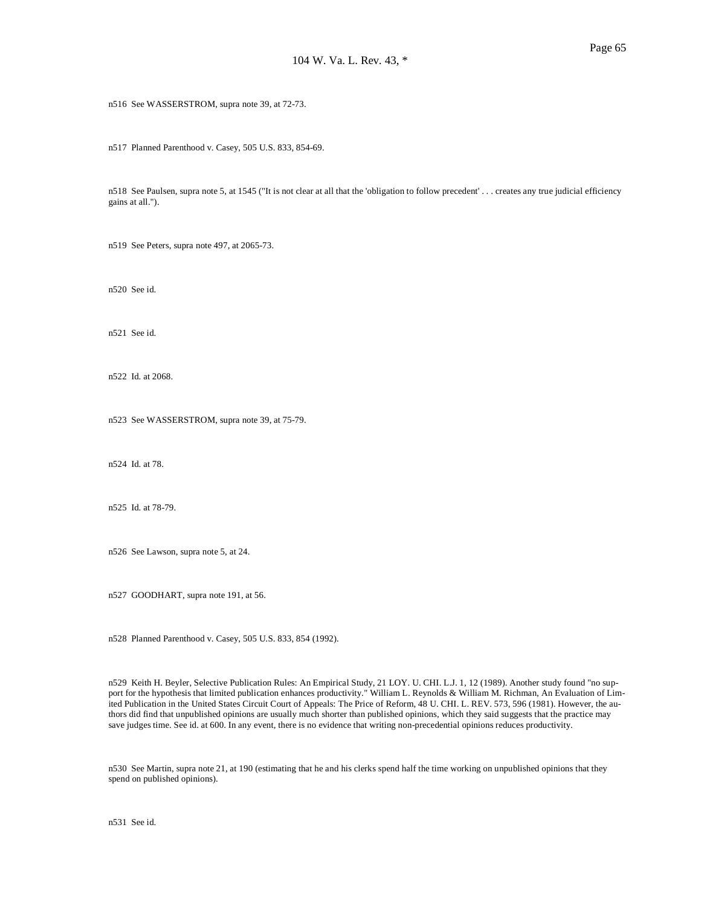n516 See WASSERSTROM, supra note 39, at 72-73.

n517 Planned Parenthood v. Casey, 505 U.S. 833, 854-69.

n518 See Paulsen, supra note 5, at 1545 ("It is not clear at all that the 'obligation to follow precedent' . . . creates any true judicial efficiency gains at all.").

n519 See Peters, supra note 497, at 2065-73.

n520 See id.

n521 See id.

n522 Id. at 2068.

n523 See WASSERSTROM, supra note 39, at 75-79.

n524 Id. at 78.

n525 Id. at 78-79.

n526 See Lawson, supra note 5, at 24.

n527 GOODHART, supra note 191, at 56.

n528 Planned Parenthood v. Casey, 505 U.S. 833, 854 (1992).

n529 Keith H. Beyler, Selective Publication Rules: An Empirical Study, 21 LOY. U. CHI. L.J. 1, 12 (1989). Another study found "no support for the hypothesis that limited publication enhances productivity." William L. Reynolds & William M. Richman, An Evaluation of Limited Publication in the United States Circuit Court of Appeals: The Price of Reform, 48 U. CHI. L. REV. 573, 596 (1981). However, the authors did find that unpublished opinions are usually much shorter than published opinions, which they said suggests that the practice may save judges time. See id. at 600. In any event, there is no evidence that writing non-precedential opinions reduces productivity.

n530 See Martin, supra note 21, at 190 (estimating that he and his clerks spend half the time working on unpublished opinions that they spend on published opinions).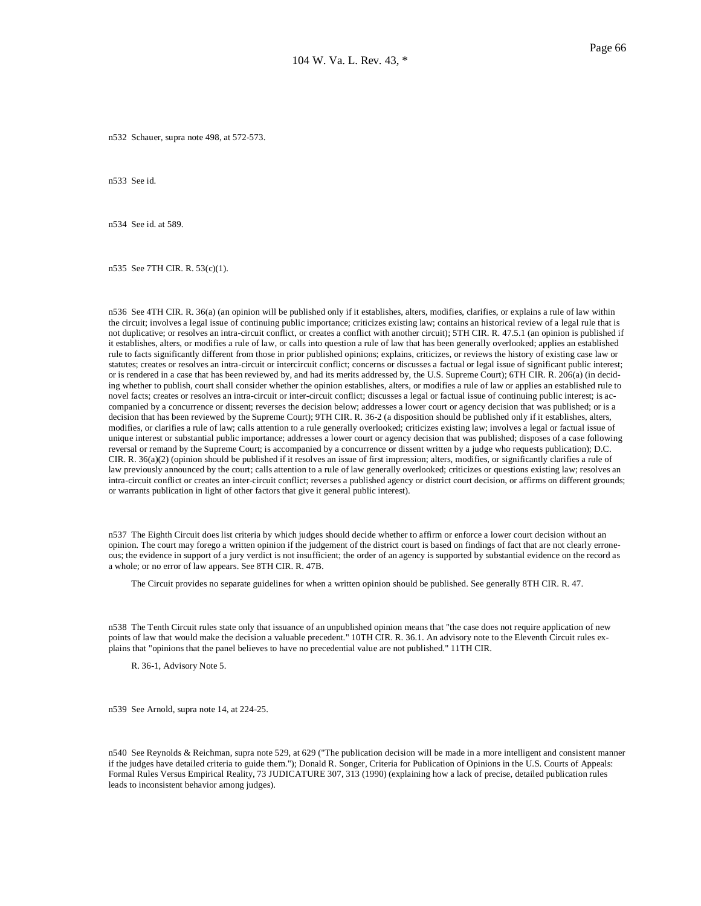n532 Schauer, supra note 498, at 572-573.

n533 See id.

n534 See id. at 589.

n535 See 7TH CIR. R. 53(c)(1).

n536 See 4TH CIR. R. 36(a) (an opinion will be published only if it establishes, alters, modifies, clarifies, or explains a rule of law within the circuit; involves a legal issue of continuing public importance; criticizes existing law; contains an historical review of a legal rule that is not duplicative; or resolves an intra-circuit conflict, or creates a conflict with another circuit); 5TH CIR. R. 47.5.1 (an opinion is published if it establishes, alters, or modifies a rule of law, or calls into question a rule of law that has been generally overlooked; applies an established rule to facts significantly different from those in prior published opinions; explains, criticizes, or reviews the history of existing case law or statutes; creates or resolves an intra-circuit or intercircuit conflict; concerns or discusses a factual or legal issue of significant public interest; or is rendered in a case that has been reviewed by, and had its merits addressed by, the U.S. Supreme Court); 6TH CIR. R. 206(a) (in deciding whether to publish, court shall consider whether the opinion establishes, alters, or modifies a rule of law or applies an established rule to novel facts; creates or resolves an intra-circuit or inter-circuit conflict; discusses a legal or factual issue of continuing public interest; is accompanied by a concurrence or dissent; reverses the decision below; addresses a lower court or agency decision that was published; or is a decision that has been reviewed by the Supreme Court); 9TH CIR. R. 36-2 (a disposition should be published only if it establishes, alters, modifies, or clarifies a rule of law; calls attention to a rule generally overlooked; criticizes existing law; involves a legal or factual issue of unique interest or substantial public importance; addresses a lower court or agency decision that was published; disposes of a case following reversal or remand by the Supreme Court; is accompanied by a concurrence or dissent written by a judge who requests publication); D.C. CIR. R. 36(a)(2) (opinion should be published if it resolves an issue of first impression; alters, modifies, or significantly clarifies a rule of law previously announced by the court; calls attention to a rule of law generally overlooked; criticizes or questions existing law; resolves an intra-circuit conflict or creates an inter-circuit conflict; reverses a published agency or district court decision, or affirms on different grounds; or warrants publication in light of other factors that give it general public interest).

n537 The Eighth Circuit does list criteria by which judges should decide whether to affirm or enforce a lower court decision without an opinion. The court may forego a written opinion if the judgement of the district court is based on findings of fact that are not clearly erroneous; the evidence in support of a jury verdict is not insufficient; the order of an agency is supported by substantial evidence on the record as a whole; or no error of law appears. See 8TH CIR. R. 47B.

The Circuit provides no separate guidelines for when a written opinion should be published. See generally 8TH CIR. R. 47.

n538 The Tenth Circuit rules state only that issuance of an unpublished opinion means that "the case does not require application of new points of law that would make the decision a valuable precedent." 10TH CIR. R. 36.1. An advisory note to the Eleventh Circuit rules explains that "opinions that the panel believes to have no precedential value are not published." 11TH CIR.

R. 36-1, Advisory Note 5.

n539 See Arnold, supra note 14, at 224-25.

n540 See Reynolds & Reichman, supra note 529, at 629 ("The publication decision will be made in a more intelligent and consistent manner if the judges have detailed criteria to guide them."); Donald R. Songer, Criteria for Publication of Opinions in the U.S. Courts of Appeals: Formal Rules Versus Empirical Reality, 73 JUDICATURE 307, 313 (1990) (explaining how a lack of precise, detailed publication rules leads to inconsistent behavior among judges).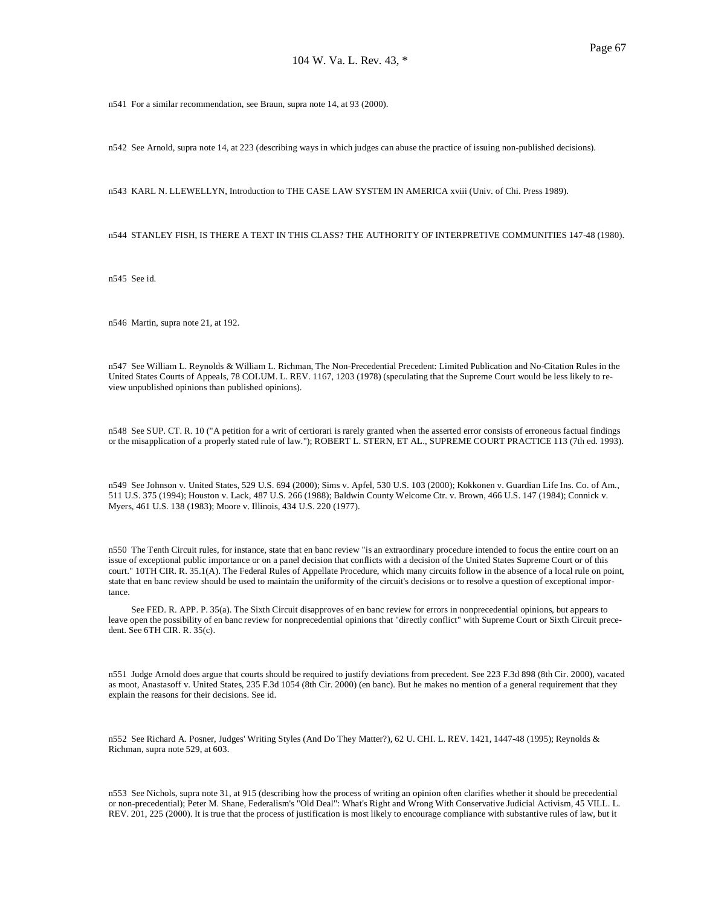n541 For a similar recommendation, see Braun, supra note 14, at 93 (2000).

n542 See Arnold, supra note 14, at 223 (describing ways in which judges can abuse the practice of issuing non-published decisions).

n543 KARL N. LLEWELLYN, Introduction to THE CASE LAW SYSTEM IN AMERICA xviii (Univ. of Chi. Press 1989).

n544 STANLEY FISH, IS THERE A TEXT IN THIS CLASS? THE AUTHORITY OF INTERPRETIVE COMMUNITIES 147-48 (1980).

n545 See id.

n546 Martin, supra note 21, at 192.

n547 See William L. Reynolds & William L. Richman, The Non-Precedential Precedent: Limited Publication and No-Citation Rules in the United States Courts of Appeals, 78 COLUM. L. REV. 1167, 1203 (1978) (speculating that the Supreme Court would be less likely to review unpublished opinions than published opinions).

n548 See SUP. CT. R. 10 ("A petition for a writ of certiorari is rarely granted when the asserted error consists of erroneous factual findings or the misapplication of a properly stated rule of law."); ROBERT L. STERN, ET AL., SUPREME COURT PRACTICE 113 (7th ed. 1993).

n549 See Johnson v. United States, 529 U.S. 694 (2000); Sims v. Apfel, 530 U.S. 103 (2000); Kokkonen v. Guardian Life Ins. Co. of Am., 511 U.S. 375 (1994); Houston v. Lack, 487 U.S. 266 (1988); Baldwin County Welcome Ctr. v. Brown, 466 U.S. 147 (1984); Connick v. Myers, 461 U.S. 138 (1983); Moore v. Illinois, 434 U.S. 220 (1977).

n550 The Tenth Circuit rules, for instance, state that en banc review "is an extraordinary procedure intended to focus the entire court on an issue of exceptional public importance or on a panel decision that conflicts with a decision of the United States Supreme Court or of this court." 10TH CIR. R. 35.1(A). The Federal Rules of Appellate Procedure, which many circuits follow in the absence of a local rule on point, state that en banc review should be used to maintain the uniformity of the circuit's decisions or to resolve a question of exceptional importance.

 See FED. R. APP. P. 35(a). The Sixth Circuit disapproves of en banc review for errors in nonprecedential opinions, but appears to leave open the possibility of en banc review for nonprecedential opinions that "directly conflict" with Supreme Court or Sixth Circuit precedent. See 6TH CIR. R. 35(c).

n551 Judge Arnold does argue that courts should be required to justify deviations from precedent. See 223 F.3d 898 (8th Cir. 2000), vacated as moot, Anastasoff v. United States, 235 F.3d 1054 (8th Cir. 2000) (en banc). But he makes no mention of a general requirement that they explain the reasons for their decisions. See id.

n552 See Richard A. Posner, Judges' Writing Styles (And Do They Matter?), 62 U. CHI. L. REV. 1421, 1447-48 (1995); Reynolds & Richman, supra note 529, at 603.

n553 See Nichols, supra note 31, at 915 (describing how the process of writing an opinion often clarifies whether it should be precedential or non-precedential); Peter M. Shane, Federalism's "Old Deal": What's Right and Wrong With Conservative Judicial Activism, 45 VILL. L. REV. 201, 225 (2000). It is true that the process of justification is most likely to encourage compliance with substantive rules of law, but it